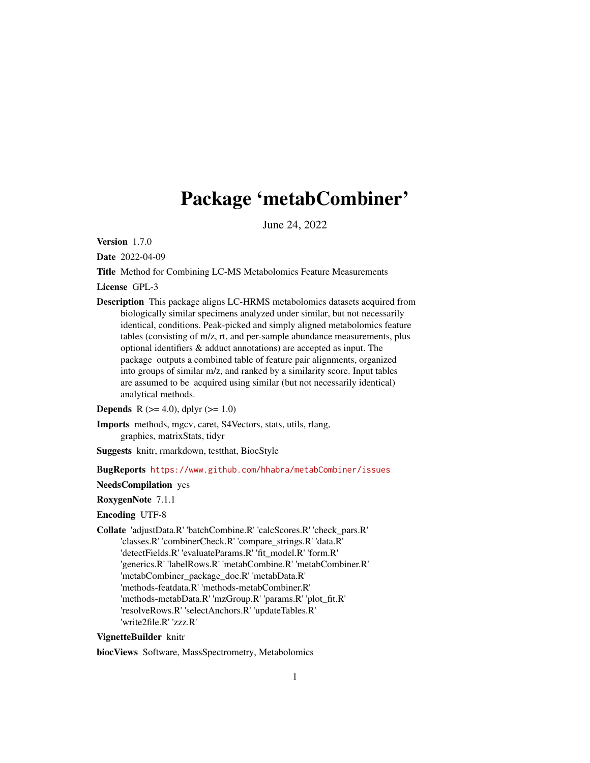# Package 'metabCombiner'

June 24, 2022

Version 1.7.0

Date 2022-04-09

Title Method for Combining LC-MS Metabolomics Feature Measurements

License GPL-3

Description This package aligns LC-HRMS metabolomics datasets acquired from biologically similar specimens analyzed under similar, but not necessarily identical, conditions. Peak-picked and simply aligned metabolomics feature tables (consisting of m/z, rt, and per-sample abundance measurements, plus optional identifiers & adduct annotations) are accepted as input. The package outputs a combined table of feature pair alignments, organized into groups of similar m/z, and ranked by a similarity score. Input tables are assumed to be acquired using similar (but not necessarily identical) analytical methods.

**Depends** R ( $>= 4.0$ ), dplyr ( $>= 1.0$ )

Imports methods, mgcv, caret, S4Vectors, stats, utils, rlang, graphics, matrixStats, tidyr

Suggests knitr, rmarkdown, testthat, BiocStyle

### BugReports <https://www.github.com/hhabra/metabCombiner/issues>

NeedsCompilation yes

RoxygenNote 7.1.1

Encoding UTF-8

Collate 'adjustData.R' 'batchCombine.R' 'calcScores.R' 'check\_pars.R' 'classes.R' 'combinerCheck.R' 'compare\_strings.R' 'data.R' 'detectFields.R' 'evaluateParams.R' 'fit\_model.R' 'form.R' 'generics.R' 'labelRows.R' 'metabCombine.R' 'metabCombiner.R' 'metabCombiner\_package\_doc.R' 'metabData.R' 'methods-featdata.R' 'methods-metabCombiner.R' 'methods-metabData.R' 'mzGroup.R' 'params.R' 'plot\_fit.R' 'resolveRows.R' 'selectAnchors.R' 'updateTables.R' 'write2file.R' 'zzz.R'

### VignetteBuilder knitr

biocViews Software, MassSpectrometry, Metabolomics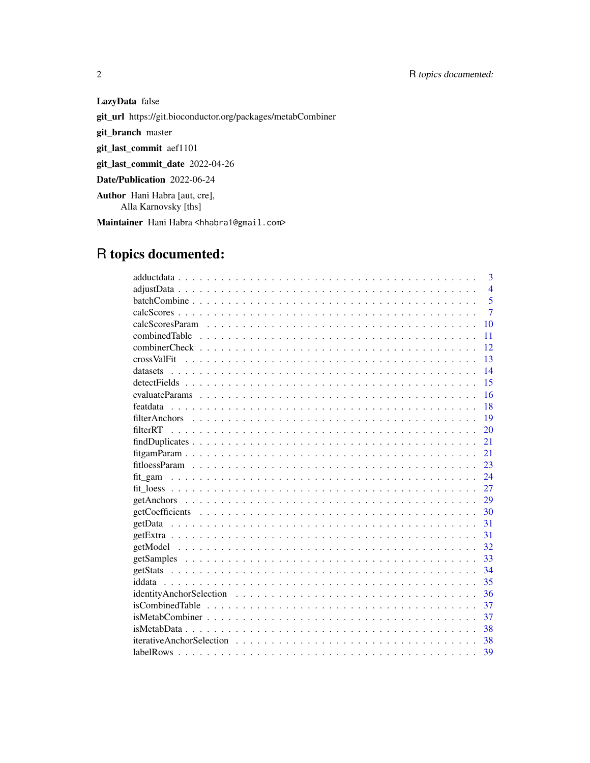LazyData false git\_url https://git.bioconductor.org/packages/metabCombiner git\_branch master git\_last\_commit aef1101 git\_last\_commit\_date 2022-04-26 Date/Publication 2022-06-24 Author Hani Habra [aut, cre],

Alla Karnovsky [ths]

Maintainer Hani Habra <hhabra1@gmail.com>

# R topics documented:

| 3                                                                                                                        |
|--------------------------------------------------------------------------------------------------------------------------|
| $\overline{4}$                                                                                                           |
| $\overline{5}$                                                                                                           |
| $\overline{7}$                                                                                                           |
| 10                                                                                                                       |
| 11                                                                                                                       |
| 12 <sub>12</sub>                                                                                                         |
| 13                                                                                                                       |
| 14                                                                                                                       |
| 15                                                                                                                       |
| 16                                                                                                                       |
| 18                                                                                                                       |
| 19                                                                                                                       |
| 20                                                                                                                       |
| 21                                                                                                                       |
| 21                                                                                                                       |
| 23                                                                                                                       |
|                                                                                                                          |
| 27                                                                                                                       |
| 29                                                                                                                       |
| 30                                                                                                                       |
| 31                                                                                                                       |
| 31                                                                                                                       |
| 32                                                                                                                       |
| 33                                                                                                                       |
| 34                                                                                                                       |
| 35                                                                                                                       |
| 36                                                                                                                       |
| $isCombined Table \dots \dots \dots \dots \dots \dots \dots \dots \dots \dots \dots \dots \dots \dots \dots \dots$<br>37 |
| 37                                                                                                                       |
| 38                                                                                                                       |
| -38                                                                                                                      |
| 39                                                                                                                       |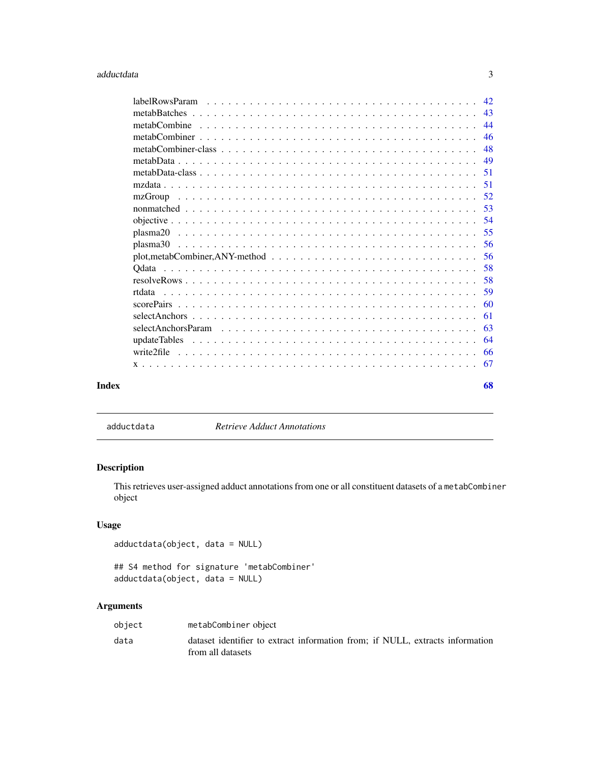#### <span id="page-2-0"></span>adductdata 3

| labelRowsParam |  |  |  |  |  |  |  |  |  |  |  |  |  |  |  |
|----------------|--|--|--|--|--|--|--|--|--|--|--|--|--|--|--|
|                |  |  |  |  |  |  |  |  |  |  |  |  |  |  |  |
|                |  |  |  |  |  |  |  |  |  |  |  |  |  |  |  |
|                |  |  |  |  |  |  |  |  |  |  |  |  |  |  |  |
|                |  |  |  |  |  |  |  |  |  |  |  |  |  |  |  |
|                |  |  |  |  |  |  |  |  |  |  |  |  |  |  |  |
|                |  |  |  |  |  |  |  |  |  |  |  |  |  |  |  |
|                |  |  |  |  |  |  |  |  |  |  |  |  |  |  |  |
| mzGroup        |  |  |  |  |  |  |  |  |  |  |  |  |  |  |  |
|                |  |  |  |  |  |  |  |  |  |  |  |  |  |  |  |
|                |  |  |  |  |  |  |  |  |  |  |  |  |  |  |  |
|                |  |  |  |  |  |  |  |  |  |  |  |  |  |  |  |
|                |  |  |  |  |  |  |  |  |  |  |  |  |  |  |  |
|                |  |  |  |  |  |  |  |  |  |  |  |  |  |  |  |
|                |  |  |  |  |  |  |  |  |  |  |  |  |  |  |  |
|                |  |  |  |  |  |  |  |  |  |  |  |  |  |  |  |
|                |  |  |  |  |  |  |  |  |  |  |  |  |  |  |  |
|                |  |  |  |  |  |  |  |  |  |  |  |  |  |  |  |
|                |  |  |  |  |  |  |  |  |  |  |  |  |  |  |  |
|                |  |  |  |  |  |  |  |  |  |  |  |  |  |  |  |
|                |  |  |  |  |  |  |  |  |  |  |  |  |  |  |  |
|                |  |  |  |  |  |  |  |  |  |  |  |  |  |  |  |
|                |  |  |  |  |  |  |  |  |  |  |  |  |  |  |  |
|                |  |  |  |  |  |  |  |  |  |  |  |  |  |  |  |
|                |  |  |  |  |  |  |  |  |  |  |  |  |  |  |  |

adductdata *Retrieve Adduct Annotations*

## Description

This retrieves user-assigned adduct annotations from one or all constituent datasets of a metabCombiner object

### Usage

adductdata(object, data = NULL)

## S4 method for signature 'metabCombiner' adductdata(object, data = NULL)

## Arguments

| object | metabCombiner object                                                                               |
|--------|----------------------------------------------------------------------------------------------------|
| data   | dataset identifier to extract information from: if NULL, extracts information<br>from all datasets |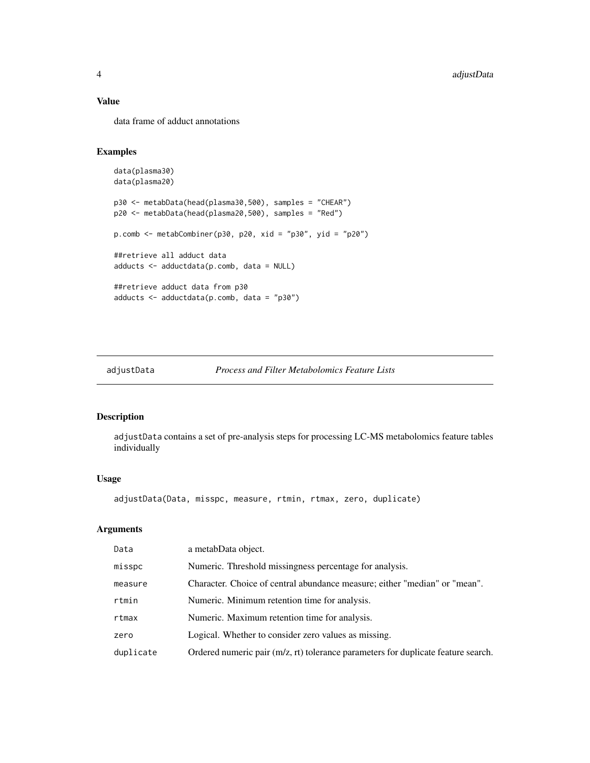### Value

data frame of adduct annotations

### Examples

```
data(plasma30)
data(plasma20)
p30 <- metabData(head(plasma30,500), samples = "CHEAR")
p20 <- metabData(head(plasma20,500), samples = "Red")
p.comb <- metabCombiner(p30, p20, xid = "p30", yid = "p20")
##retrieve all adduct data
adducts <- adductdata(p.comb, data = NULL)
##retrieve adduct data from p30
adducts <- adductdata(p.comb, data = "p30")
```
### adjustData *Process and Filter Metabolomics Feature Lists*

### Description

adjustData contains a set of pre-analysis steps for processing LC-MS metabolomics feature tables individually

### Usage

adjustData(Data, misspc, measure, rtmin, rtmax, zero, duplicate)

### Arguments

| Data      | a metabData object.                                                               |
|-----------|-----------------------------------------------------------------------------------|
| misspc    | Numeric. Threshold missingness percentage for analysis.                           |
| measure   | Character. Choice of central abundance measure; either "median" or "mean".        |
| rtmin     | Numeric. Minimum retention time for analysis.                                     |
| rtmax     | Numeric. Maximum retention time for analysis.                                     |
| zero      | Logical. Whether to consider zero values as missing.                              |
| duplicate | Ordered numeric pair (m/z, rt) tolerance parameters for duplicate feature search. |
|           |                                                                                   |

<span id="page-3-0"></span>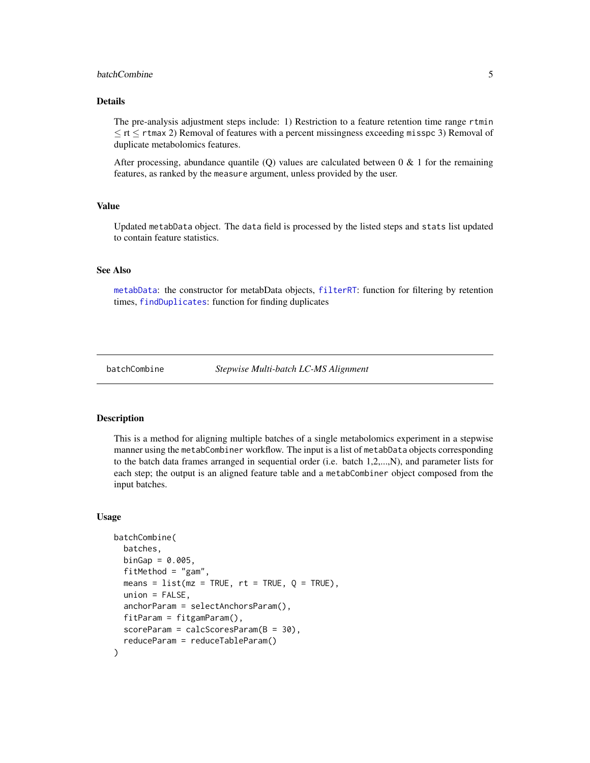### <span id="page-4-0"></span>**batchCombine** 5

### Details

The pre-analysis adjustment steps include: 1) Restriction to a feature retention time range rtmin  $\leq$  rt  $\leq$  rtmax 2) Removal of features with a percent missingness exceeding misspc 3) Removal of duplicate metabolomics features.

After processing, abundance quantile (Q) values are calculated between  $0 \& 1$  for the remaining features, as ranked by the measure argument, unless provided by the user.

### Value

Updated metabData object. The data field is processed by the listed steps and stats list updated to contain feature statistics.

### See Also

[metabData](#page-48-1): the constructor for metabData objects, [filterRT](#page-19-1): function for filtering by retention times, [findDuplicates](#page-20-1): function for finding duplicates

<span id="page-4-1"></span>

batchCombine *Stepwise Multi-batch LC-MS Alignment*

### **Description**

This is a method for aligning multiple batches of a single metabolomics experiment in a stepwise manner using the metabCombiner workflow. The input is a list of metabData objects corresponding to the batch data frames arranged in sequential order (i.e. batch 1,2,...,N), and parameter lists for each step; the output is an aligned feature table and a metabCombiner object composed from the input batches.

#### Usage

```
batchCombine(
  batches,
 binGap = 0.005,fitMethod = "gam",
  means = list(mx = TRUE, rt = TRUE, Q = TRUE),union = FALSE,
  anchorParam = selectAnchorsParam(),
  fitParam = fitgamParam(),
  scoreParam = calcScoresParam(B = 30),
  reduceParam = reduceTableParam()
)
```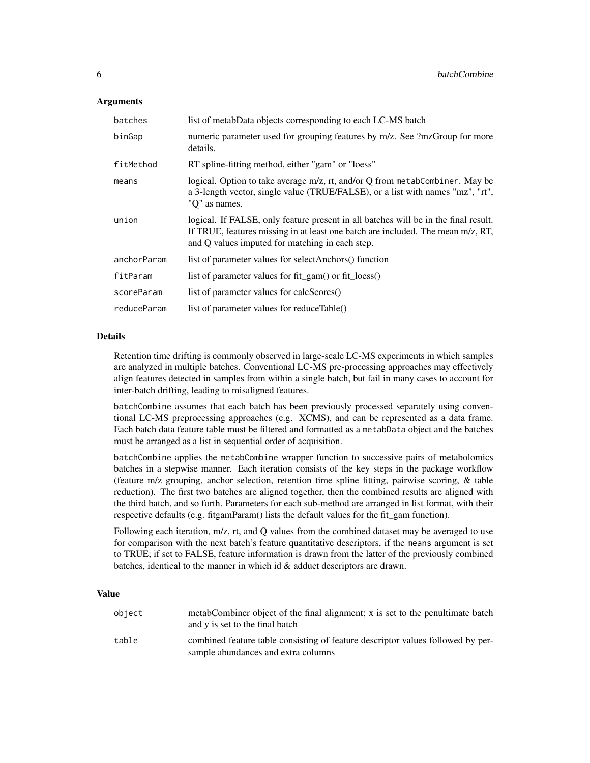#### **Arguments**

| batches     | list of metabData objects corresponding to each LC-MS batch                                                                                                                                                               |
|-------------|---------------------------------------------------------------------------------------------------------------------------------------------------------------------------------------------------------------------------|
| binGap      | numeric parameter used for grouping features by m/z. See ?mzGroup for more<br>details.                                                                                                                                    |
| fitMethod   | RT spline-fitting method, either "gam" or "loess"                                                                                                                                                                         |
| means       | logical. Option to take average m/z, rt, and/or Q from metabCombiner. May be<br>a 3-length vector, single value (TRUE/FALSE), or a list with names "mz", "rt",<br>"Q" as names.                                           |
| union       | logical. If FALSE, only feature present in all batches will be in the final result.<br>If TRUE, features missing in at least one batch are included. The mean m/z, RT,<br>and Q values imputed for matching in each step. |
| anchorParam | list of parameter values for selectAnchors() function                                                                                                                                                                     |
| fitParam    | list of parameter values for fit_gam() or fit_loess()                                                                                                                                                                     |
| scoreParam  | list of parameter values for calcScores()                                                                                                                                                                                 |
| reduceParam | list of parameter values for reduceTable()                                                                                                                                                                                |

### **Details**

Retention time drifting is commonly observed in large-scale LC-MS experiments in which samples are analyzed in multiple batches. Conventional LC-MS pre-processing approaches may effectively align features detected in samples from within a single batch, but fail in many cases to account for inter-batch drifting, leading to misaligned features.

batchCombine assumes that each batch has been previously processed separately using conventional LC-MS preprocessing approaches (e.g. XCMS), and can be represented as a data frame. Each batch data feature table must be filtered and formatted as a metabData object and the batches must be arranged as a list in sequential order of acquisition.

batchCombine applies the metabCombine wrapper function to successive pairs of metabolomics batches in a stepwise manner. Each iteration consists of the key steps in the package workflow (feature m/z grouping, anchor selection, retention time spline fitting, pairwise scoring, & table reduction). The first two batches are aligned together, then the combined results are aligned with the third batch, and so forth. Parameters for each sub-method are arranged in list format, with their respective defaults (e.g. fitgamParam() lists the default values for the fit\_gam function).

Following each iteration, m/z, rt, and Q values from the combined dataset may be averaged to use for comparison with the next batch's feature quantitative descriptors, if the means argument is set to TRUE; if set to FALSE, feature information is drawn from the latter of the previously combined batches, identical to the manner in which id & adduct descriptors are drawn.

#### Value

|       | and y is set to the final batch                                                                                        |
|-------|------------------------------------------------------------------------------------------------------------------------|
| table | combined feature table consisting of feature descriptor values followed by per-<br>sample abundances and extra columns |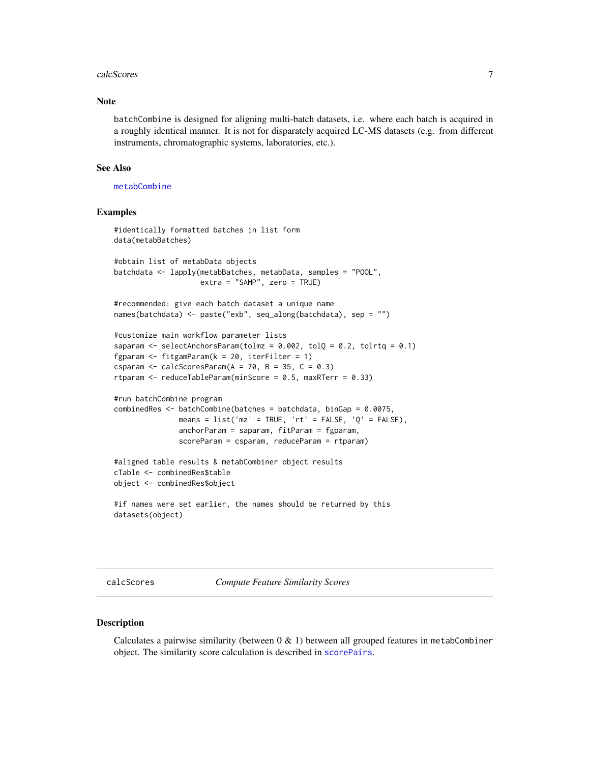#### <span id="page-6-0"></span>calcScores 7

#### **Note**

batchCombine is designed for aligning multi-batch datasets, i.e. where each batch is acquired in a roughly identical manner. It is not for disparately acquired LC-MS datasets (e.g. from different instruments, chromatographic systems, laboratories, etc.).

#### See Also

[metabCombine](#page-43-1)

### Examples

```
#identically formatted batches in list form
data(metabBatches)
#obtain list of metabData objects
batchdata <- lapply(metabBatches, metabData, samples = "POOL",
                    extra = "SAMP", zero = TRUE)
#recommended: give each batch dataset a unique name
names(batchdata) <- paste("exb", seq_along(batchdata), sep = "")
#customize main workflow parameter lists
saparam \leq selectAnchorsParam(tolmz = 0.002, tolQ = 0.2, tolrtq = 0.1)
fgparam <- fitgamParam(k = 20, iterFilter = 1)
csparam \leq calcScoresParam(A = 70, B = 35, C = 0.3)
rtparam \leq reduceTableParam(minScore = 0.5, maxRTerr = 0.33)
#run batchCombine program
combinedRes <- batchCombine(batches = batchdata, binGap = 0.0075,
               means = list('mz' = TRUE, 'rt' = FALSE, 'Q' = FALSE),
               anchorParam = saparam, fitParam = fgparam,
               scoreParam = csparam, reduceParam = rtparam)
#aligned table results & metabCombiner object results
cTable <- combinedRes$table
object <- combinedRes$object
#if names were set earlier, the names should be returned by this
datasets(object)
```
<span id="page-6-1"></span>calcScores *Compute Feature Similarity Scores*

#### **Description**

Calculates a pairwise similarity (between  $0 \& 1$ ) between all grouped features in metabCombiner object. The similarity score calculation is described in [scorePairs](#page-59-1).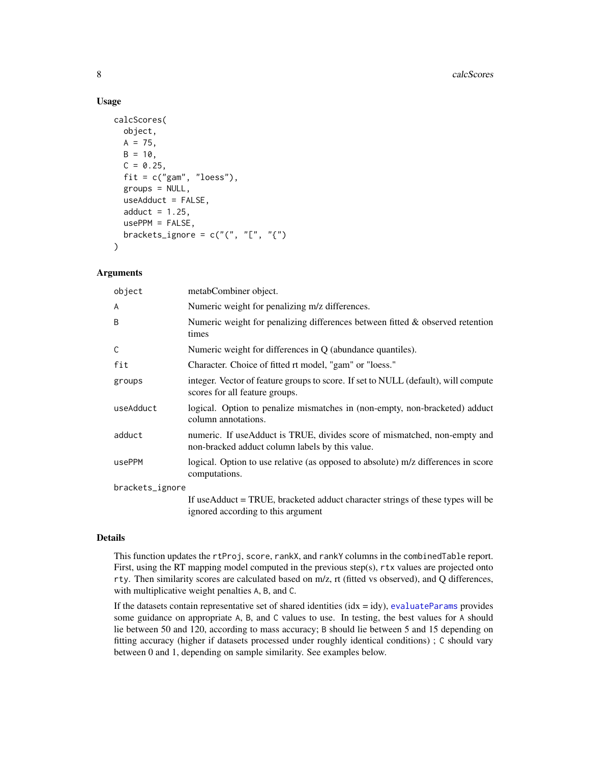#### Usage

```
calcScores(
  object,
 A = 75,
 B = 10,
  C = 0.25,
  fit = c("gam", "loess"),groups = NULL,
  useAdduct = FALSE,
  adduct = 1.25,
  usePPM = FALSE,
  brackets_ignore = c("", "["", "{'"}\lambda
```
#### Arguments

| object          | metabCombiner object.                                                                                                        |
|-----------------|------------------------------------------------------------------------------------------------------------------------------|
| A               | Numeric weight for penalizing m/z differences.                                                                               |
| B               | Numeric weight for penalizing differences between fitted $\&$ observed retention<br>times                                    |
| C               | Numeric weight for differences in $Q$ (abundance quantiles).                                                                 |
| fit             | Character. Choice of fitted rt model, "gam" or "loess."                                                                      |
| groups          | integer. Vector of feature groups to score. If set to NULL (default), will compute<br>scores for all feature groups.         |
| useAdduct       | logical. Option to penalize mismatches in (non-empty, non-bracketed) adduct<br>column annotations.                           |
| adduct          | numeric. If useAdduct is TRUE, divides score of mismatched, non-empty and<br>non-bracked adduct column labels by this value. |
| usePPM          | logical. Option to use relative (as opposed to absolute) m/z differences in score<br>computations.                           |
| brackets_ignore |                                                                                                                              |
|                 | If useAdduct = TRUE, bracketed adduct character strings of these types will be<br>ignored according to this argument         |

### Details

This function updates the rtProj, score, rankX, and rankY columns in the combinedTable report. First, using the RT mapping model computed in the previous step(s), rtx values are projected onto rty. Then similarity scores are calculated based on m/z, rt (fitted vs observed), and Q differences, with multiplicative weight penalties A, B, and C.

If the datasets contain representative set of shared identities ( $idx = idy$ ), [evaluateParams](#page-15-1) provides some guidance on appropriate A, B, and C values to use. In testing, the best values for A should lie between 50 and 120, according to mass accuracy; B should lie between 5 and 15 depending on fitting accuracy (higher if datasets processed under roughly identical conditions) ; C should vary between 0 and 1, depending on sample similarity. See examples below.

<span id="page-7-0"></span>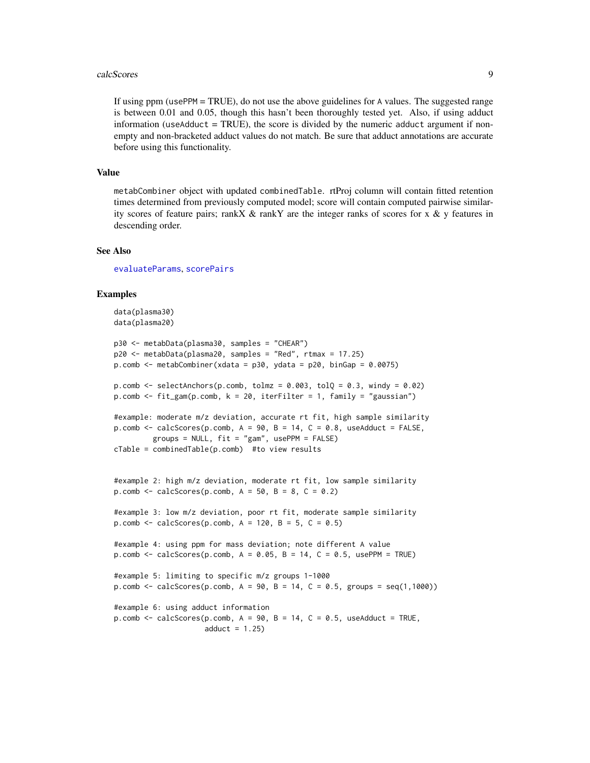#### <span id="page-8-0"></span>calcScores 9

If using ppm (usePPM = TRUE), do not use the above guidelines for A values. The suggested range is between 0.01 and 0.05, though this hasn't been thoroughly tested yet. Also, if using adduct information (useAdduct  $=$  TRUE), the score is divided by the numeric adduct argument if nonempty and non-bracketed adduct values do not match. Be sure that adduct annotations are accurate before using this functionality.

#### Value

metabCombiner object with updated combinedTable. rtProj column will contain fitted retention times determined from previously computed model; score will contain computed pairwise similarity scores of feature pairs; rank  $X \&$  rank  $Y$  are the integer ranks of scores for  $X \& Y$  features in descending order.

#### See Also

[evaluateParams](#page-15-1), [scorePairs](#page-59-1)

```
data(plasma30)
data(plasma20)
p30 <- metabData(plasma30, samples = "CHEAR")
p20 <- metabData(plasma20, samples = "Red", rtmax = 17.25)
p.comb <- metabCombiner(xdata = p30, ydata = p20, binGap = 0.0075)
p.comb \le selectAnchors(p.comb, tolmz = 0.003, tolQ = 0.3, windy = 0.02)
p.comb \leq fit_gam(p.comb, k = 20, iterFilter = 1, family = "gaussian")
#example: moderate m/z deviation, accurate rt fit, high sample similarity
p.comb \leq calcScores(p.comb, A = 90, B = 14, C = 0.8, useAdduct = FALSE,
         groups = NULL, fit = "gam", usePPM = FALSE)
cTable = combinedTable(p.comb) #to view results
#example 2: high m/z deviation, moderate rt fit, low sample similarity
p.comb \leq calcScores(p.comb, A = 50, B = 8, C = 0.2)
#example 3: low m/z deviation, poor rt fit, moderate sample similarity
p.comb \leq calcScores(p.comb, A = 120, B = 5, C = 0.5)#example 4: using ppm for mass deviation; note different A value
p.comb \leq calcScores(p.comb, A = 0.05, B = 14, C = 0.5, usePPM = TRUE)
#example 5: limiting to specific m/z groups 1-1000
p.comb \leq calcScores(p.comb, A = 90, B = 14, C = 0.5, groups = seq(1,1000))#example 6: using adduct information
p.comb \leq calcScores(p.comb, A = 90, B = 14, C = 0.5, useAdduct = TRUE,
                     adduct = 1.25)
```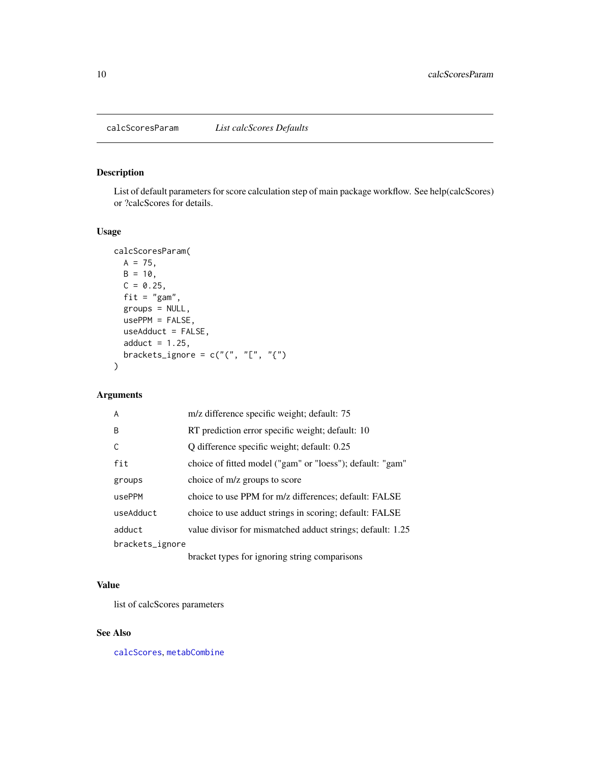<span id="page-9-1"></span><span id="page-9-0"></span>List of default parameters for score calculation step of main package workflow. See help(calcScores) or ?calcScores for details.

### Usage

```
calcScoresParam(
  A = 75,
  B = 10,
  C = 0.25,
  fit = "gam",groups = NULL,
  usePPM = FALSE,
  useAdduct = FALSE,
  adduct = 1.25,
  brackets_ignore = c("", "["", "{'''}))
```
### Arguments

| $\overline{A}$  | m/z difference specific weight; default: 75                                                                                                                                                                                                                                                      |
|-----------------|--------------------------------------------------------------------------------------------------------------------------------------------------------------------------------------------------------------------------------------------------------------------------------------------------|
| B.              | RT prediction error specific weight; default: 10                                                                                                                                                                                                                                                 |
| C               | Q difference specific weight; default: 0.25                                                                                                                                                                                                                                                      |
| fit             | choice of fitted model ("gam" or "loess"); default: "gam"                                                                                                                                                                                                                                        |
| groups          | choice of m/z groups to score                                                                                                                                                                                                                                                                    |
| usePPM          | choice to use PPM for m/z differences; default: FALSE                                                                                                                                                                                                                                            |
| useAdduct       | choice to use adduct strings in scoring; default: FALSE                                                                                                                                                                                                                                          |
| adduct          | value divisor for mismatched adduct strings; default: 1.25                                                                                                                                                                                                                                       |
| brackets_ignore |                                                                                                                                                                                                                                                                                                  |
|                 | $\mathbf{1}$ and $\mathbf{1}$ and $\mathbf{1}$ and $\mathbf{1}$ and $\mathbf{1}$ and $\mathbf{1}$ and $\mathbf{1}$ and $\mathbf{1}$ and $\mathbf{1}$ and $\mathbf{1}$ and $\mathbf{1}$ and $\mathbf{1}$ and $\mathbf{1}$ and $\mathbf{1}$ and $\mathbf{1}$ and $\mathbf{1}$ and $\mathbf{1}$ and |

bracket types for ignoring string comparisons

### Value

list of calcScores parameters

### See Also

[calcScores](#page-6-1), [metabCombine](#page-43-1)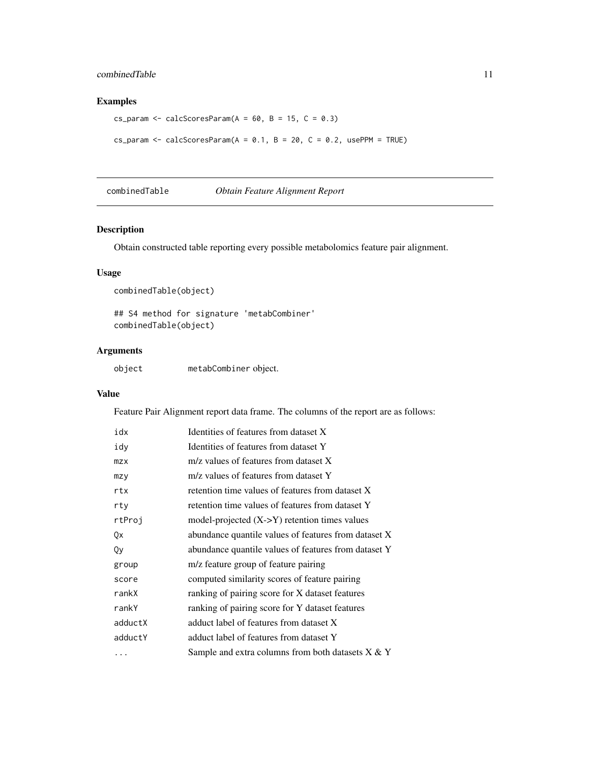### <span id="page-10-0"></span>combinedTable 11

### Examples

```
cs_param <- calcScoresParam(A = 60, B = 15, C = 0.3)cs_param <- calcScoresParam(A = 0.1, B = 20, C = 0.2, usePPM = TRUE)
```
combinedTable *Obtain Feature Alignment Report*

### Description

Obtain constructed table reporting every possible metabolomics feature pair alignment.

### Usage

```
combinedTable(object)
```
## S4 method for signature 'metabCombiner' combinedTable(object)

### Arguments

| object | metabCombiner object. |  |
|--------|-----------------------|--|
|--------|-----------------------|--|

### Value

Feature Pair Alignment report data frame. The columns of the report are as follows:

| idx     | Identities of features from dataset X                |
|---------|------------------------------------------------------|
| idy     | Identities of features from dataset Y                |
| mzx     | m/z values of features from dataset X                |
| mzy     | m/z values of features from dataset Y                |
| rtx     | retention time values of features from dataset X     |
| rty     | retention time values of features from dataset Y     |
| rtProj  | model-projected $(X > Y)$ retention times values     |
| Qx      | abundance quantile values of features from dataset X |
| Qy      | abundance quantile values of features from dataset Y |
| group   | m/z feature group of feature pairing                 |
| score   | computed similarity scores of feature pairing        |
| rankX   | ranking of pairing score for X dataset features      |
| rankY   | ranking of pairing score for Y dataset features      |
| adductX | adduct label of features from dataset X              |
| adductY | adduct label of features from dataset Y              |
| .       | Sample and extra columns from both datasets $X & Y$  |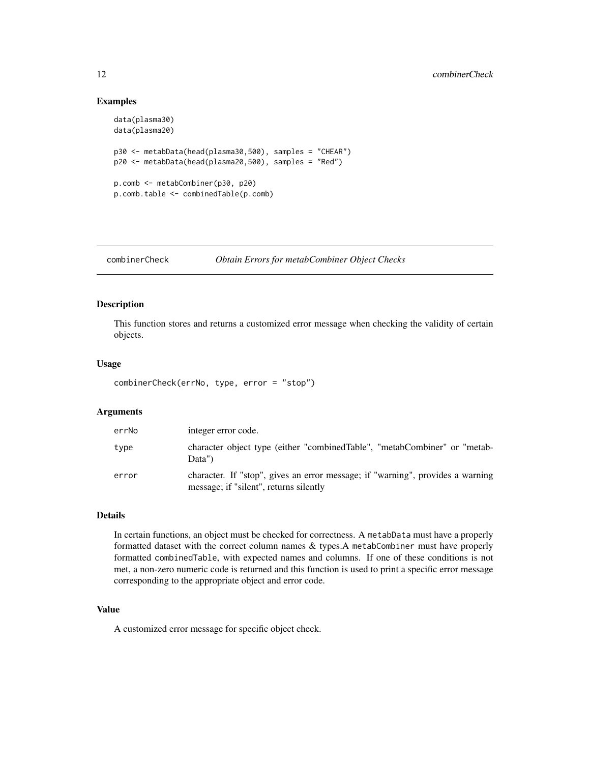#### Examples

```
data(plasma30)
data(plasma20)
p30 <- metabData(head(plasma30,500), samples = "CHEAR")
p20 <- metabData(head(plasma20,500), samples = "Red")
p.comb <- metabCombiner(p30, p20)
p.comb.table <- combinedTable(p.comb)
```
combinerCheck *Obtain Errors for metabCombiner Object Checks*

### Description

This function stores and returns a customized error message when checking the validity of certain objects.

#### Usage

```
combinerCheck(errNo, type, error = "stop")
```
#### Arguments

| errNo | integer error code.                                                                                                      |
|-------|--------------------------------------------------------------------------------------------------------------------------|
| type  | character object type (either "combined Table", "metabCombiner" or "metab-<br>Data")                                     |
| error | character. If "stop", gives an error message; if "warning", provides a warning<br>message; if "silent", returns silently |

### Details

In certain functions, an object must be checked for correctness. A metabData must have a properly formatted dataset with the correct column names & types.A metabCombiner must have properly formatted combinedTable, with expected names and columns. If one of these conditions is not met, a non-zero numeric code is returned and this function is used to print a specific error message corresponding to the appropriate object and error code.

### Value

A customized error message for specific object check.

<span id="page-11-0"></span>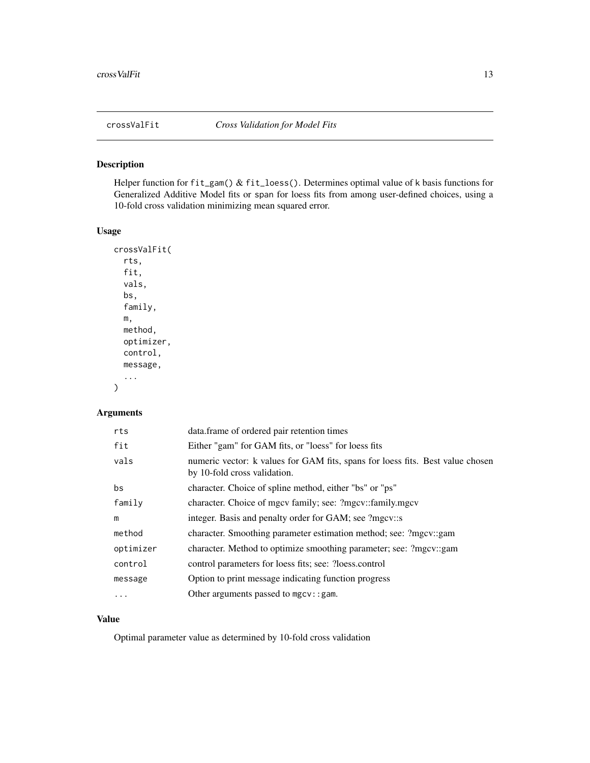<span id="page-12-0"></span>

Helper function for fit\_gam() & fit\_loess(). Determines optimal value of k basis functions for Generalized Additive Model fits or span for loess fits from among user-defined choices, using a 10-fold cross validation minimizing mean squared error.

#### Usage

```
crossValFit(
  rts,
  fit,
  vals,
 bs,
  family,
 m,
 method,
 optimizer,
  control,
 message,
  ...
)
```
## Arguments

| rts       | data.frame of ordered pair retention times                                                                     |
|-----------|----------------------------------------------------------------------------------------------------------------|
| fit       | Either "gam" for GAM fits, or "loess" for loess fits                                                           |
| vals      | numeric vector: k values for GAM fits, spans for loess fits. Best value chosen<br>by 10-fold cross validation. |
| bs        | character. Choice of spline method, either "bs" or "ps"                                                        |
| family    | character. Choice of mgcv family; see: ?mgcv::family.mgcv                                                      |
| m         | integer. Basis and penalty order for GAM; see ?mgcv::s                                                         |
| method    | character. Smoothing parameter estimation method; see: ?mgcv::gam                                              |
| optimizer | character. Method to optimize smoothing parameter; see: ?mgcv::gam                                             |
| control   | control parameters for loess fits; see: ?loess.control                                                         |
| message   | Option to print message indicating function progress                                                           |
| .         | Other arguments passed to $mgcv$ : : gam.                                                                      |

### Value

Optimal parameter value as determined by 10-fold cross validation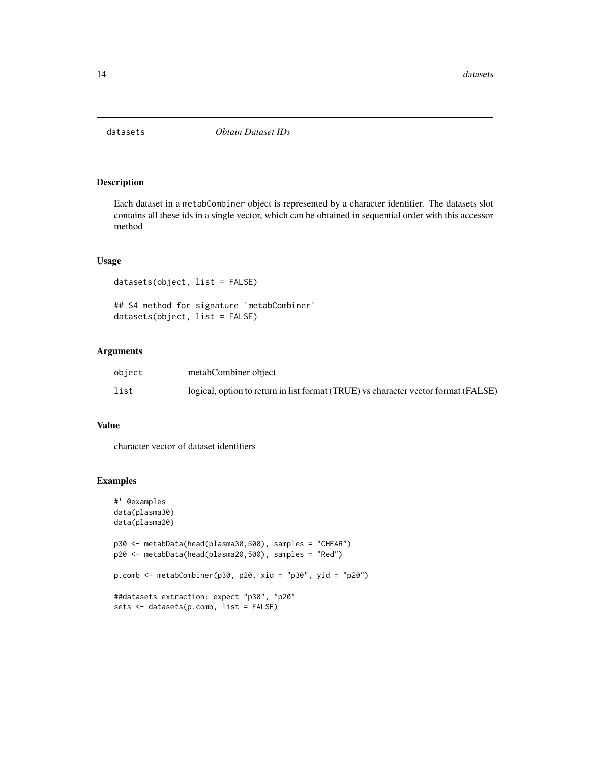<span id="page-13-1"></span><span id="page-13-0"></span>

Each dataset in a metabCombiner object is represented by a character identifier. The datasets slot contains all these ids in a single vector, which can be obtained in sequential order with this accessor method

#### Usage

```
datasets(object, list = FALSE)
## S4 method for signature 'metabCombiner'
datasets(object, list = FALSE)
```
### Arguments

| object | metabCombiner object                                                               |
|--------|------------------------------------------------------------------------------------|
| list   | logical, option to return in list format (TRUE) vs character vector format (FALSE) |

### Value

character vector of dataset identifiers

```
#' @examples
data(plasma30)
data(plasma20)
p30 <- metabData(head(plasma30,500), samples = "CHEAR")
p20 <- metabData(head(plasma20,500), samples = "Red")
p.comb <- metabCombiner(p30, p20, xid = "p30", yid = "p20")
##datasets extraction: expect "p30", "p20"
sets <- datasets(p.comb, list = FALSE)
```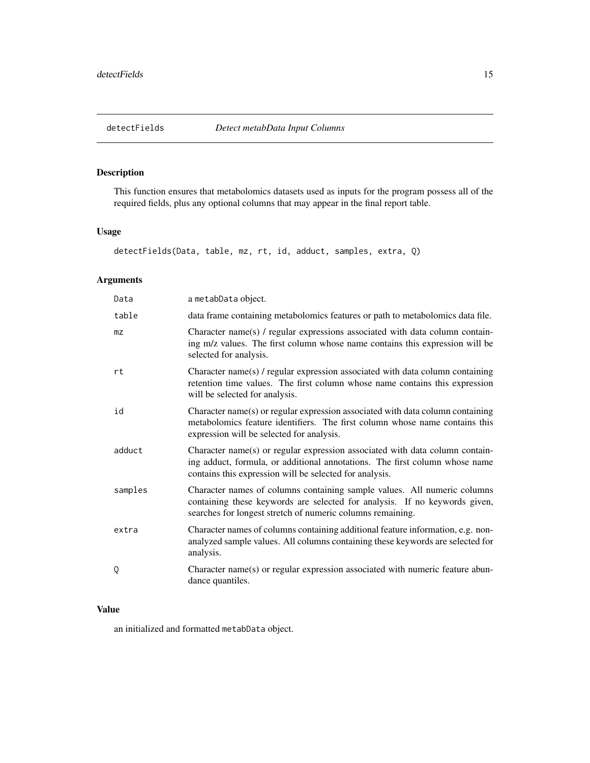<span id="page-14-0"></span>

This function ensures that metabolomics datasets used as inputs for the program possess all of the required fields, plus any optional columns that may appear in the final report table.

### Usage

```
detectFields(Data, table, mz, rt, id, adduct, samples, extra, Q)
```
### Arguments

| Data    | a metabData object.                                                                                                                                                                                                    |
|---------|------------------------------------------------------------------------------------------------------------------------------------------------------------------------------------------------------------------------|
| table   | data frame containing metabolomics features or path to metabolomics data file.                                                                                                                                         |
| mz      | Character name(s) / regular expressions associated with data column contain-<br>ing m/z values. The first column whose name contains this expression will be<br>selected for analysis.                                 |
| rt      | Character name(s) / regular expression associated with data column containing<br>retention time values. The first column whose name contains this expression<br>will be selected for analysis.                         |
| id      | Character name(s) or regular expression associated with data column containing<br>metabolomics feature identifiers. The first column whose name contains this<br>expression will be selected for analysis.             |
| adduct  | Character name(s) or regular expression associated with data column contain-<br>ing adduct, formula, or additional annotations. The first column whose name<br>contains this expression will be selected for analysis. |
| samples | Character names of columns containing sample values. All numeric columns<br>containing these keywords are selected for analysis. If no keywords given,<br>searches for longest stretch of numeric columns remaining.   |
| extra   | Character names of columns containing additional feature information, e.g. non-<br>analyzed sample values. All columns containing these keywords are selected for<br>analysis.                                         |
| Q       | Character name(s) or regular expression associated with numeric feature abun-<br>dance quantiles.                                                                                                                      |

### Value

an initialized and formatted metabData object.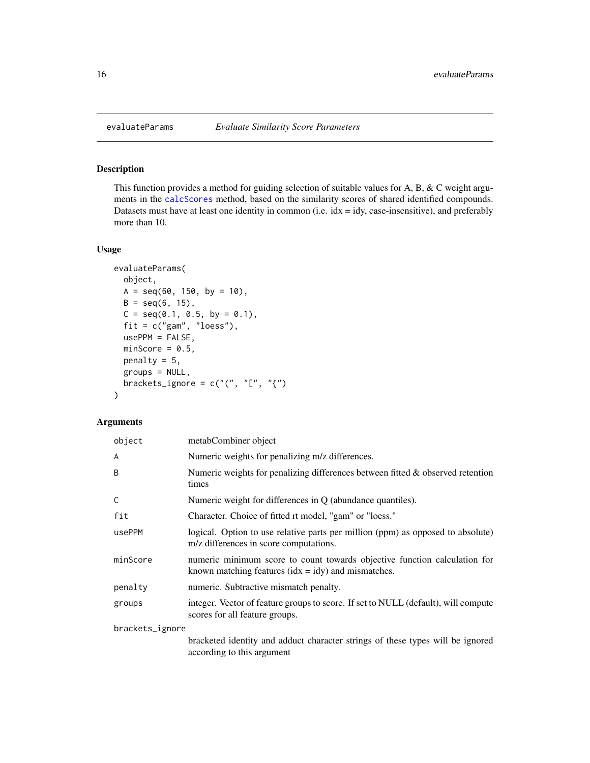This function provides a method for guiding selection of suitable values for A, B, & C weight arguments in the [calcScores](#page-6-1) method, based on the similarity scores of shared identified compounds. Datasets must have at least one identity in common (i.e. idx = idy, case-insensitive), and preferably more than 10.

### Usage

```
evaluateParams(
  object,
 A = seq(60, 150, by = 10),
 B = seq(6, 15),
 C = seq(0.1, 0.5, by = 0.1),fit = c("gam", "loess"),usePPM = FALSE,
 minScore = 0.5,
 penalty = 5,
  groups = NULL,
 brackets_ignore = c("", "["", "{'''}))
```
#### Arguments

| object          | metabCombiner object                                                                                                                             |  |
|-----------------|--------------------------------------------------------------------------------------------------------------------------------------------------|--|
| A               | Numeric weights for penalizing m/z differences.                                                                                                  |  |
| B               | Numeric weights for penalizing differences between fitted $\&$ observed retention<br>times                                                       |  |
| C               | Numeric weight for differences in $Q$ (abundance quantiles).                                                                                     |  |
| fit             | Character. Choice of fitted rt model, "gam" or "loess."                                                                                          |  |
| usePPM          | logical. Option to use relative parts per million (ppm) as opposed to absolute)<br>m/z differences in score computations.                        |  |
| minScore        | numeric minimum score to count towards objective function calculation for<br>known matching features $(\text{idx} = \text{idy})$ and mismatches. |  |
| penalty         | numeric. Subtractive mismatch penalty.                                                                                                           |  |
| groups          | integer. Vector of feature groups to score. If set to NULL (default), will compute<br>scores for all feature groups.                             |  |
| brackets_ignore |                                                                                                                                                  |  |
|                 | bracketed identity and adduct character strings of these types will be ignored<br>according to this argument                                     |  |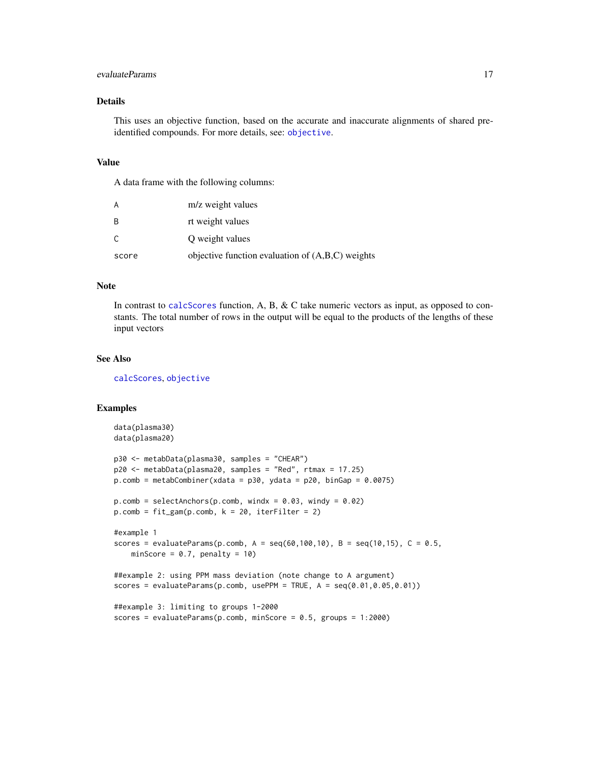### <span id="page-16-0"></span>evaluateParams 17

### Details

This uses an objective function, based on the accurate and inaccurate alignments of shared preidentified compounds. For more details, see: [objective](#page-53-1).

#### Value

A data frame with the following columns:

|       | m/z weight values                                  |
|-------|----------------------------------------------------|
| - B   | rt weight values                                   |
| C.    | Q weight values                                    |
| score | objective function evaluation of $(A,B,C)$ weights |

### Note

In contrast to [calcScores](#page-6-1) function, A, B, & C take numeric vectors as input, as opposed to constants. The total number of rows in the output will be equal to the products of the lengths of these input vectors

#### See Also

[calcScores](#page-6-1), [objective](#page-53-1)

```
data(plasma30)
data(plasma20)
p30 <- metabData(plasma30, samples = "CHEAR")
p20 <- metabData(plasma20, samples = "Red", rtmax = 17.25)
p.comb = metabCombiner(xdata = p30, ydata = p20, binGap = 0.0075)p_{\text{.com}} = \text{selectAnchors}(p_{\text{.com}}), windx = 0.03, windy = 0.02)
p.comb = fit\_gam(p.comb, k = 20, iterFilter = 2)#example 1
scores = evaluateParams(p.comb, A = \text{seq}(60, 100, 10), B = \text{seq}(10, 15), C = 0.5,
    minScore = 0.7, penalty = 10)
##example 2: using PPM mass deviation (note change to A argument)
scores = evaluateParams(p.comb, usePPM = TRUE, A = seq(0.01, 0.05, 0.01))##example 3: limiting to groups 1-2000
scores = evaluateParams(p.comb, minScore = 0.5, groups = 1:2000)
```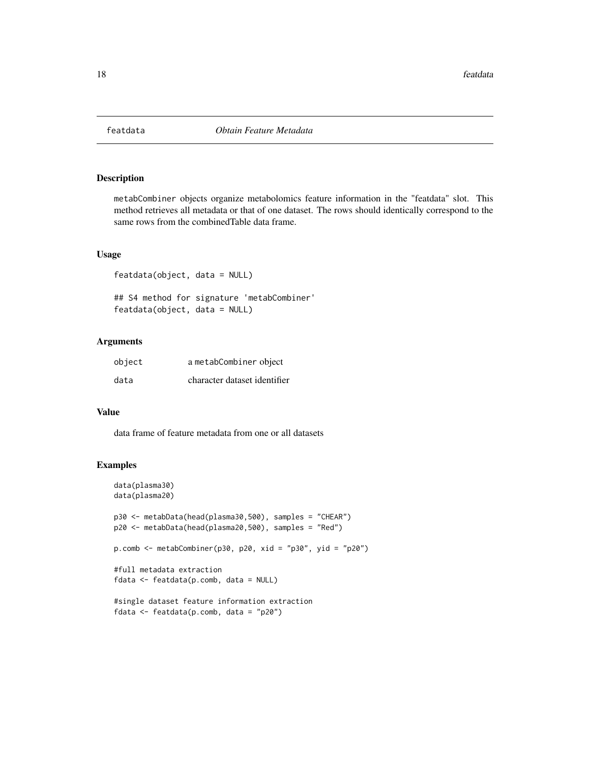<span id="page-17-0"></span>

metabCombiner objects organize metabolomics feature information in the "featdata" slot. This method retrieves all metadata or that of one dataset. The rows should identically correspond to the same rows from the combinedTable data frame.

#### Usage

featdata(object, data = NULL)

## S4 method for signature 'metabCombiner' featdata(object, data = NULL)

### Arguments

| object | a metabCombiner object       |
|--------|------------------------------|
| data   | character dataset identifier |

#### Value

data frame of feature metadata from one or all datasets

```
data(plasma30)
data(plasma20)
p30 <- metabData(head(plasma30,500), samples = "CHEAR")
p20 <- metabData(head(plasma20,500), samples = "Red")
p.comb <- metabCombiner(p30, p20, xid = "p30", yid = "p20")
#full metadata extraction
fdata <- featdata(p.comb, data = NULL)
#single dataset feature information extraction
fdata <- featdata(p.comb, data = "p20")
```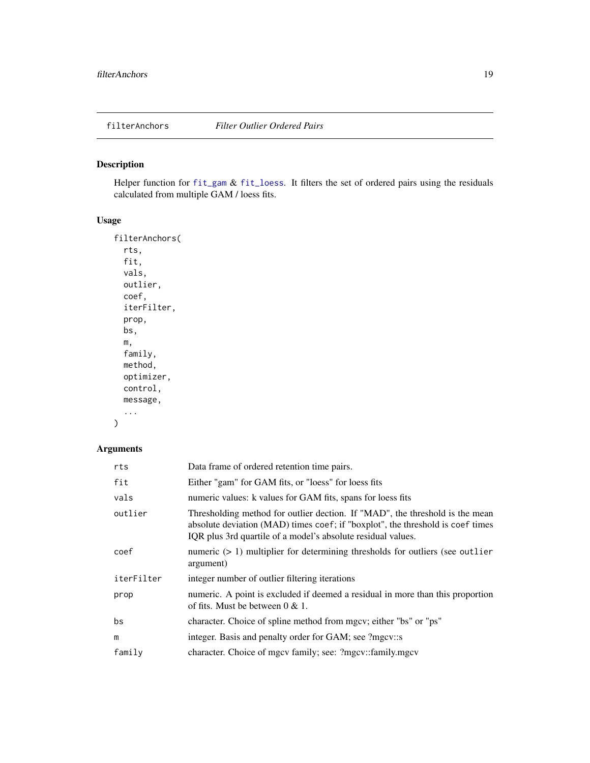<span id="page-18-0"></span>

Helper function for [fit\\_gam](#page-23-1) & [fit\\_loess](#page-26-1). It filters the set of ordered pairs using the residuals calculated from multiple GAM / loess fits.

### Usage

```
filterAnchors(
  rts,
  fit,
 vals,
  outlier,
 coef,
  iterFilter,
 prop,
 bs,
 m,
  family,
 method,
 optimizer,
 control,
 message,
  ...
```

```
)
```
### Arguments

| rts        | Data frame of ordered retention time pairs.                                                                                                                                                                                    |
|------------|--------------------------------------------------------------------------------------------------------------------------------------------------------------------------------------------------------------------------------|
| fit        | Either "gam" for GAM fits, or "loess" for loess fits                                                                                                                                                                           |
| vals       | numeric values: k values for GAM fits, spans for loess fits                                                                                                                                                                    |
| outlier    | Thresholding method for outlier dection. If "MAD", the threshold is the mean<br>absolute deviation (MAD) times coef; if "boxplot", the threshold is coef times<br>IQR plus 3rd quartile of a model's absolute residual values. |
| coef       | numeric $(> 1)$ multiplier for determining thresholds for outliers (see outlier<br>argument)                                                                                                                                   |
| iterFilter | integer number of outlier filtering iterations                                                                                                                                                                                 |
| prop       | numeric. A point is excluded if deemed a residual in more than this proportion<br>of fits. Must be between $0 < 1$ .                                                                                                           |
| bs         | character. Choice of spline method from mgcv; either "bs" or "ps"                                                                                                                                                              |
| m          | integer. Basis and penalty order for GAM; see ?mgcv::s                                                                                                                                                                         |
| family     | character. Choice of mgcv family; see: ?mgcv::family.mgcv                                                                                                                                                                      |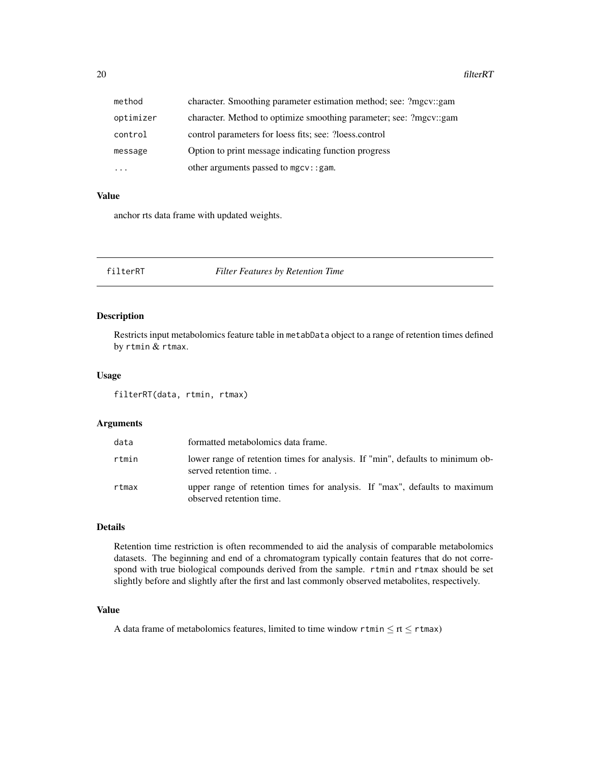<span id="page-19-0"></span>

| method    | character. Smoothing parameter estimation method; see: ?mgcv::gam  |
|-----------|--------------------------------------------------------------------|
| optimizer | character. Method to optimize smoothing parameter; see: ?mgcv::gam |
| control   | control parameters for loess fits; see: ?loess.control             |
| message   | Option to print message indicating function progress               |
| $\cdots$  | other arguments passed to mgcv:: gam.                              |

### Value

anchor rts data frame with updated weights.

### <span id="page-19-1"></span>filterRT *Filter Features by Retention Time*

### Description

Restricts input metabolomics feature table in metabData object to a range of retention times defined by rtmin & rtmax.

### Usage

filterRT(data, rtmin, rtmax)

### Arguments

| data  | formatted metabolomics data frame.                                                                      |
|-------|---------------------------------------------------------------------------------------------------------|
| rtmin | lower range of retention times for analysis. If "min", defaults to minimum ob-<br>served retention time |
| rtmax | upper range of retention times for analysis. If "max", defaults to maximum<br>observed retention time.  |

#### Details

Retention time restriction is often recommended to aid the analysis of comparable metabolomics datasets. The beginning and end of a chromatogram typically contain features that do not correspond with true biological compounds derived from the sample. rtmin and rtmax should be set slightly before and slightly after the first and last commonly observed metabolites, respectively.

### Value

A data frame of metabolomics features, limited to time window rtmin  $\leq$  rt  $\leq$  rtmax)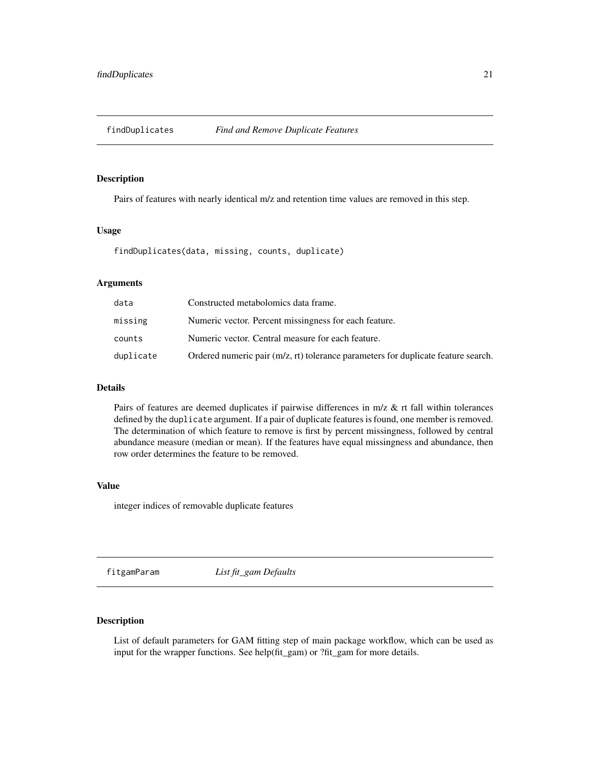<span id="page-20-1"></span><span id="page-20-0"></span>

Pairs of features with nearly identical m/z and retention time values are removed in this step.

#### Usage

findDuplicates(data, missing, counts, duplicate)

### Arguments

| data      | Constructed metabolomics data frame.                                                |
|-----------|-------------------------------------------------------------------------------------|
| missing   | Numeric vector. Percent missingness for each feature.                               |
| counts    | Numeric vector. Central measure for each feature.                                   |
| duplicate | Ordered numeric pair $(m/z, rt)$ tolerance parameters for duplicate feature search. |

### Details

Pairs of features are deemed duplicates if pairwise differences in m/z & rt fall within tolerances defined by the duplicate argument. If a pair of duplicate features is found, one member is removed. The determination of which feature to remove is first by percent missingness, followed by central abundance measure (median or mean). If the features have equal missingness and abundance, then row order determines the feature to be removed.

#### Value

integer indices of removable duplicate features

<span id="page-20-2"></span>fitgamParam *List fit\_gam Defaults*

### Description

List of default parameters for GAM fitting step of main package workflow, which can be used as input for the wrapper functions. See help(fit\_gam) or ?fit\_gam for more details.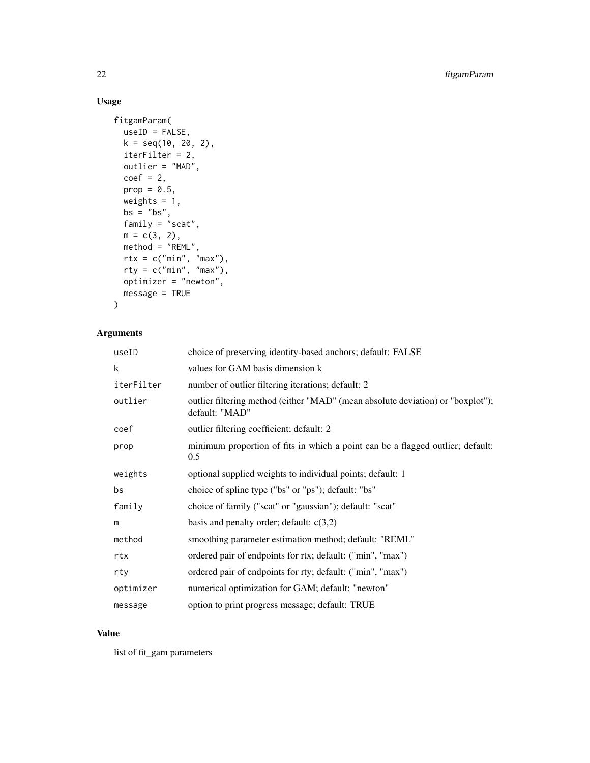### Usage

```
fitgamParam(
 useID = FALSE,
 k = seq(10, 20, 2),iterFilter = 2,
 outlier = "MAD",
 coef = 2,
 prop = 0.5,
 weights = 1,
 bs = "bs",family = \sqrt{n}scat",
 m = c(3, 2),
 method = "REML",rtx = c("min", "max"),
  rty = c("min", "max"),
 optimizer = "newton",
 message = TRUE
\mathcal{L}
```
### Arguments

| useID      | choice of preserving identity-based anchors; default: FALSE                                       |
|------------|---------------------------------------------------------------------------------------------------|
| k          | values for GAM basis dimension k                                                                  |
| iterFilter | number of outlier filtering iterations; default: 2                                                |
| outlier    | outlier filtering method (either "MAD" (mean absolute deviation) or "boxplot");<br>default: "MAD" |
| coef       | outlier filtering coefficient; default: 2                                                         |
| prop       | minimum proportion of fits in which a point can be a flagged outlier; default:<br>0.5             |
| weights    | optional supplied weights to individual points; default: 1                                        |
| bs         | choice of spline type ("bs" or "ps"); default: "bs"                                               |
| family     | choice of family ("scat" or "gaussian"); default: "scat"                                          |
| m          | basis and penalty order; default: $c(3,2)$                                                        |
| method     | smoothing parameter estimation method; default: "REML"                                            |
| rtx        | ordered pair of endpoints for rtx; default: ("min", "max")                                        |
| rty        | ordered pair of endpoints for rty; default: ("min", "max")                                        |
| optimizer  | numerical optimization for GAM; default: "newton"                                                 |
| message    | option to print progress message; default: TRUE                                                   |

#### Value

list of fit\_gam parameters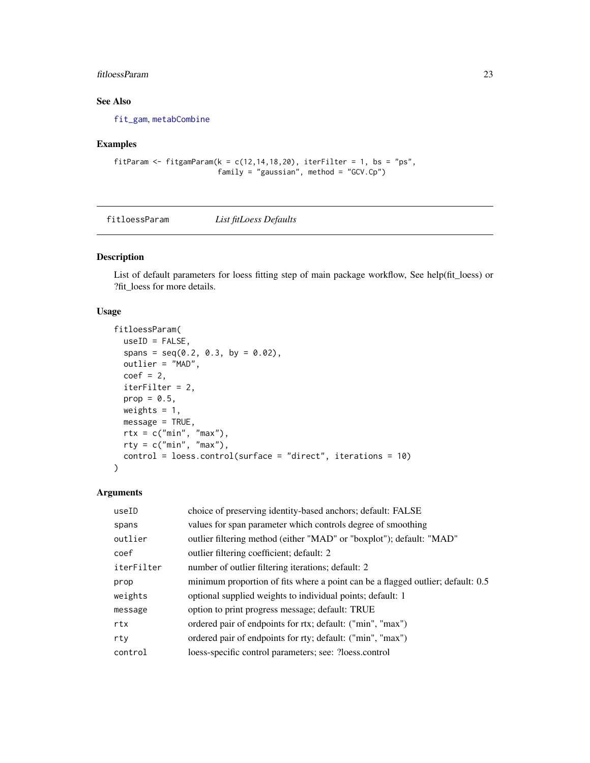### <span id="page-22-0"></span>fitloessParam 23

### See Also

[fit\\_gam](#page-23-1), [metabCombine](#page-43-1)

### Examples

```
fitParam <- fitgamParam(k = c(12, 14, 18, 20), iterFilter = 1, bs = "ps",
                        family = "gaussian", method = "GCV.Cp")
```
<span id="page-22-1"></span>fitloessParam *List fitLoess Defaults*

#### Description

List of default parameters for loess fitting step of main package workflow, See help(fit\_loess) or ?fit\_loess for more details.

#### Usage

```
fitloessParam(
  useID = FALSE,
  spans = seq(0.2, 0.3, by = 0.02),
  outlier = "MAD",
  coef = 2,
  iterFilter = 2,
 prop = 0.5,
 weights = 1,
 message = TRUE,
 rtx = c("min", "max"),
  rty = c("min", "max"),
  control = loess.control(surface = "direct", iterations = 10)
)
```
### Arguments

| useID      | choice of preserving identity-based anchors; default: FALSE                     |
|------------|---------------------------------------------------------------------------------|
| spans      | values for span parameter which controls degree of smoothing                    |
| outlier    | outlier filtering method (either "MAD" or "boxplot"); default: "MAD"            |
| coef       | outlier filtering coefficient; default: 2                                       |
| iterFilter | number of outlier filtering iterations; default: 2                              |
| prop       | minimum proportion of fits where a point can be a flagged outlier; default: 0.5 |
| weights    | optional supplied weights to individual points; default: 1                      |
| message    | option to print progress message; default: TRUE                                 |
| rtx        | ordered pair of endpoints for rtx; default: ("min", "max")                      |
| rty        | ordered pair of endpoints for rty; default: ("min", "max")                      |
| control    | loess-specific control parameters; see: ?loess.control                          |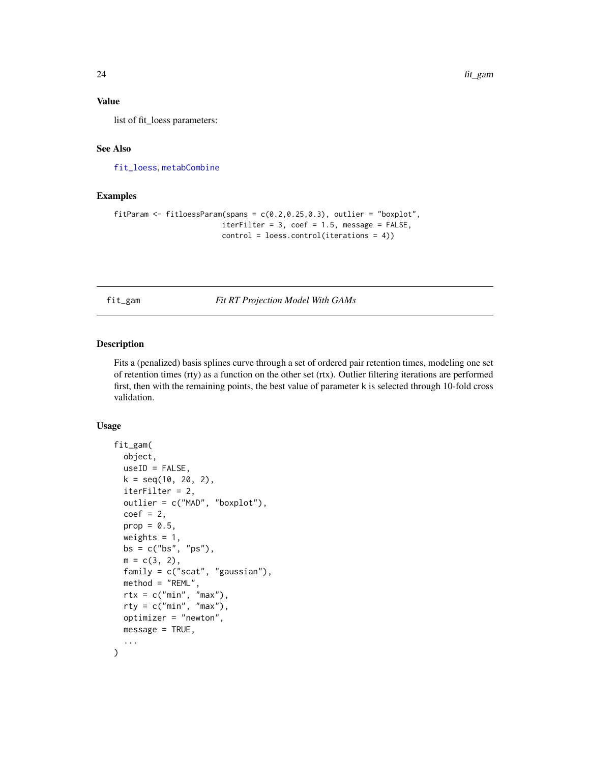### <span id="page-23-0"></span>Value

list of fit\_loess parameters:

### See Also

[fit\\_loess](#page-26-1), [metabCombine](#page-43-1)

### Examples

```
fitParam <- fitloessParam(spans = c(0.2, 0.25, 0.3), outlier = "boxplot",
                         iterFilter = 3, coef = 1.5, message = FALSE,
                         control = loess.control(iterations = 4))
```
<span id="page-23-1"></span>fit\_gam *Fit RT Projection Model With GAMs*

### Description

Fits a (penalized) basis splines curve through a set of ordered pair retention times, modeling one set of retention times (rty) as a function on the other set (rtx). Outlier filtering iterations are performed first, then with the remaining points, the best value of parameter k is selected through 10-fold cross validation.

### Usage

```
fit_gam(
 object,
 useID = FALSE,k = seq(10, 20, 2),
  iterFilter = 2,
  outlier = c("MAD", "boxplot"),
  coef = 2,
 prop = 0.5,
 weights = 1,
 bs = c("bs", "ps"),
 m = c(3, 2),
  family = c("scat", "gaussian"),
 method = "REML",
  rtx = c("min", "max"),
  rty = c("min", "max"),
 optimizer = "newton",
 message = TRUE,
  ...
)
```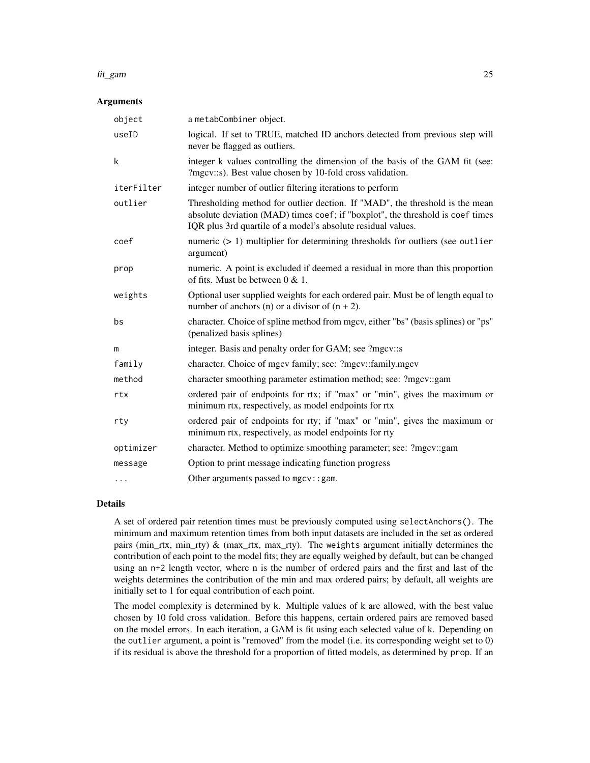#### fit\_gam 25

#### **Arguments**

| object     | a metabCombiner object.                                                                                                                                                                                                        |
|------------|--------------------------------------------------------------------------------------------------------------------------------------------------------------------------------------------------------------------------------|
| useID      | logical. If set to TRUE, matched ID anchors detected from previous step will<br>never be flagged as outliers.                                                                                                                  |
| k          | integer k values controlling the dimension of the basis of the GAM fit (see:<br>?mgcv::s). Best value chosen by 10-fold cross validation.                                                                                      |
| iterFilter | integer number of outlier filtering iterations to perform                                                                                                                                                                      |
| outlier    | Thresholding method for outlier dection. If "MAD", the threshold is the mean<br>absolute deviation (MAD) times coef; if "boxplot", the threshold is coef times<br>IQR plus 3rd quartile of a model's absolute residual values. |
| coef       | numeric $(> 1)$ multiplier for determining thresholds for outliers (see outlier<br>argument)                                                                                                                                   |
| prop       | numeric. A point is excluded if deemed a residual in more than this proportion<br>of fits. Must be between $0 & 1$ .                                                                                                           |
| weights    | Optional user supplied weights for each ordered pair. Must be of length equal to<br>number of anchors (n) or a divisor of $(n + 2)$ .                                                                                          |
| bs         | character. Choice of spline method from mgcv, either "bs" (basis splines) or "ps"<br>(penalized basis splines)                                                                                                                 |
| m          | integer. Basis and penalty order for GAM; see ?mgcv::s                                                                                                                                                                         |
| family     | character. Choice of mgcv family; see: ?mgcv::family.mgcv                                                                                                                                                                      |
| method     | character smoothing parameter estimation method; see: ?mgcv::gam                                                                                                                                                               |
| rtx        | ordered pair of endpoints for rtx; if "max" or "min", gives the maximum or<br>minimum rtx, respectively, as model endpoints for rtx                                                                                            |
| rty        | ordered pair of endpoints for rty; if "max" or "min", gives the maximum or<br>minimum rtx, respectively, as model endpoints for rty                                                                                            |
| optimizer  | character. Method to optimize smoothing parameter; see: ?mgcv::gam                                                                                                                                                             |
| message    | Option to print message indicating function progress                                                                                                                                                                           |
| $\cdots$   | Other arguments passed to mgcv::gam.                                                                                                                                                                                           |

### Details

A set of ordered pair retention times must be previously computed using selectAnchors(). The minimum and maximum retention times from both input datasets are included in the set as ordered pairs (min\_rtx, min\_rty) & (max\_rtx, max\_rty). The weights argument initially determines the contribution of each point to the model fits; they are equally weighed by default, but can be changed using an n+2 length vector, where n is the number of ordered pairs and the first and last of the weights determines the contribution of the min and max ordered pairs; by default, all weights are initially set to 1 for equal contribution of each point.

The model complexity is determined by k. Multiple values of k are allowed, with the best value chosen by 10 fold cross validation. Before this happens, certain ordered pairs are removed based on the model errors. In each iteration, a GAM is fit using each selected value of k. Depending on the outlier argument, a point is "removed" from the model (i.e. its corresponding weight set to 0) if its residual is above the threshold for a proportion of fitted models, as determined by prop. If an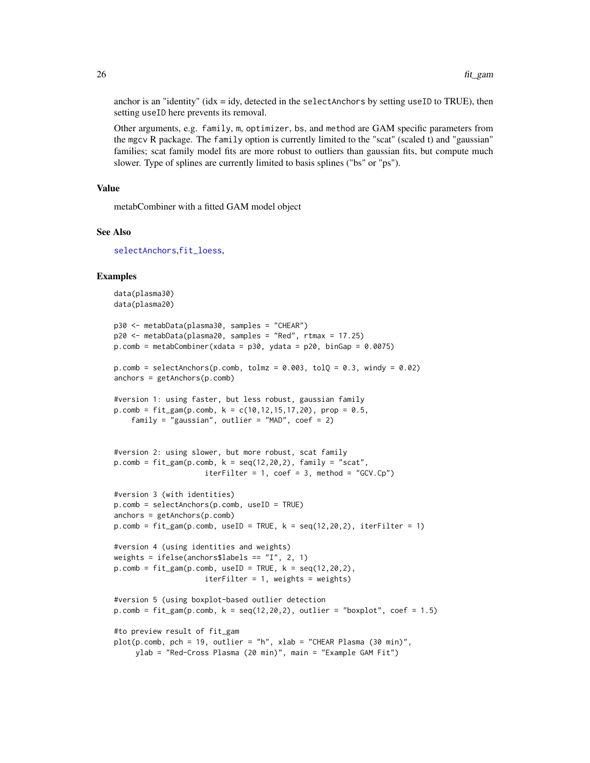anchor is an "identity" ( $idx = idy$ , detected in the selectAnchors by setting useID to TRUE), then setting useID here prevents its removal.

Other arguments, e.g. family, m, optimizer, bs, and method are GAM specific parameters from the mgcv R package. The family option is currently limited to the "scat" (scaled t) and "gaussian" families; scat family model fits are more robust to outliers than gaussian fits, but compute much slower. Type of splines are currently limited to basis splines ("bs" or "ps").

#### Value

metabCombiner with a fitted GAM model object

### See Also

[selectAnchors](#page-60-1),[fit\\_loess](#page-26-1),

```
data(plasma30)
data(plasma20)
p30 <- metabData(plasma30, samples = "CHEAR")
p20 <- metabData(plasma20, samples = "Red", rtmax = 17.25)
p_{\text{.com}} = \text{metabCombiner}(x data = p30, y data = p20, binGap = 0.0075)p.comb = selectAnchors(p.comb, tolmz = 0.003, tolQ = 0.3, windy = 0.02)
anchors = getAnchors(p.comb)
#version 1: using faster, but less robust, gaussian family
p_{\text{.com}} = \text{fit\_gam}(p_{\text{.com}}), k = c(10, 12, 15, 17, 20), prop = 0.5,family = "gaussian", outlier = "MAD", coef = 2)
#version 2: using slower, but more robust, scat family
p_{\text{.com}} = \text{fit\_gam}(p_{\text{.com}}), k = \text{seq}(12, 20, 2), \text{ family} = "scat",iterFilter = 1, \text{coef} = 3, method = "GCV.Cp")
#version 3 (with identities)
p.comb = selectAnchors(p.comb, useID = TRUE)
anchors = getAnchors(p.comb)p.comb = fit\_gam(p.comb, useID = TRUE, k = seq(12, 20, 2), iterFilter = 1)#version 4 (using identities and weights)
weights = ifelse(anchors$labels == "I", 2, 1)
p.comb = fit\_gam(p.comb, useID = TRUE, k = seq(12, 20, 2),iterFilter = 1, weights = weights)
#version 5 (using boxplot-based outlier detection
p.compile = fit\_gam(p.comb, k = seq(12, 20, 2), outlier = "boxplot", coef = 1.5)#to preview result of fit_gam
plot(p.comb, pch = 19, outlier = "h", xlab = "CHEAR Plasma (30 min)",ylab = "Red-Cross Plasma (20 min)", main = "Example GAM Fit")
```
<span id="page-25-0"></span>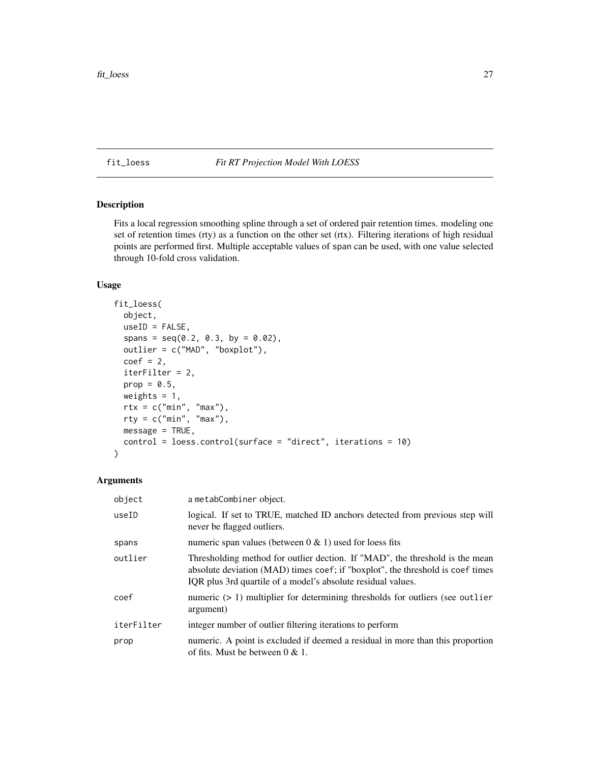### <span id="page-26-1"></span><span id="page-26-0"></span>fit\_loess *Fit RT Projection Model With LOESS*

#### Description

Fits a local regression smoothing spline through a set of ordered pair retention times. modeling one set of retention times (rty) as a function on the other set (rtx). Filtering iterations of high residual points are performed first. Multiple acceptable values of span can be used, with one value selected through 10-fold cross validation.

### Usage

```
fit_loess(
  object,
  useID = FALSE,spans = seq(0.2, 0.3, by = 0.02),
  outlier = c("MAD", "boxplot"),
  coef = 2,
  iterFilter = 2,
 prop = 0.5,
 weights = 1,
  rtx = c("min", "max"),
  rty = c("min", "max"),
 message = TRUE,
  control = loess.control(surface = "direct", iterations = 10)
)
```
#### Arguments

| object     | a metabCombiner object.                                                                                                                                                                                                        |
|------------|--------------------------------------------------------------------------------------------------------------------------------------------------------------------------------------------------------------------------------|
| useID      | logical. If set to TRUE, matched ID anchors detected from previous step will<br>never be flagged outliers.                                                                                                                     |
| spans      | numeric span values (between $0 \& 1$ ) used for loess fits                                                                                                                                                                    |
| outlier    | Thresholding method for outlier dection. If "MAD", the threshold is the mean<br>absolute deviation (MAD) times coef; if "boxplot", the threshold is coef times<br>IQR plus 3rd quartile of a model's absolute residual values. |
| coef       | numeric $(> 1)$ multiplier for determining thresholds for outliers (see outlier<br>argument)                                                                                                                                   |
| iterFilter | integer number of outlier filtering iterations to perform                                                                                                                                                                      |
| prop       | numeric. A point is excluded if deemed a residual in more than this proportion<br>of fits. Must be between $0 \& 1$ .                                                                                                          |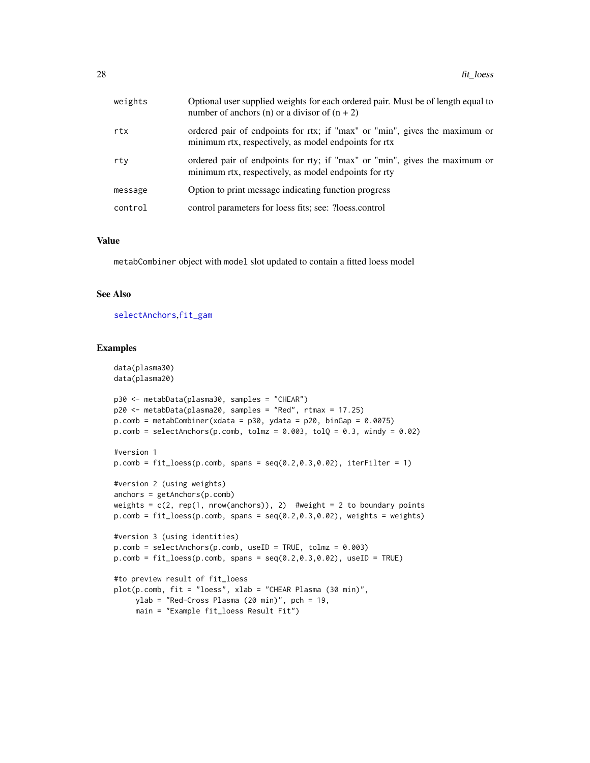<span id="page-27-0"></span>

| weights | Optional user supplied weights for each ordered pair. Must be of length equal to<br>number of anchors (n) or a divisor of $(n + 2)$ |
|---------|-------------------------------------------------------------------------------------------------------------------------------------|
| rtx     | ordered pair of endpoints for rtx; if "max" or "min", gives the maximum or<br>minimum rtx, respectively, as model endpoints for rtx |
| rty     | ordered pair of endpoints for rty; if "max" or "min", gives the maximum or<br>minimum rtx, respectively, as model endpoints for rty |
| message | Option to print message indicating function progress                                                                                |
| control | control parameters for loess fits; see: ?loess.control                                                                              |

#### Value

metabCombiner object with model slot updated to contain a fitted loess model

#### See Also

[selectAnchors](#page-60-1),[fit\\_gam](#page-23-1)

```
data(plasma30)
data(plasma20)
p30 <- metabData(plasma30, samples = "CHEAR")
p20 <- metabData(plasma20, samples = "Red", rtmax = 17.25)
p.comb = metabCombiner(xdata = p30, ydata = p20, binGap = 0.0075)p.comb = selectAnchors(p.comb, tolmz = 0.003, tolQ = 0.3, windy = 0.02)#version 1
p.comb = fit\_loess(p.comb, spans = seq(0.2, 0.3, 0.02), iterFilter = 1)#version 2 (using weights)
anchors = getAnchors(p.comb)
weights = c(2, rep(1, nrow(anchors)), 2) #weight = 2 to boundary points
p.compile = fit\_loess(p.comb, spans = seq(0.2, 0.3, 0.02), weights = weights)#version 3 (using identities)
p.comb = selectAnchors(p.comb, useID = TRUE, tolmz = 0.003)p.comb = fit\_loess(p.comb, spans = seq(0.2, 0.3, 0.02), useID = TRUE)#to preview result of fit_loess
plot(p.comb, fit = "loess", xlab = "CHEAR Plasma (30 min)",
    ylab = "Red-Cross Plasma (20 min)", pch = 19,
    main = "Example fit_loess Result Fit")
```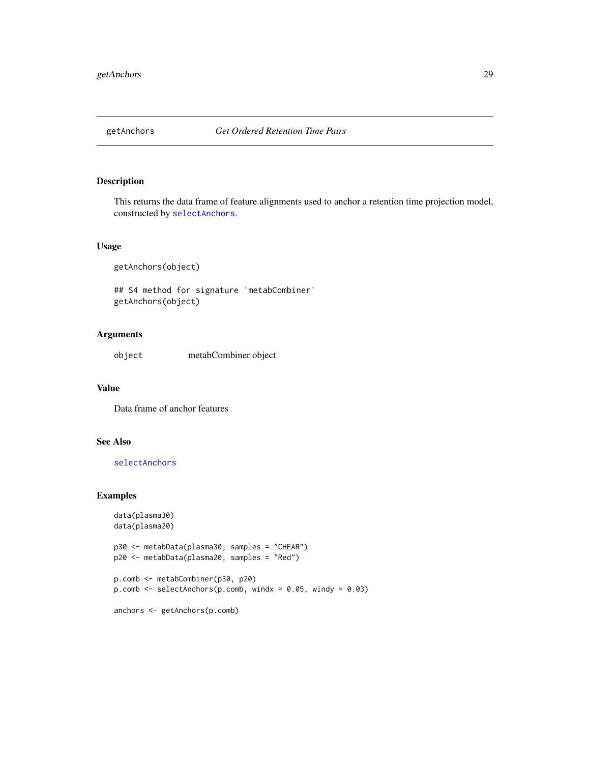<span id="page-28-1"></span><span id="page-28-0"></span>

This returns the data frame of feature alignments used to anchor a retention time projection model, constructed by [selectAnchors](#page-60-1).

#### Usage

getAnchors(object)

## S4 method for signature 'metabCombiner' getAnchors(object)

### Arguments

object metabCombiner object

### Value

Data frame of anchor features

### See Also

[selectAnchors](#page-60-1)

```
data(plasma30)
data(plasma20)
p30 <- metabData(plasma30, samples = "CHEAR")
p20 <- metabData(plasma20, samples = "Red")
p.comb <- metabCombiner(p30, p20)
p.comb \leq selectAnchors(p.comb, windx = 0.05, windy = 0.03)
anchors <- getAnchors(p.comb)
```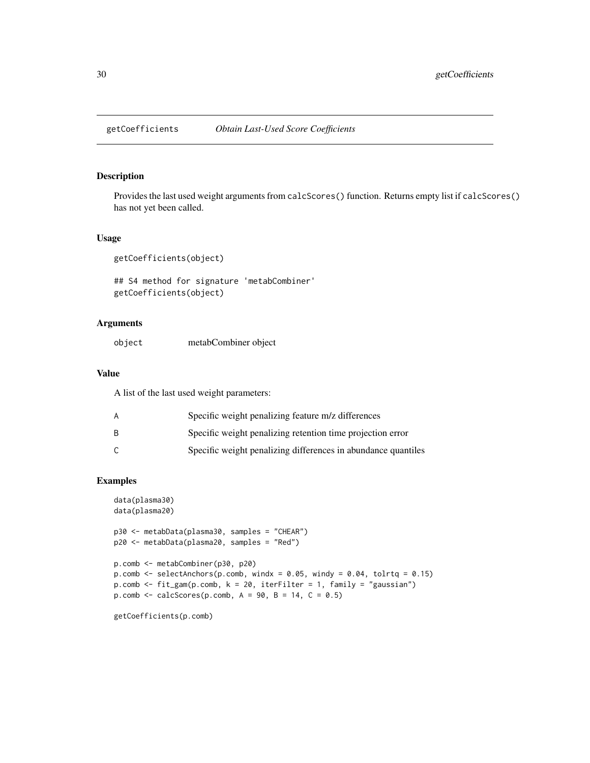<span id="page-29-0"></span>

Provides the last used weight arguments from calcScores() function. Returns empty list if calcScores() has not yet been called.

### Usage

```
getCoefficients(object)
```

```
## S4 method for signature 'metabCombiner'
getCoefficients(object)
```
### Arguments

| object | metabCombiner object |  |
|--------|----------------------|--|
|        |                      |  |

### Value

A list of the last used weight parameters:

| A  | Specific weight penalizing feature m/z differences            |
|----|---------------------------------------------------------------|
| B. | Specific weight penalizing retention time projection error    |
| ◠  | Specific weight penalizing differences in abundance quantiles |

```
data(plasma30)
data(plasma20)
p30 <- metabData(plasma30, samples = "CHEAR")
p20 <- metabData(plasma20, samples = "Red")
p.comb <- metabCombiner(p30, p20)
p.comb \leq selectAnchors(p.comb, windx = 0.05, windy = 0.04, tolrtq = 0.15)
p.comb <- fit_gam(p.comb, k = 20, iterFilter = 1, family = "gaussian")
p.comb \leq calcScores(p.comb, A = 90, B = 14, C = 0.5)
getCoefficients(p.comb)
```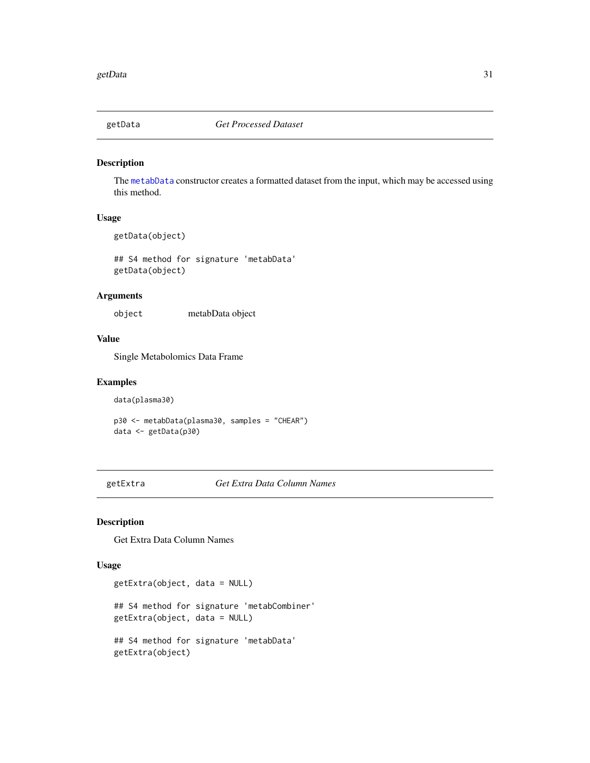<span id="page-30-0"></span>

The [metabData](#page-48-1) constructor creates a formatted dataset from the input, which may be accessed using this method.

### Usage

getData(object)

## S4 method for signature 'metabData' getData(object)

### Arguments

object metabData object

### Value

Single Metabolomics Data Frame

### Examples

data(plasma30)

p30 <- metabData(plasma30, samples = "CHEAR") data <- getData(p30)

getExtra *Get Extra Data Column Names*

### Description

Get Extra Data Column Names

#### Usage

```
getExtra(object, data = NULL)
## S4 method for signature 'metabCombiner'
getExtra(object, data = NULL)
## S4 method for signature 'metabData'
getExtra(object)
```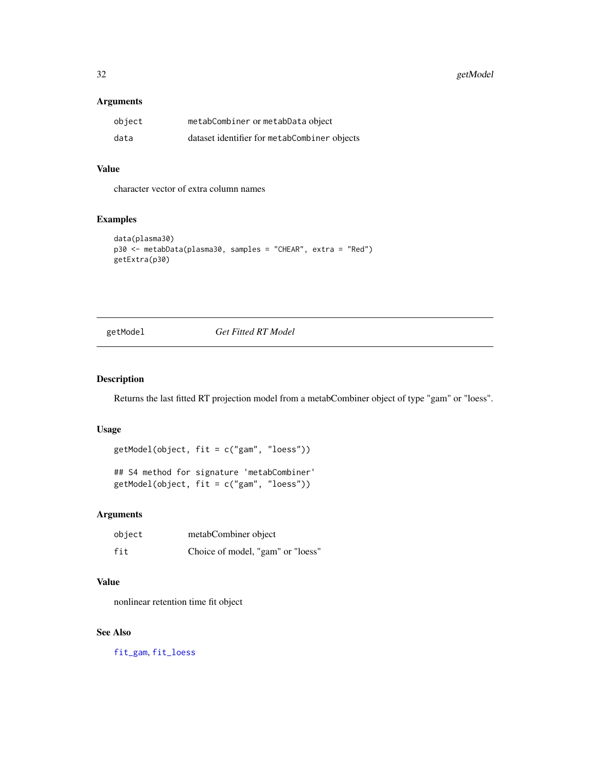<span id="page-31-0"></span>32 getModel

### Arguments

| object | metabCombiner or metabData object            |
|--------|----------------------------------------------|
| data   | dataset identifier for metabCombiner objects |

### Value

character vector of extra column names

### Examples

```
data(plasma30)
p30 <- metabData(plasma30, samples = "CHEAR", extra = "Red")
getExtra(p30)
```
getModel *Get Fitted RT Model*

### Description

Returns the last fitted RT projection model from a metabCombiner object of type "gam" or "loess".

### Usage

```
getModel(object, fit = c("gam", "loess"))
```
## S4 method for signature 'metabCombiner' getModel(object, fit = c("gam", "loess"))

### Arguments

| object | metabCombiner object              |
|--------|-----------------------------------|
| fit    | Choice of model, "gam" or "loess" |

### Value

nonlinear retention time fit object

### See Also

[fit\\_gam](#page-23-1), [fit\\_loess](#page-26-1)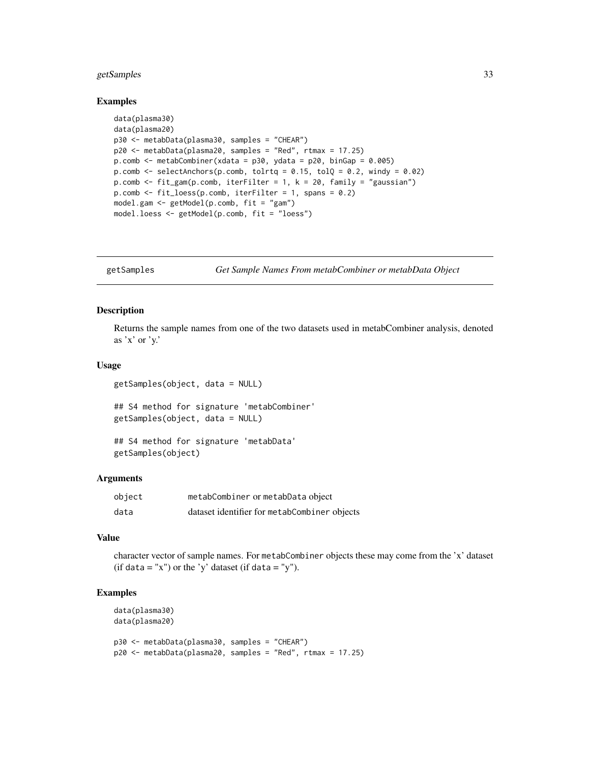### <span id="page-32-0"></span>getSamples 33

#### Examples

```
data(plasma30)
data(plasma20)
p30 <- metabData(plasma30, samples = "CHEAR")
p20 <- metabData(plasma20, samples = "Red", rtmax = 17.25)
p.comb <- metabCombiner(xdata = p30, ydata = p20, binGap = 0.005)
p.comb \leq selectAnchors(p.comb, tolrtq = 0.15, tolQ = 0.2, windy = 0.02)
p.comb <- fit_gam(p.comb, iterFilter = 1, k = 20, family = "gaussian")
p.comb \leq fit_loess(p.comb, iterFilter = 1, spans = 0.2)
model.gam <- getModel(p.comb, fit = "gam")
model.loess <- getModel(p.comb, fit = "loess")
```
getSamples *Get Sample Names From metabCombiner or metabData Object*

### Description

Returns the sample names from one of the two datasets used in metabCombiner analysis, denoted as 'x' or 'y.'

#### Usage

```
getSamples(object, data = NULL)
## S4 method for signature 'metabCombiner'
getSamples(object, data = NULL)
```

```
## S4 method for signature 'metabData'
getSamples(object)
```
#### Arguments

| object | metabCombiner or metabData object            |
|--------|----------------------------------------------|
| data   | dataset identifier for metabCombiner objects |

### Value

character vector of sample names. For metabCombiner objects these may come from the 'x' dataset (if data = "x") or the 'y' dataset (if data = "y").

```
data(plasma30)
data(plasma20)
```

```
p30 <- metabData(plasma30, samples = "CHEAR")
p20 <- metabData(plasma20, samples = "Red", rtmax = 17.25)
```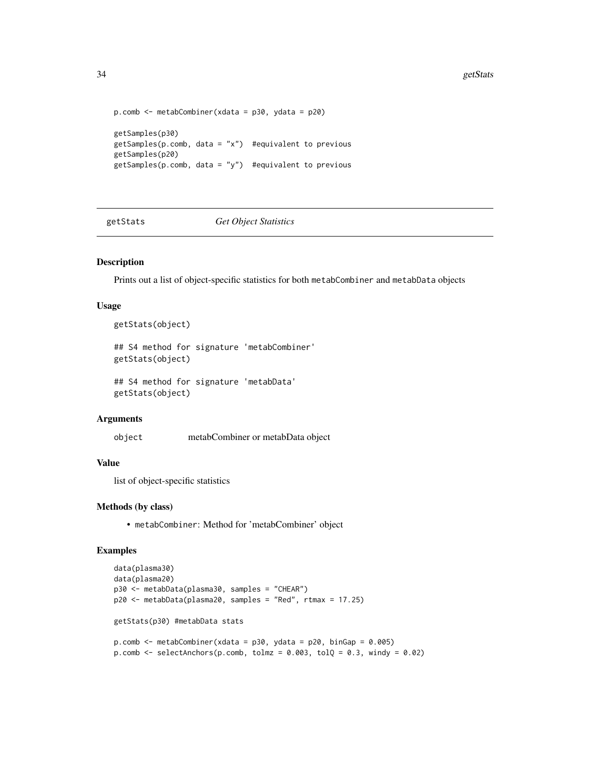```
p.comb <- metabCombiner(xdata = p30, ydata = p20)
getSamples(p30)
get Samples(p.comb, data = "x") #equivalent to previous
getSamples(p20)
get Samples(p.comb, data = "y") #equivalent to previous
```
getStats *Get Object Statistics*

#### Description

Prints out a list of object-specific statistics for both metabCombiner and metabData objects

#### Usage

getStats(object)

```
## S4 method for signature 'metabCombiner'
getStats(object)
```
## S4 method for signature 'metabData' getStats(object)

### Arguments

object metabCombiner or metabData object

#### Value

list of object-specific statistics

#### Methods (by class)

• metabCombiner: Method for 'metabCombiner' object

```
data(plasma30)
data(plasma20)
p30 <- metabData(plasma30, samples = "CHEAR")
p20 <- metabData(plasma20, samples = "Red", rtmax = 17.25)
getStats(p30) #metabData stats
p.comb \leq metabCombiner(xdata = p30, ydata = p20, binGap = 0.005)
p.comb \le selectAnchors(p.comb, tolmz = 0.003, tolQ = 0.3, windy = 0.02)
```
<span id="page-33-0"></span>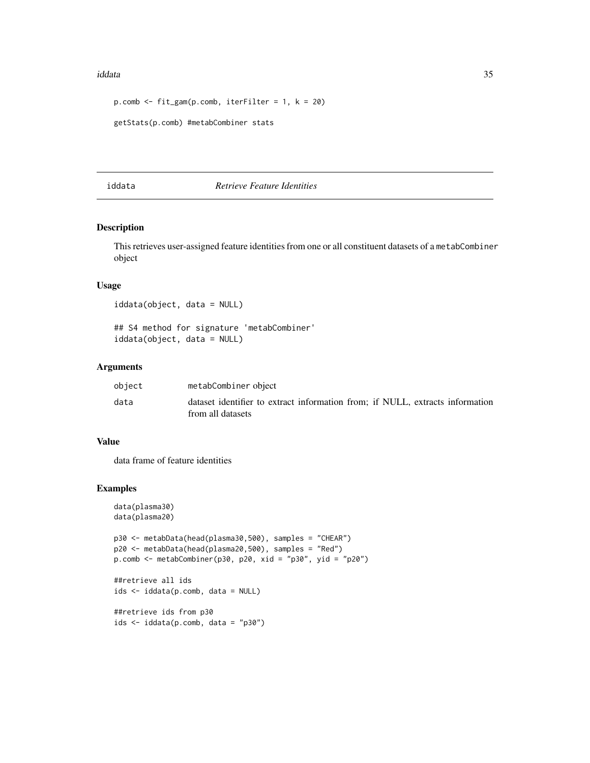#### <span id="page-34-0"></span>iddata 35

```
p.comb \leq fit_gam(p.comb, iterFilter = 1, k = 20)
getStats(p.comb) #metabCombiner stats
```
#### iddata *Retrieve Feature Identities*

### Description

This retrieves user-assigned feature identities from one or all constituent datasets of a metabCombiner object

### Usage

iddata(object, data = NULL)

## S4 method for signature 'metabCombiner' iddata(object, data = NULL)

### Arguments

| object | metabCombiner object                                                          |
|--------|-------------------------------------------------------------------------------|
| data   | dataset identifier to extract information from; if NULL, extracts information |
|        | from all datasets                                                             |

### Value

data frame of feature identities

```
data(plasma30)
data(plasma20)
p30 <- metabData(head(plasma30,500), samples = "CHEAR")
p20 <- metabData(head(plasma20,500), samples = "Red")
p.comb <- metabCombiner(p30, p20, xid = "p30", yid = "p20")
##retrieve all ids
ids <- iddata(p.comb, data = NULL)
##retrieve ids from p30
ids <- iddata(p.comb, data = "p30")
```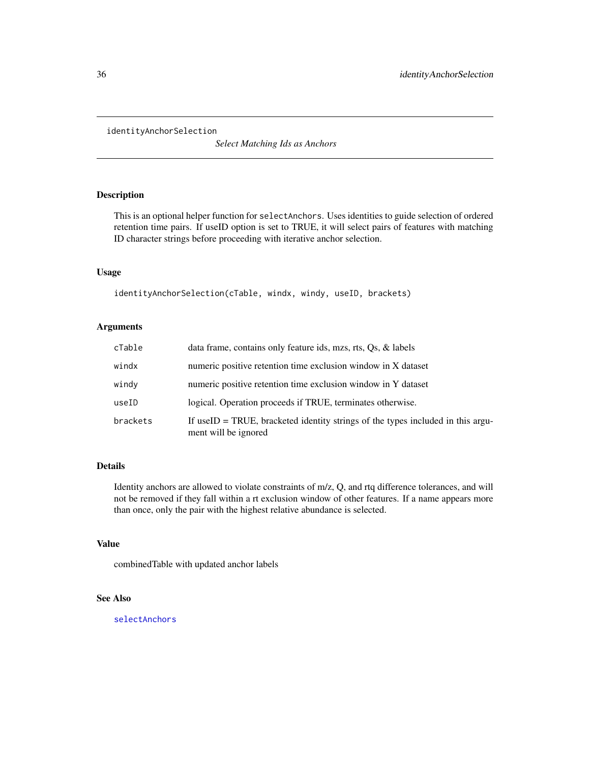<span id="page-35-0"></span>identityAnchorSelection

*Select Matching Ids as Anchors*

### Description

This is an optional helper function for selectAnchors. Uses identities to guide selection of ordered retention time pairs. If useID option is set to TRUE, it will select pairs of features with matching ID character strings before proceeding with iterative anchor selection.

#### Usage

```
identityAnchorSelection(cTable, windx, windy, useID, brackets)
```
#### Arguments

| $c$ Table | data frame, contains only feature ids, mzs, rts, Qs, & labels                                           |
|-----------|---------------------------------------------------------------------------------------------------------|
| windx     | numeric positive retention time exclusion window in X dataset                                           |
| windy     | numeric positive retention time exclusion window in Y dataset                                           |
| useID     | logical. Operation proceeds if TRUE, terminates otherwise.                                              |
| brackets  | If useID = TRUE, bracketed identity strings of the types included in this argu-<br>ment will be ignored |

### Details

Identity anchors are allowed to violate constraints of m/z, Q, and rtq difference tolerances, and will not be removed if they fall within a rt exclusion window of other features. If a name appears more than once, only the pair with the highest relative abundance is selected.

#### Value

combinedTable with updated anchor labels

### See Also

[selectAnchors](#page-60-1)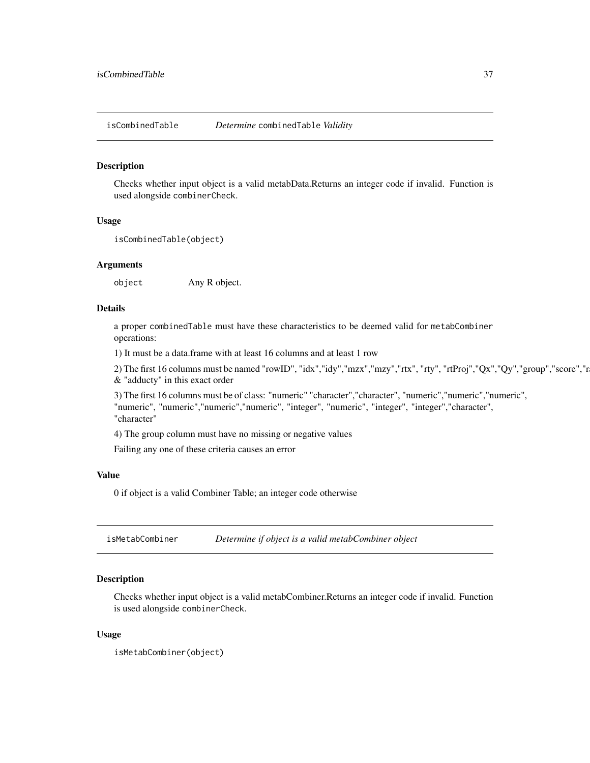<span id="page-36-0"></span>isCombinedTable *Determine* combinedTable *Validity*

#### Description

Checks whether input object is a valid metabData.Returns an integer code if invalid. Function is used alongside combinerCheck.

#### Usage

```
isCombinedTable(object)
```
### Arguments

object Any R object.

### Details

a proper combinedTable must have these characteristics to be deemed valid for metabCombiner operations:

1) It must be a data.frame with at least 16 columns and at least 1 row

2) The first 16 columns must be named "rowID", "idx","idy","mzx","mzy","rtx", "rty", "rtProj","Qx","Qy","group","score","r & "adducty" in this exact order

3) The first 16 columns must be of class: "numeric" "character","character", "numeric","numeric","numeric", "numeric", "numeric","numeric","numeric", "integer", "numeric", "integer", "integer","character", "character"

4) The group column must have no missing or negative values

Failing any one of these criteria causes an error

#### Value

0 if object is a valid Combiner Table; an integer code otherwise

isMetabCombiner *Determine if object is a valid metabCombiner object*

#### **Description**

Checks whether input object is a valid metabCombiner.Returns an integer code if invalid. Function is used alongside combinerCheck.

#### Usage

```
isMetabCombiner(object)
```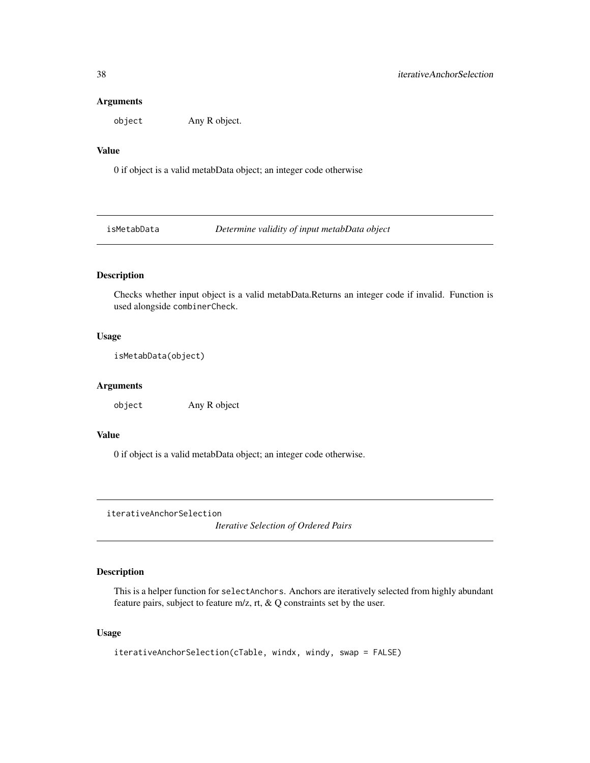#### <span id="page-37-0"></span>Arguments

object Any R object.

### Value

0 if object is a valid metabData object; an integer code otherwise

isMetabData *Determine validity of input metabData object*

### Description

Checks whether input object is a valid metabData.Returns an integer code if invalid. Function is used alongside combinerCheck.

#### Usage

```
isMetabData(object)
```
#### Arguments

object Any R object

### Value

0 if object is a valid metabData object; an integer code otherwise.

iterativeAnchorSelection

*Iterative Selection of Ordered Pairs*

### Description

This is a helper function for selectAnchors. Anchors are iteratively selected from highly abundant feature pairs, subject to feature m/z, rt, & Q constraints set by the user.

#### Usage

iterativeAnchorSelection(cTable, windx, windy, swap = FALSE)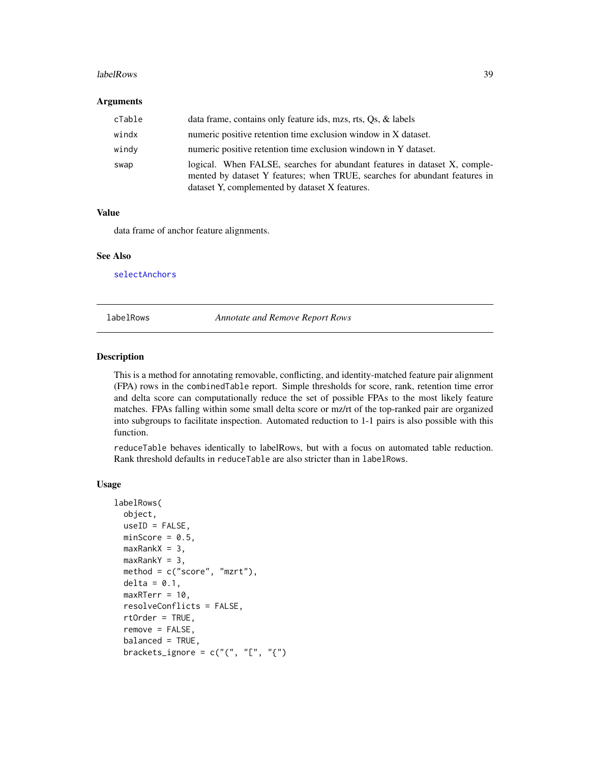#### <span id="page-38-0"></span>labelRows 39

#### **Arguments**

| cTable | data frame, contains only feature ids, mzs, rts, Os, & labels                                                                                                                                             |
|--------|-----------------------------------------------------------------------------------------------------------------------------------------------------------------------------------------------------------|
| windx  | numeric positive retention time exclusion window in X dataset.                                                                                                                                            |
| windy  | numeric positive retention time exclusion windown in Y dataset.                                                                                                                                           |
| swap   | logical. When FALSE, searches for abundant features in dataset X, comple-<br>mented by dataset Y features; when TRUE, searches for abundant features in<br>dataset Y, complemented by dataset X features. |

### Value

data frame of anchor feature alignments.

#### See Also

[selectAnchors](#page-60-1)

<span id="page-38-1"></span>labelRows *Annotate and Remove Report Rows*

### <span id="page-38-2"></span>Description

This is a method for annotating removable, conflicting, and identity-matched feature pair alignment (FPA) rows in the combinedTable report. Simple thresholds for score, rank, retention time error and delta score can computationally reduce the set of possible FPAs to the most likely feature matches. FPAs falling within some small delta score or mz/rt of the top-ranked pair are organized into subgroups to facilitate inspection. Automated reduction to 1-1 pairs is also possible with this function.

reduceTable behaves identically to labelRows, but with a focus on automated table reduction. Rank threshold defaults in reduceTable are also stricter than in labelRows.

#### Usage

```
labelRows(
 object,
 useID = FALSE,
 minScore = 0.5,
 maxRankX = 3,
 maxRankY = 3,
 method = c("score", "mzrt"),
 delta = 0.1,
 maxRTerm = 10,
  resolveConflicts = FALSE,
  rtOrder = TRUE,
  remove = FALSE,balanced = TRUE,
 brackets_ignore = c("", "["", "{'"}
```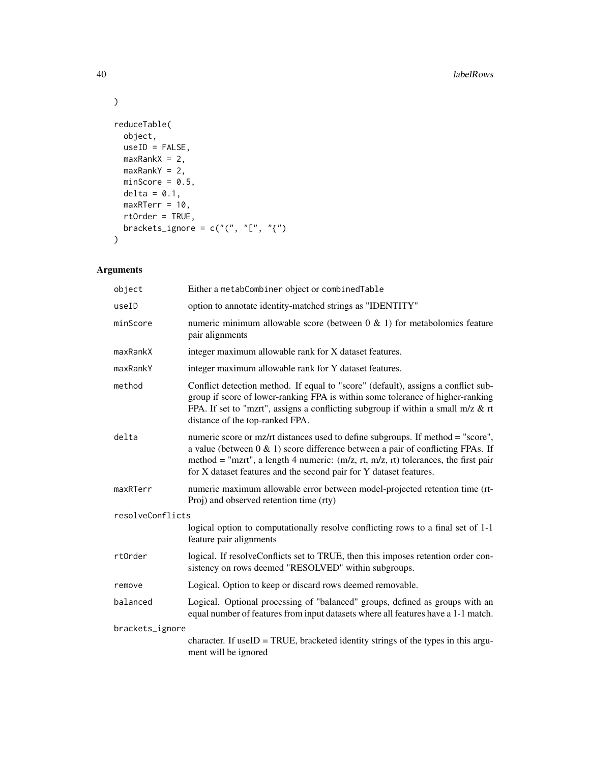```
reduceTable(
 object,
 useID = FALSE,
 maxRankX = 2,maxRankY = 2,minScore = 0.5,
 delta = 0.1,
 maxRTerr = 10,
 rtOrder = TRUE,
 brackets_ignore = c("", "["", "["])\mathcal{L}
```
## Arguments

| object           | Either a metabCombiner object or combinedTable                                                                                                                                                                                                                                                                                       |  |
|------------------|--------------------------------------------------------------------------------------------------------------------------------------------------------------------------------------------------------------------------------------------------------------------------------------------------------------------------------------|--|
| useID            | option to annotate identity-matched strings as "IDENTITY"                                                                                                                                                                                                                                                                            |  |
| minScore         | numeric minimum allowable score (between $0 \& 1$ ) for metabolomics feature<br>pair alignments                                                                                                                                                                                                                                      |  |
| maxRankX         | integer maximum allowable rank for X dataset features.                                                                                                                                                                                                                                                                               |  |
| maxRankY         | integer maximum allowable rank for Y dataset features.                                                                                                                                                                                                                                                                               |  |
| method           | Conflict detection method. If equal to "score" (default), assigns a conflict sub-<br>group if score of lower-ranking FPA is within some tolerance of higher-ranking<br>FPA. If set to "mzrt", assigns a conflicting subgroup if within a small m/z & rt<br>distance of the top-ranked FPA.                                           |  |
| delta            | numeric score or mz/rt distances used to define subgroups. If method = "score",<br>a value (between $0 \& 1$ ) score difference between a pair of conflicting FPAs. If<br>method = "mzrt", a length 4 numeric: $(m/z, rt, m/z, rt)$ tolerances, the first pair<br>for X dataset features and the second pair for Y dataset features. |  |
| maxRTerr         | numeric maximum allowable error between model-projected retention time (rt-<br>Proj) and observed retention time (rty)                                                                                                                                                                                                               |  |
| resolveConflicts |                                                                                                                                                                                                                                                                                                                                      |  |
|                  | logical option to computationally resolve conflicting rows to a final set of 1-1<br>feature pair alignments                                                                                                                                                                                                                          |  |
| rtOrder          | logical. If resolveConflicts set to TRUE, then this imposes retention order con-<br>sistency on rows deemed "RESOLVED" within subgroups.                                                                                                                                                                                             |  |
| remove           | Logical. Option to keep or discard rows deemed removable.                                                                                                                                                                                                                                                                            |  |
| balanced         | Logical. Optional processing of "balanced" groups, defined as groups with an<br>equal number of features from input datasets where all features have a 1-1 match.                                                                                                                                                                    |  |
| brackets_ignore  |                                                                                                                                                                                                                                                                                                                                      |  |
|                  | character. If use $ID = TRUE$ , bracketed identity strings of the types in this argu-<br>ment will be ignored                                                                                                                                                                                                                        |  |

 $\lambda$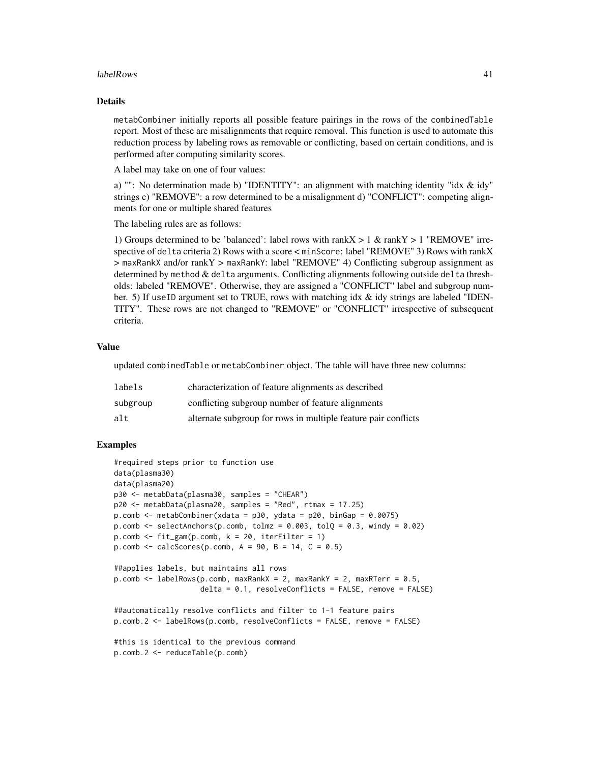#### labelRows 41

#### Details

metabCombiner initially reports all possible feature pairings in the rows of the combinedTable report. Most of these are misalignments that require removal. This function is used to automate this reduction process by labeling rows as removable or conflicting, based on certain conditions, and is performed after computing similarity scores.

A label may take on one of four values:

a) "": No determination made b) "IDENTITY": an alignment with matching identity "idx & idy" strings c) "REMOVE": a row determined to be a misalignment d) "CONFLICT": competing alignments for one or multiple shared features

The labeling rules are as follows:

1) Groups determined to be 'balanced': label rows with rank $X > 1$  & rank $Y > 1$  "REMOVE" irrespective of delta criteria 2) Rows with a score < minScore: label "REMOVE" 3) Rows with rankX > maxRankX and/or rankY > maxRankY: label "REMOVE" 4) Conflicting subgroup assignment as determined by method & delta arguments. Conflicting alignments following outside delta thresholds: labeled "REMOVE". Otherwise, they are assigned a "CONFLICT" label and subgroup number. 5) If useID argument set to TRUE, rows with matching idx & idy strings are labeled "IDEN-TITY". These rows are not changed to "REMOVE" or "CONFLICT" irrespective of subsequent criteria.

#### Value

updated combinedTable or metabCombiner object. The table will have three new columns:

| labels   | characterization of feature alignments as described            |
|----------|----------------------------------------------------------------|
| subgroup | conflicting subgroup number of feature alignments              |
| alt      | alternate subgroup for rows in multiple feature pair conflicts |

```
#required steps prior to function use
data(plasma30)
data(plasma20)
p30 <- metabData(plasma30, samples = "CHEAR")
p20 <- metabData(plasma20, samples = "Red", rtmax = 17.25)
p.comb \leq metabCombiner(xdata = p30, ydata = p20, binGap = 0.0075)
p.comb \leq selectAnchors(p.comb, tolmz = 0.003, tolQ = 0.3, windy = 0.02)
p.comb \leq fit\_gam(p.comb, k = 20, iterFilter = 1)p.comb \leq calcScores(p.comb, A = 90, B = 14, C = 0.5)
##applies labels, but maintains all rows
p.comb <- labelRows(p.comb, maxRankX = 2, maxRankY = 2, maxRTerr = 0.5,
                    delta = 0.1, resolveConflicts = FALSE, remove = FALSE)
##automatically resolve conflicts and filter to 1-1 feature pairs
p.comb.2 <- labelRows(p.comb, resolveConflicts = FALSE, remove = FALSE)
#this is identical to the previous command
p.comb.2 <- reduceTable(p.comb)
```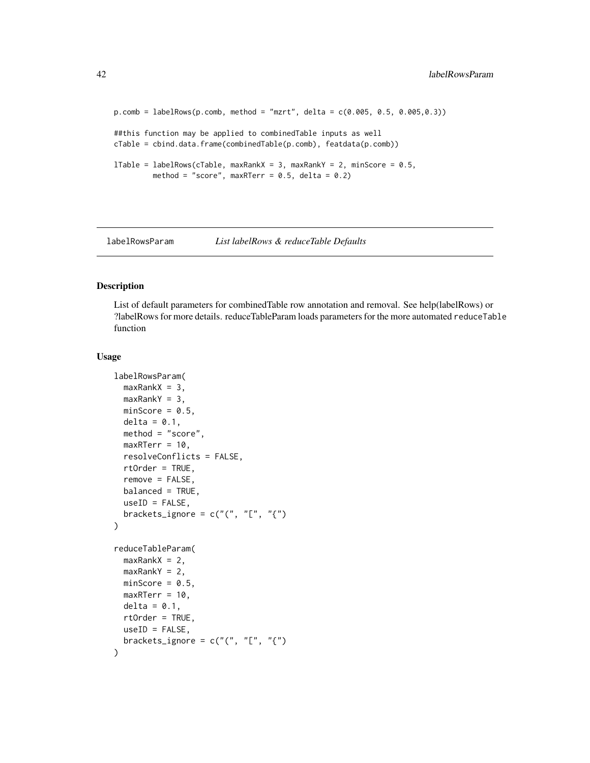```
p.comb = labelRows(p.comb, method = "mzrt", delta = c(0.005, 0.5, 0.005, 0.3))##this function may be applied to combinedTable inputs as well
cTable = cbind.data.frame(combinedTable(p.comb), featdata(p.comb))
lTable = labelRows(cTable, maxRankX = 3, maxRankY = 2, minScore = 0.5,
        method = "score", maxRTerr = 0.5, delta = 0.2)
```
<span id="page-41-1"></span>labelRowsParam *List labelRows & reduceTable Defaults*

### Description

List of default parameters for combinedTable row annotation and removal. See help(labelRows) or ?labelRows for more details. reduceTableParam loads parameters for the more automated reduceTable function

#### Usage

```
labelRowsParam(
  maxRankX = 3,
  maxRankY = 3,
 minScore = 0.5,
  delta = 0.1,
  method = "score",
  maxRTerm = 10,
  resolveConflicts = FALSE,
  rtOrder = TRUE,
  remove = FALSE,balanced = TRUE,
  useID = FALSE,brackets_ignore = c("", "["", "{'"})
reduceTableParam(
  maxRankX = 2,maxRankY = 2,
 minScore = 0.5,
  maxRTerm = 10,
  delta = 0.1,
  rtOrder = TRUE,
  useID = FALSE,brackets_ignore = c("("", "["", "(""))
```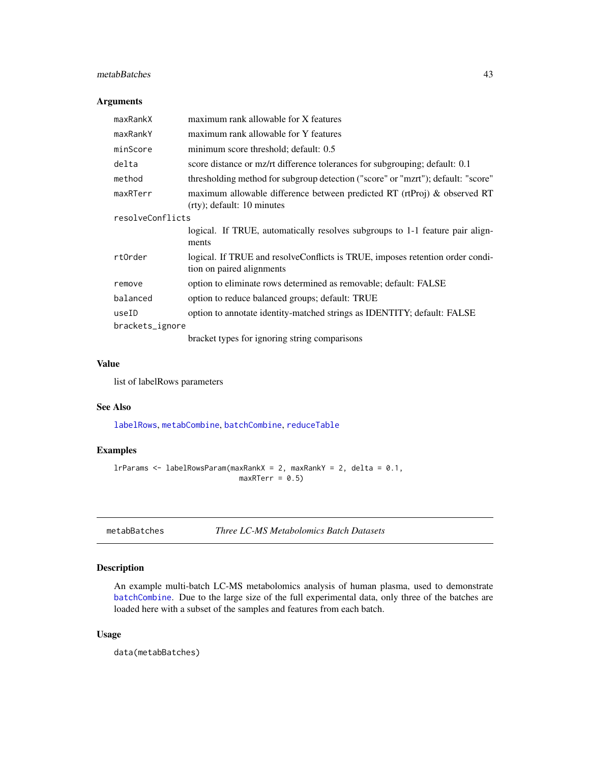### <span id="page-42-0"></span>metabBatches 43

### Arguments

| maxRankX         | maximum rank allowable for X features                                                                       |  |
|------------------|-------------------------------------------------------------------------------------------------------------|--|
| maxRankY         | maximum rank allowable for Y features                                                                       |  |
| minScore         | minimum score threshold; default: 0.5                                                                       |  |
| delta            | score distance or mz/rt difference tolerances for subgrouping; default: 0.1                                 |  |
| method           | thresholding method for subgroup detection ("score" or "mzrt"); default: "score"                            |  |
| maxRTerr         | maximum allowable difference between predicted RT (rtProj) & observed RT<br>$(rty)$ ; default: 10 minutes   |  |
| resolveConflicts |                                                                                                             |  |
|                  | logical. If TRUE, automatically resolves subgroups to 1-1 feature pair align-<br>ments                      |  |
| rtOrder          | logical. If TRUE and resolve Conflicts is TRUE, imposes retention order condi-<br>tion on paired alignments |  |
| remove           | option to eliminate rows determined as removable; default: FALSE                                            |  |
| balanced         | option to reduce balanced groups; default: TRUE                                                             |  |
| useID            | option to annotate identity-matched strings as IDENTITY; default: FALSE                                     |  |
| brackets_ignore  |                                                                                                             |  |
|                  | bracket types for ignoring string comparisons                                                               |  |

#### Value

list of labelRows parameters

### See Also

[labelRows](#page-38-1), [metabCombine](#page-43-1), [batchCombine](#page-4-1), [reduceTable](#page-38-2)

### Examples

```
lrParams \leq labelRowsParam(maxRankX = 2, maxRankY = 2, delta = 0.1,
                             maxRTerm = 0.5
```
metabBatches *Three LC-MS Metabolomics Batch Datasets*

### Description

An example multi-batch LC-MS metabolomics analysis of human plasma, used to demonstrate [batchCombine](#page-4-1). Due to the large size of the full experimental data, only three of the batches are loaded here with a subset of the samples and features from each batch.

#### Usage

data(metabBatches)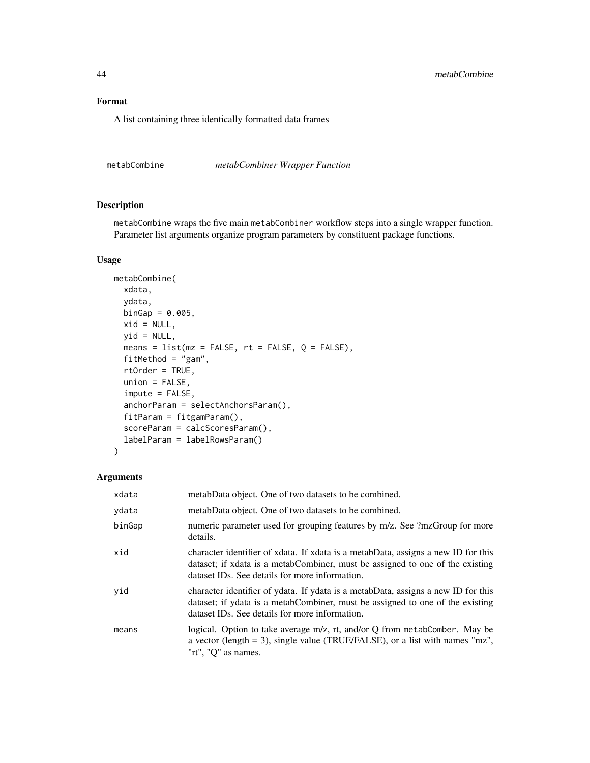A list containing three identically formatted data frames

<span id="page-43-1"></span>metabCombine *metabCombiner Wrapper Function*

### Description

metabCombine wraps the five main metabCombiner workflow steps into a single wrapper function. Parameter list arguments organize program parameters by constituent package functions.

#### Usage

```
metabCombine(
  xdata,
  ydata,
 binGap = 0.005,
 xid = NULL,yid = NULL,means = list(mx = FALSE, rt = FALSE, Q = FALSE),fitMethod = "gam",
  rtOrder = TRUE,
  union = FALSE,
  impute = FALSE,
  anchorParam = selectAnchorsParam(),
  fitParam = fitgamParam(),
  scoreParam = calcScoresParam(),
  labelParam = labelRowsParam()
)
```
### Arguments

| xdata  | metabData object. One of two datasets to be combined.                                                                                                                                                                             |
|--------|-----------------------------------------------------------------------------------------------------------------------------------------------------------------------------------------------------------------------------------|
| ydata  | metabData object. One of two datasets to be combined.                                                                                                                                                                             |
| binGap | numeric parameter used for grouping features by m/z. See ?mzGroup for more<br>details.                                                                                                                                            |
| xid    | character identifier of xdata. If xdata is a metabData, assigns a new ID for this<br>dataset; if xdata is a metabCombiner, must be assigned to one of the existing<br>dataset ID <sub>s</sub> . See details for more information. |
| yid    | character identifier of ydata. If ydata is a metabData, assigns a new ID for this<br>dataset; if ydata is a metabCombiner, must be assigned to one of the existing<br>dataset ID <sub>s</sub> . See details for more information. |
| means  | logical. Option to take average m/z, rt, and/or Q from metabComber. May be<br>a vector (length $=$ 3), single value (TRUE/FALSE), or a list with names "mz",<br>" $rt$ ", " $Q$ " as names.                                       |

<span id="page-43-0"></span>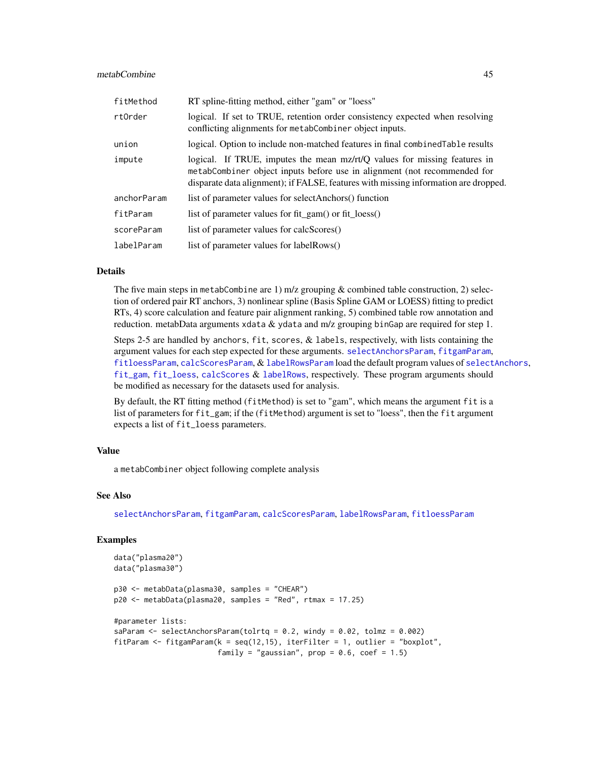### <span id="page-44-0"></span>metabCombine 45

| fitMethod   | RT spline-fitting method, either "gam" or "loess"                                                                                                                                                                                            |
|-------------|----------------------------------------------------------------------------------------------------------------------------------------------------------------------------------------------------------------------------------------------|
| rtOrder     | logical. If set to TRUE, retention order consistency expected when resolving<br>conflicting alignments for metabCombiner object inputs.                                                                                                      |
| union       | logical. Option to include non-matched features in final combined Table results                                                                                                                                                              |
| impute      | logical. If TRUE, imputes the mean mz/rt/Q values for missing features in<br>metabCombiner object inputs before use in alignment (not recommended for<br>disparate data alignment); if FALSE, features with missing information are dropped. |
| anchorParam | list of parameter values for selectAnchors() function                                                                                                                                                                                        |
| fitParam    | list of parameter values for fit_gam() or fit_loess()                                                                                                                                                                                        |
| scoreParam  | list of parameter values for calcScores()                                                                                                                                                                                                    |
| labelParam  | list of parameter values for labelRows()                                                                                                                                                                                                     |

#### Details

The five main steps in metabCombine are 1) m/z grouping  $&$  combined table construction, 2) selection of ordered pair RT anchors, 3) nonlinear spline (Basis Spline GAM or LOESS) fitting to predict RTs, 4) score calculation and feature pair alignment ranking, 5) combined table row annotation and reduction. metabData arguments xdata & ydata and m/z grouping binGap are required for step 1.

Steps 2-5 are handled by anchors, fit, scores, & labels, respectively, with lists containing the argument values for each step expected for these arguments. [selectAnchorsParam](#page-62-1), [fitgamParam](#page-20-2), [fitloessParam](#page-22-1), [calcScoresParam](#page-9-1), & [labelRowsParam](#page-41-1) load the default program values of [selectAnchors](#page-60-1), [fit\\_gam](#page-23-1), [fit\\_loess](#page-26-1), [calcScores](#page-6-1) & [labelRows](#page-38-1), respectively. These program arguments should be modified as necessary for the datasets used for analysis.

By default, the RT fitting method (fitMethod) is set to "gam", which means the argument fit is a list of parameters for fit\_gam; if the (fitMethod) argument is set to "loess", then the fit argument expects a list of fit\_loess parameters.

### Value

a metabCombiner object following complete analysis

#### See Also

[selectAnchorsParam](#page-62-1), [fitgamParam](#page-20-2), [calcScoresParam](#page-9-1), [labelRowsParam](#page-41-1), [fitloessParam](#page-22-1)

```
data("plasma20")
data("plasma30")
p30 <- metabData(plasma30, samples = "CHEAR")
p20 <- metabData(plasma20, samples = "Red", rtmax = 17.25)
#parameter lists:
saParam <- selectAnchorsParam(tolrtq = 0.2, windy = 0.02, tolmz = 0.002)
fitParam <- fitgamParam(k = \text{seq}(12, 15), iterFilter = 1, outlier = "boxplot",
                        family = "gaussian", prop = 0.6, coef = 1.5)
```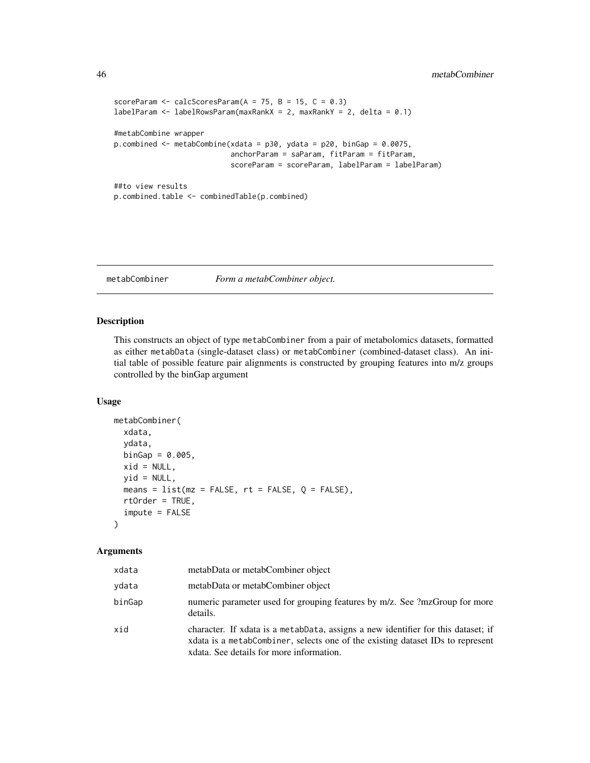```
scoreParam \leq calcScoresParam(A = 75, B = 15, C = 0.3)
labelParam <- labelRowsParam(maxRankX = 2, maxRankY = 2, delta = 0.1)
#metabCombine wrapper
p.combined <- metabCombine(xdata = p30, ydata = p20, binGap = 0.0075,
                           anchorParam = saParam, fitParam = fitParam,
                           scoreParam = scoreParam, labelParam = labelParam)
##to view results
p.combined.table <- combinedTable(p.combined)
```
<span id="page-45-1"></span>metabCombiner *Form a metabCombiner object.*

### Description

This constructs an object of type metabCombiner from a pair of metabolomics datasets, formatted as either metabData (single-dataset class) or metabCombiner (combined-dataset class). An initial table of possible feature pair alignments is constructed by grouping features into m/z groups controlled by the binGap argument

#### Usage

```
metabCombiner(
  xdata,
 ydata,
 binGap = 0.005,xid = NULL,yid = NULL,means = list(mx = FALSE, rt = FALSE, Q = FALSE),rtOrder = TRUE,
  impute = FALSE
)
```
#### Arguments

| xdata  | metabData or metabCombiner object                                                                                                                                                                               |
|--------|-----------------------------------------------------------------------------------------------------------------------------------------------------------------------------------------------------------------|
| vdata  | metabData or metabCombiner object                                                                                                                                                                               |
| binGap | numeric parameter used for grouping features by m/z. See ?mzGroup for more<br>details.                                                                                                                          |
| xid    | character. If xdata is a metabData, assigns a new identifier for this dataset; if<br>xdata is a metabCombiner, selects one of the existing dataset IDs to represent<br>xdata. See details for more information. |

<span id="page-45-0"></span>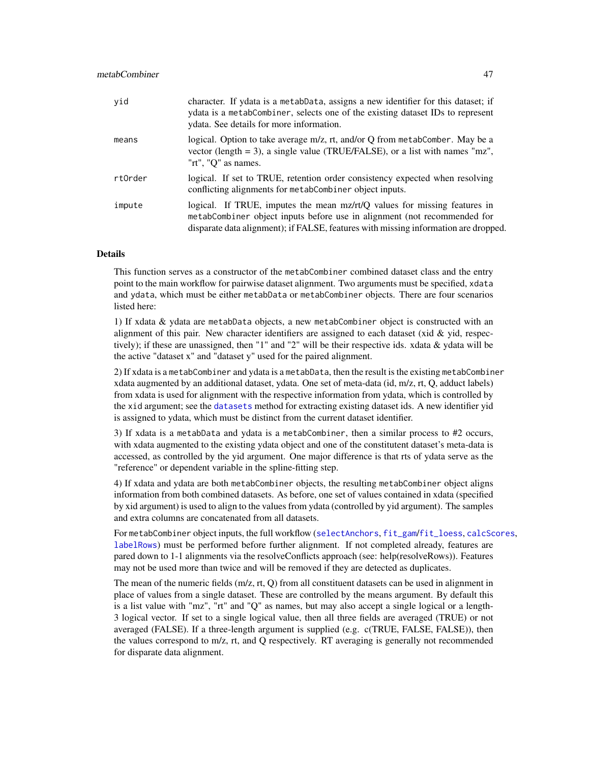<span id="page-46-0"></span>

| yid     | character. If ydata is a metabData, assigns a new identifier for this dataset; if<br>ydata is a metabCombiner, selects one of the existing dataset IDs to represent<br>ydata. See details for more information.                              |
|---------|----------------------------------------------------------------------------------------------------------------------------------------------------------------------------------------------------------------------------------------------|
| means   | logical. Option to take average m/z, rt, and/or Q from metabComber. May be a<br>vector (length $=$ 3), a single value (TRUE/FALSE), or a list with names "mz",<br>"rt", "O" as names.                                                        |
| rtOrder | logical. If set to TRUE, retention order consistency expected when resolving<br>conflicting alignments for metabCombiner object inputs.                                                                                                      |
| impute  | logical. If TRUE, imputes the mean mz/rt/Q values for missing features in<br>metabCombiner object inputs before use in alignment (not recommended for<br>disparate data alignment); if FALSE, features with missing information are dropped. |

#### Details

This function serves as a constructor of the metabCombiner combined dataset class and the entry point to the main workflow for pairwise dataset alignment. Two arguments must be specified, xdata and ydata, which must be either metabData or metabCombiner objects. There are four scenarios listed here:

1) If xdata & ydata are metabData objects, a new metabCombiner object is constructed with an alignment of this pair. New character identifiers are assigned to each dataset (xid  $\&$  yid, respectively); if these are unassigned, then "1" and "2" will be their respective ids. xdata & ydata will be the active "dataset x" and "dataset y" used for the paired alignment.

2) If xdata is a metabCombiner and ydata is a metabData, then the result is the existing metabCombiner xdata augmented by an additional dataset, ydata. One set of meta-data (id, m/z, rt, Q, adduct labels) from xdata is used for alignment with the respective information from ydata, which is controlled by the xid argument; see the [datasets](#page-13-1) method for extracting existing dataset ids. A new identifier yid is assigned to ydata, which must be distinct from the current dataset identifier.

3) If xdata is a metabData and ydata is a metabCombiner, then a similar process to #2 occurs, with xdata augmented to the existing ydata object and one of the constitutent dataset's meta-data is accessed, as controlled by the yid argument. One major difference is that rts of ydata serve as the "reference" or dependent variable in the spline-fitting step.

4) If xdata and ydata are both metabCombiner objects, the resulting metabCombiner object aligns information from both combined datasets. As before, one set of values contained in xdata (specified by xid argument) is used to align to the values from ydata (controlled by yid argument). The samples and extra columns are concatenated from all datasets.

For metabCombiner object inputs, the full workflow ([selectAnchors](#page-60-1), [fit\\_gam](#page-23-1)/[fit\\_loess](#page-26-1), [calcScores](#page-6-1), [labelRows](#page-38-1)) must be performed before further alignment. If not completed already, features are pared down to 1-1 alignments via the resolveConflicts approach (see: help(resolveRows)). Features may not be used more than twice and will be removed if they are detected as duplicates.

The mean of the numeric fields (m/z, rt, Q) from all constituent datasets can be used in alignment in place of values from a single dataset. These are controlled by the means argument. By default this is a list value with "mz", "rt" and "Q" as names, but may also accept a single logical or a length-3 logical vector. If set to a single logical value, then all three fields are averaged (TRUE) or not averaged (FALSE). If a three-length argument is supplied (e.g. c(TRUE, FALSE, FALSE)), then the values correspond to m/z, rt, and Q respectively. RT averaging is generally not recommended for disparate data alignment.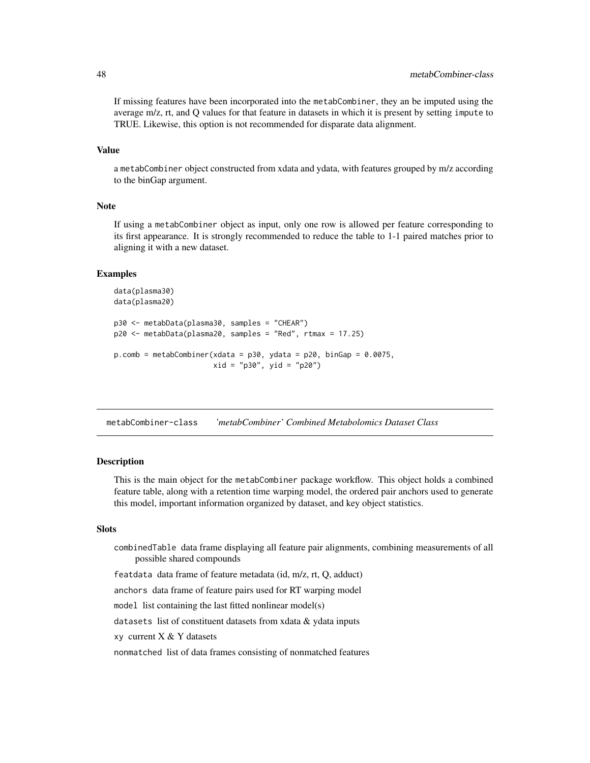<span id="page-47-0"></span>If missing features have been incorporated into the metabCombiner, they an be imputed using the average m/z, rt, and Q values for that feature in datasets in which it is present by setting impute to TRUE. Likewise, this option is not recommended for disparate data alignment.

#### Value

a metabCombiner object constructed from xdata and ydata, with features grouped by m/z according to the binGap argument.

### Note

If using a metabCombiner object as input, only one row is allowed per feature corresponding to its first appearance. It is strongly recommended to reduce the table to 1-1 paired matches prior to aligning it with a new dataset.

#### Examples

```
data(plasma30)
data(plasma20)
p30 <- metabData(plasma30, samples = "CHEAR")
p20 <- metabData(plasma20, samples = "Red", rtmax = 17.25)
p.comb = metabCombiner(xdata = p30, ydata = p20, binGap = 0.0075,
                       xid = "p30", yid = "p20")
```
metabCombiner-class *'metabCombiner' Combined Metabolomics Dataset Class*

#### Description

This is the main object for the metabCombiner package workflow. This object holds a combined feature table, along with a retention time warping model, the ordered pair anchors used to generate this model, important information organized by dataset, and key object statistics.

### Slots

combinedTable data frame displaying all feature pair alignments, combining measurements of all possible shared compounds

featdata data frame of feature metadata (id, m/z, rt, Q, adduct)

anchors data frame of feature pairs used for RT warping model

model list containing the last fitted nonlinear model(s)

datasets list of constituent datasets from xdata & ydata inputs

xy current  $X & Y$  datasets

nonmatched list of data frames consisting of nonmatched features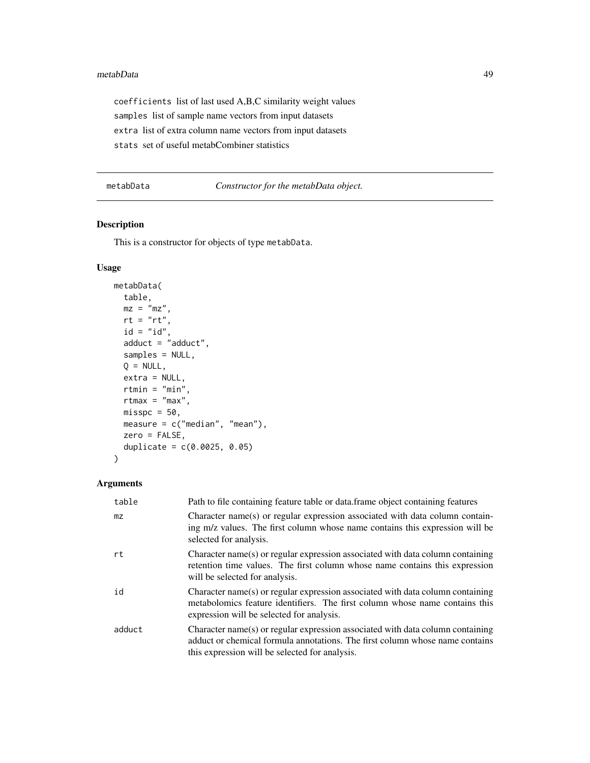#### <span id="page-48-0"></span>metabData 49

coefficients list of last used A,B,C similarity weight values samples list of sample name vectors from input datasets extra list of extra column name vectors from input datasets stats set of useful metabCombiner statistics

<span id="page-48-1"></span>metabData *Constructor for the metabData object.*

### Description

This is a constructor for objects of type metabData.

### Usage

```
metabData(
 table,
 mz = "mz"rt = "rt",id = "id",adduct = "adduct",
 samples = NULL,
 Q = NULL,extra = NULL,
 rtmin = "min",
 rtmax = "max",misspc = 50,
 measure = c("median", "mean"),
 zero = FALSE,
  duplicate = c(0.0025, 0.05))
```
### Arguments

| table  | Path to file containing feature table or data. frame object containing features                                                                                                                                  |
|--------|------------------------------------------------------------------------------------------------------------------------------------------------------------------------------------------------------------------|
| mz     | Character name(s) or regular expression associated with data column contain-<br>ing m/z values. The first column whose name contains this expression will be<br>selected for analysis.                           |
| rt     | Character name(s) or regular expression associated with data column containing<br>retention time values. The first column whose name contains this expression<br>will be selected for analysis.                  |
| id     | Character name(s) or regular expression associated with data column containing<br>metabolomics feature identifiers. The first column whose name contains this<br>expression will be selected for analysis.       |
| adduct | Character name(s) or regular expression associated with data column containing<br>adduct or chemical formula annotations. The first column whose name contains<br>this expression will be selected for analysis. |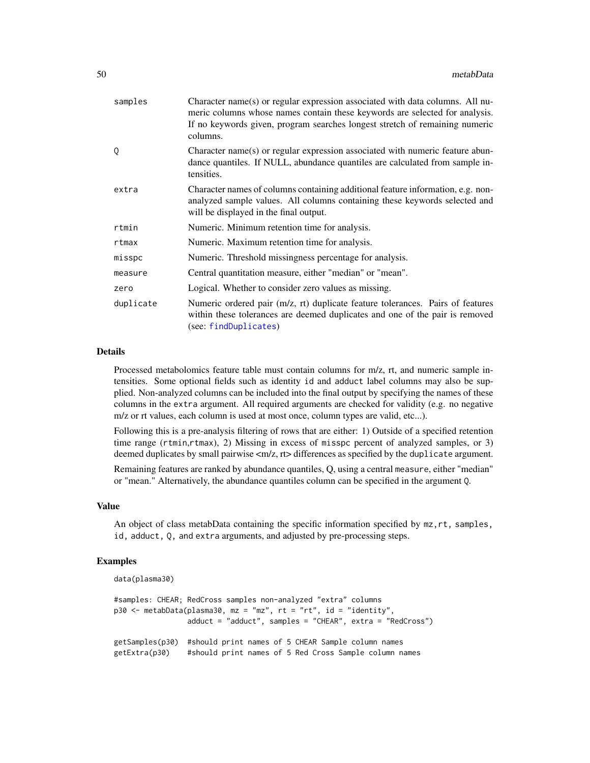<span id="page-49-0"></span>

| samples   | Character name(s) or regular expression associated with data columns. All nu-<br>meric columns whose names contain these keywords are selected for analysis.<br>If no keywords given, program searches longest stretch of remaining numeric<br>columns. |
|-----------|---------------------------------------------------------------------------------------------------------------------------------------------------------------------------------------------------------------------------------------------------------|
| 0         | Character name(s) or regular expression associated with numeric feature abun-<br>dance quantiles. If NULL, abundance quantiles are calculated from sample in-<br>tensities.                                                                             |
| extra     | Character names of columns containing additional feature information, e.g. non-<br>analyzed sample values. All columns containing these keywords selected and<br>will be displayed in the final output.                                                 |
| rtmin     | Numeric. Minimum retention time for analysis.                                                                                                                                                                                                           |
| rtmax     | Numeric. Maximum retention time for analysis.                                                                                                                                                                                                           |
| misspc    | Numeric. Threshold missingness percentage for analysis.                                                                                                                                                                                                 |
| measure   | Central quantitation measure, either "median" or "mean".                                                                                                                                                                                                |
| zero      | Logical. Whether to consider zero values as missing.                                                                                                                                                                                                    |
| duplicate | Numeric ordered pair (m/z, rt) duplicate feature tolerances. Pairs of features<br>within these tolerances are deemed duplicates and one of the pair is removed<br>(see: findDuplicates)                                                                 |

### Details

Processed metabolomics feature table must contain columns for m/z, rt, and numeric sample intensities. Some optional fields such as identity id and adduct label columns may also be supplied. Non-analyzed columns can be included into the final output by specifying the names of these columns in the extra argument. All required arguments are checked for validity (e.g. no negative m/z or rt values, each column is used at most once, column types are valid, etc...).

Following this is a pre-analysis filtering of rows that are either: 1) Outside of a specified retention time range (rtmin,rtmax), 2) Missing in excess of misspc percent of analyzed samples, or 3) deemed duplicates by small pairwise  $\langle m/z, rt \rangle$  differences as specified by the duplicate argument.

Remaining features are ranked by abundance quantiles, Q, using a central measure, either "median" or "mean." Alternatively, the abundance quantiles column can be specified in the argument Q.

#### Value

An object of class metabData containing the specific information specified by mz,rt, samples, id, adduct, Q, and extra arguments, and adjusted by pre-processing steps.

```
data(plasma30)
```

```
#samples: CHEAR; RedCross samples non-analyzed "extra" columns
p30 <- metabData(plasma30, mz = "mz", rt = "rt", id = "identity",
                adduct = "adduct", samples = "CHEAR", extra = "RedCross")
getSamples(p30) #should print names of 5 CHEAR Sample column names
getExtra(p30) #should print names of 5 Red Cross Sample column names
```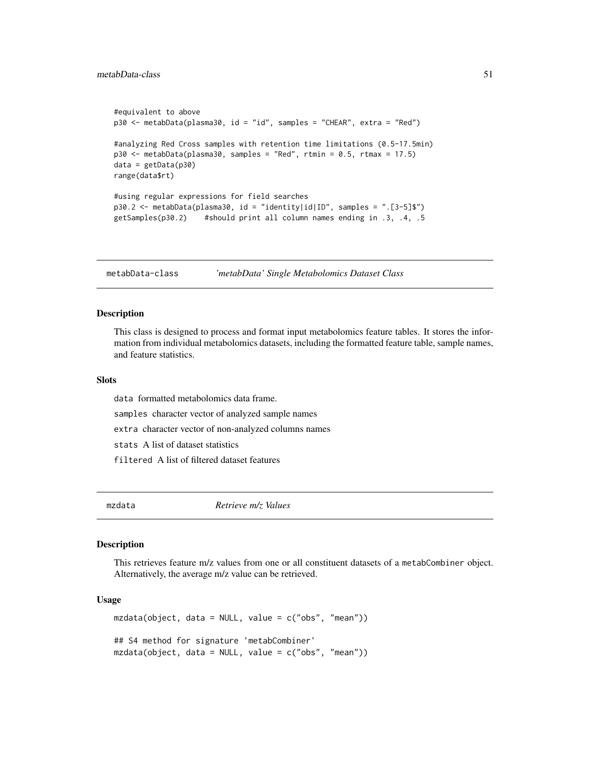```
#equivalent to above
p30 <- metabData(plasma30, id = "id", samples = "CHEAR", extra = "Red")
#analyzing Red Cross samples with retention time limitations (0.5-17.5min)
p30 \le metabData(plasma30, samples = "Red", rtmin = 0.5, rtmax = 17.5)
data = getData(p30)range(data$rt)
#using regular expressions for field searches
p30.2 <- metabData(plasma30, id = "identity|id|ID", samples = ".[3-5]$")
getSamples(p30.2) #should print all column names ending in .3, .4, .5
```
metabData-class *'metabData' Single Metabolomics Dataset Class*

#### Description

This class is designed to process and format input metabolomics feature tables. It stores the information from individual metabolomics datasets, including the formatted feature table, sample names, and feature statistics.

#### **Slots**

data formatted metabolomics data frame.

samples character vector of analyzed sample names

extra character vector of non-analyzed columns names

stats A list of dataset statistics

filtered A list of filtered dataset features

mzdata *Retrieve m/z Values*

#### Description

This retrieves feature m/z values from one or all constituent datasets of a metabCombiner object. Alternatively, the average m/z value can be retrieved.

#### Usage

```
mzdata(object, data = NULL, value = c("obs", "mean"))## S4 method for signature 'metabCombiner'
mzdata(object, data = NULL, value = c("obs", "mean"))
```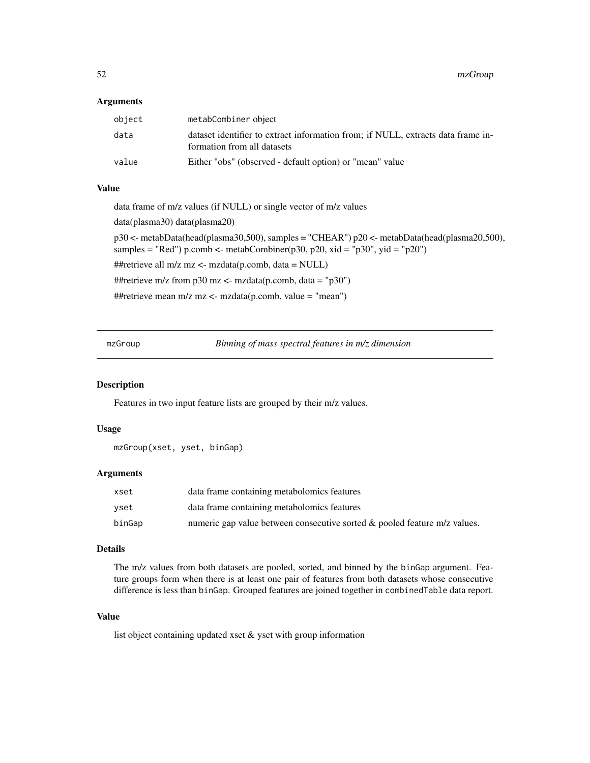<span id="page-51-0"></span>52 mzGroup

#### Arguments

| object | metabCombiner object                                                                                            |
|--------|-----------------------------------------------------------------------------------------------------------------|
| data   | dataset identifier to extract information from; if NULL, extracts data frame in-<br>formation from all datasets |
| value  | Either "obs" (observed - default option) or "mean" value                                                        |

#### Value

data frame of m/z values (if NULL) or single vector of m/z values

data(plasma30) data(plasma20)

p30 <- metabData(head(plasma30,500), samples = "CHEAR") p20 <- metabData(head(plasma20,500), samples = "Red") p.comb <- metabCombiner(p30, p20, xid = "p30", yid = "p20")

##retrieve all m/z mz <- mzdata(p.comb, data = NULL)

##retrieve m/z from p30 mz <- mzdata(p.comb, data = "p30")

##retrieve mean m/z mz <- mzdata(p.comb, value = "mean")

mzGroup *Binning of mass spectral features in m/z dimension*

#### Description

Features in two input feature lists are grouped by their m/z values.

### Usage

```
mzGroup(xset, yset, binGap)
```
#### Arguments

| xset   | data frame containing metabolomics features                                  |
|--------|------------------------------------------------------------------------------|
| vset   | data frame containing metabolomics features                                  |
| binGap | numeric gap value between consecutive sorted $\&$ pooled feature m/z values. |

#### Details

The m/z values from both datasets are pooled, sorted, and binned by the binGap argument. Feature groups form when there is at least one pair of features from both datasets whose consecutive difference is less than binGap. Grouped features are joined together in combinedTable data report.

### Value

list object containing updated xset & yset with group information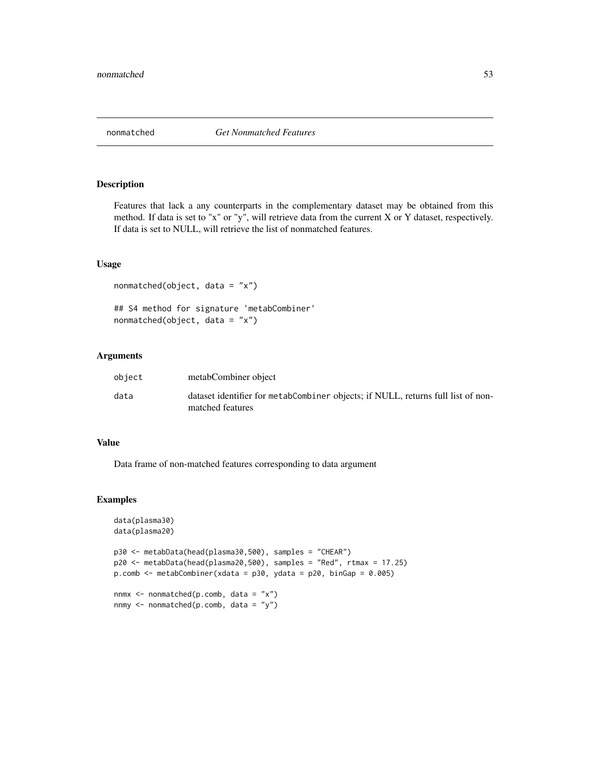<span id="page-52-0"></span>

Features that lack a any counterparts in the complementary dataset may be obtained from this method. If data is set to "x" or "y", will retrieve data from the current X or Y dataset, respectively. If data is set to NULL, will retrieve the list of nonmatched features.

### Usage

```
nonmatched(object, data = "x")
## S4 method for signature 'metabCombiner'
nonmatched(object, data = "x")
```
#### Arguments

| object | metabCombiner object                                                                                 |
|--------|------------------------------------------------------------------------------------------------------|
| data   | dataset identifier for metabCombiner objects; if NULL, returns full list of non-<br>matched features |

#### Value

Data frame of non-matched features corresponding to data argument

```
data(plasma30)
data(plasma20)
p30 <- metabData(head(plasma30,500), samples = "CHEAR")
p20 <- metabData(head(plasma20,500), samples = "Red", rtmax = 17.25)
p.comb \leq - metabCombiner(xdata = p30, ydata = p20, binGap = 0.005)
nnmx \leq nonmatched(p.comb, data = "x")
nnmy <- nonmatched(p.comb, data = "y")
```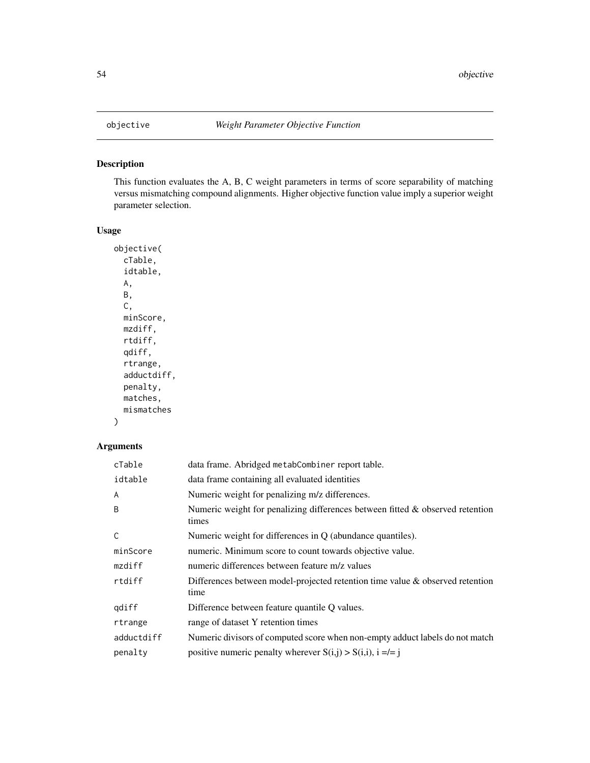This function evaluates the A, B, C weight parameters in terms of score separability of matching versus mismatching compound alignments. Higher objective function value imply a superior weight parameter selection.

#### Usage

```
objective(
  cTable,
  idtable,
 A,
 B,
 C,
 minScore,
 mzdiff,
 rtdiff,
  qdiff,
  rtrange,
  adductdiff,
  penalty,
 matches,
 mismatches
)
```
### Arguments

| $c$ Table  | data frame. Abridged metabCombiner report table.                                         |
|------------|------------------------------------------------------------------------------------------|
| idtable    | data frame containing all evaluated identities                                           |
| A          | Numeric weight for penalizing m/z differences.                                           |
| B          | Numeric weight for penalizing differences between fitted & observed retention<br>times   |
| C          | Numeric weight for differences in $Q$ (abundance quantiles).                             |
| minScore   | numeric. Minimum score to count towards objective value.                                 |
| mzdiff     | numeric differences between feature m/z values                                           |
| rtdiff     | Differences between model-projected retention time value $\&$ observed retention<br>time |
| gdiff      | Difference between feature quantile Q values.                                            |
| rtrange    | range of dataset Y retention times                                                       |
| adductdiff | Numeric divisors of computed score when non-empty adduct labels do not match             |
| penalty    | positive numeric penalty wherever $S(i,j) > S(i,i)$ , $i = l = j$                        |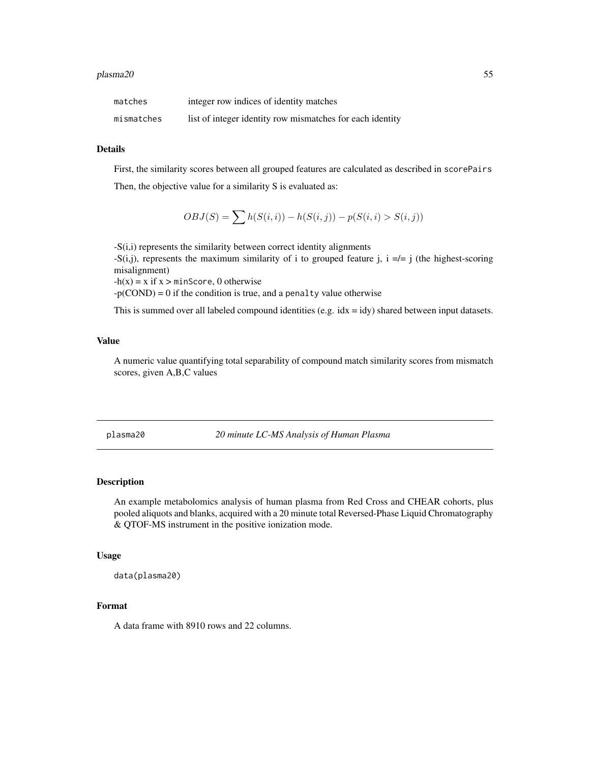<span id="page-54-0"></span>

| matches    | integer row indices of identity matches                   |
|------------|-----------------------------------------------------------|
| mismatches | list of integer identity row mismatches for each identity |

### Details

First, the similarity scores between all grouped features are calculated as described in scorePairs

Then, the objective value for a similarity S is evaluated as:

$$
OBJ(S) = \sum h(S(i, i)) - h(S(i, j)) - p(S(i, i) > S(i, j))
$$

-S(i,i) represents the similarity between correct identity alignments -S(i,j), represents the maximum similarity of i to grouped feature j,  $i = l = j$  (the highest-scoring misalignment)

 $-h(x) = x$  if  $x > minScore, 0$  otherwise

 $-p(COND) = 0$  if the condition is true, and a penalty value otherwise

This is summed over all labeled compound identities (e.g.  $idx = idy$ ) shared between input datasets.

#### Value

A numeric value quantifying total separability of compound match similarity scores from mismatch scores, given A,B,C values

plasma20 *20 minute LC-MS Analysis of Human Plasma*

### Description

An example metabolomics analysis of human plasma from Red Cross and CHEAR cohorts, plus pooled aliquots and blanks, acquired with a 20 minute total Reversed-Phase Liquid Chromatography & QTOF-MS instrument in the positive ionization mode.

### Usage

data(plasma20)

#### Format

A data frame with 8910 rows and 22 columns.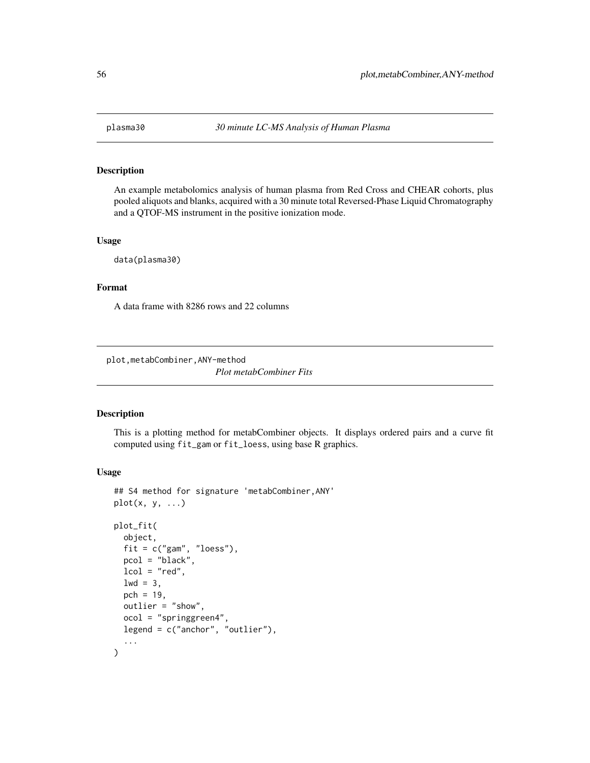<span id="page-55-0"></span>

An example metabolomics analysis of human plasma from Red Cross and CHEAR cohorts, plus pooled aliquots and blanks, acquired with a 30 minute total Reversed-Phase Liquid Chromatography and a QTOF-MS instrument in the positive ionization mode.

#### Usage

data(plasma30)

#### Format

A data frame with 8286 rows and 22 columns

plot,metabCombiner,ANY-method

*Plot metabCombiner Fits*

### Description

This is a plotting method for metabCombiner objects. It displays ordered pairs and a curve fit computed using fit\_gam or fit\_loess, using base R graphics.

#### Usage

```
## S4 method for signature 'metabCombiner,ANY'
plot(x, y, ...)
plot_fit(
  object,
  fit = c("gam", "loess"),pcol = "black",
  lcol = "red",1wd = 3,
  pch = 19.
  outlier = "show",
  ocol = "springgreen4",
  legend = c("anchor", "outlier"),
  ...
)
```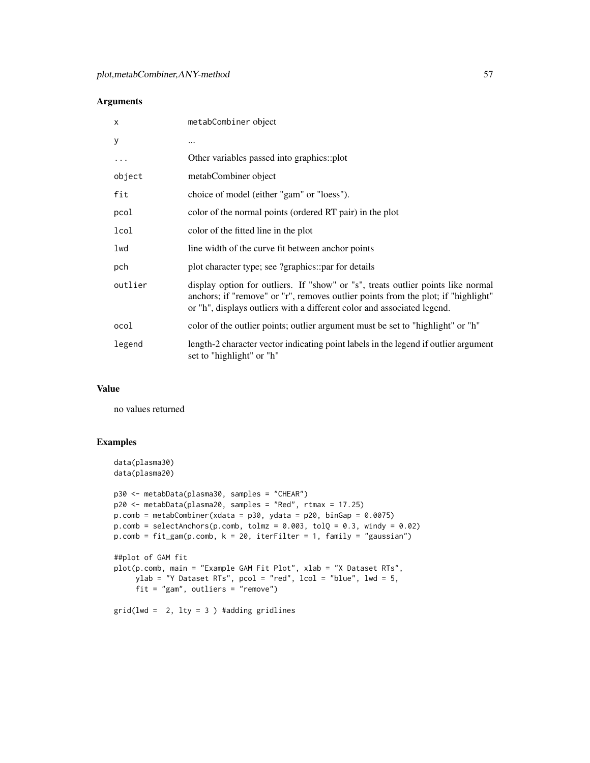### Arguments

| X       | metabCombiner object                                                                                                                                                                                                                             |
|---------|--------------------------------------------------------------------------------------------------------------------------------------------------------------------------------------------------------------------------------------------------|
| У       | $\cdots$                                                                                                                                                                                                                                         |
| .       | Other variables passed into graphics::plot                                                                                                                                                                                                       |
| object  | metabCombiner object                                                                                                                                                                                                                             |
| fit     | choice of model (either "gam" or "loess").                                                                                                                                                                                                       |
| pcol    | color of the normal points (ordered RT pair) in the plot                                                                                                                                                                                         |
| lcol    | color of the fitted line in the plot                                                                                                                                                                                                             |
| lwd     | line width of the curve fit between anchor points                                                                                                                                                                                                |
| pch     | plot character type; see ?graphics::par for details                                                                                                                                                                                              |
| outlier | display option for outliers. If "show" or "s", treats outlier points like normal<br>anchors; if "remove" or "r", removes outlier points from the plot; if "highlight"<br>or "h", displays outliers with a different color and associated legend. |
| ocol    | color of the outlier points; outlier argument must be set to "highlight" or "h"                                                                                                                                                                  |
| legend  | length-2 character vector indicating point labels in the legend if outlier argument<br>set to "highlight" or "h"                                                                                                                                 |

#### Value

no values returned

```
data(plasma30)
data(plasma20)
p30 <- metabData(plasma30, samples = "CHEAR")
p20 <- metabData(plasma20, samples = "Red", rtmax = 17.25)
p.comb = metabCombiner(xdata = p30, ydata = p20, binGap = 0.0075)p.compile = selectAnchors(p.comb, tolmz = 0.003, tolQ = 0.3, windy = 0.02)p.comb = fit\_gam(p.comb, k = 20, iterFilter = 1, family = "gaussian")##plot of GAM fit
plot(p.comb, main = "Example GAM Fit Plot", xlab = "X Dataset RTs",
     ylab = "Y Dataset RTs", pcol = "red", lcol = "blue", lwd = 5,
     fit = "gam", outliers = "remove")
grid(lwd = 2, lty = 3) #adding gridlines
```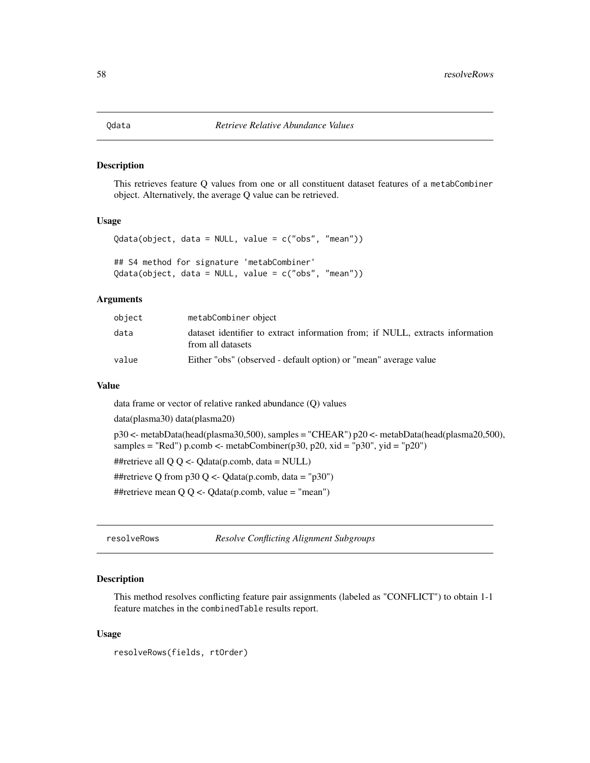<span id="page-57-0"></span>This retrieves feature Q values from one or all constituent dataset features of a metabCombiner object. Alternatively, the average Q value can be retrieved.

### Usage

```
Qdata(object, data = NULL, value = c("obs", "mean"))
## S4 method for signature 'metabCombiner'
Qdata(object, data = NULL, value = c("obs", "mean"))
```
#### Arguments

| object | metabCombiner object                                                                               |
|--------|----------------------------------------------------------------------------------------------------|
| data   | dataset identifier to extract information from; if NULL, extracts information<br>from all datasets |
| value  | Either "obs" (observed - default option) or "mean" average value                                   |

#### Value

data frame or vector of relative ranked abundance (Q) values

data(plasma30) data(plasma20)

```
p30 <- metabData(head(plasma30,500), samples = "CHEAR") p20 <- metabData(head(plasma20,500),
samples = "Red") p.comb <- metabCombiner(p30, p20, xid = "p30", yid = "p20")
##retrieve all QQ \leq Q data(p.comb, data = NULL)
##retrieve Q from p30 Q <- Qdata(p.comb, data = "p30")
##retrieve mean Q \, Q \leq Q \, \text{data}(p \, \text{comb}, \, \text{value} = "mean")
```
resolveRows *Resolve Conflicting Alignment Subgroups*

### Description

This method resolves conflicting feature pair assignments (labeled as "CONFLICT") to obtain 1-1 feature matches in the combinedTable results report.

#### Usage

```
resolveRows(fields, rtOrder)
```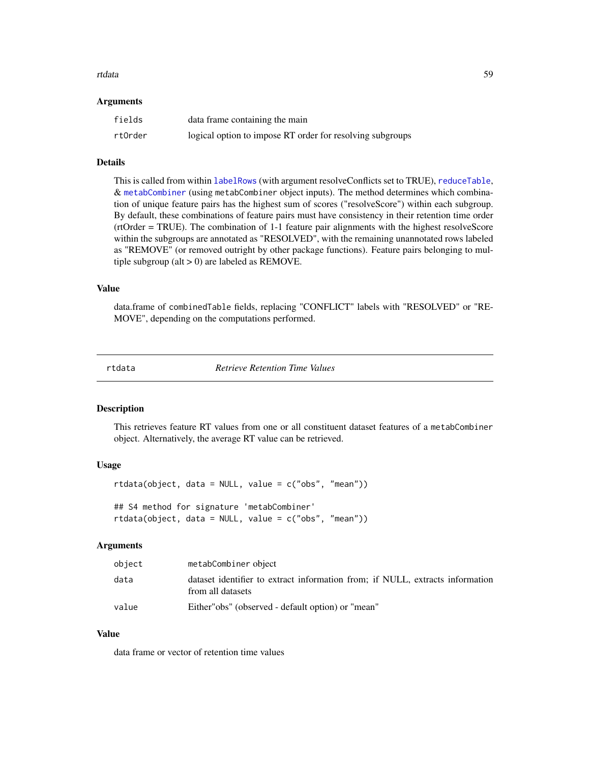#### <span id="page-58-0"></span>rtdata 59

#### **Arguments**

| fields  | data frame containing the main                            |
|---------|-----------------------------------------------------------|
| rt0rder | logical option to impose RT order for resolving subgroups |

#### Details

This is called from within [labelRows](#page-38-1) (with argument resolveConflicts set to TRUE), [reduceTable](#page-38-2), & [metabCombiner](#page-45-1) (using metabCombiner object inputs). The method determines which combination of unique feature pairs has the highest sum of scores ("resolveScore") within each subgroup. By default, these combinations of feature pairs must have consistency in their retention time order (rtOrder = TRUE). The combination of 1-1 feature pair alignments with the highest resolveScore within the subgroups are annotated as "RESOLVED", with the remaining unannotated rows labeled as "REMOVE" (or removed outright by other package functions). Feature pairs belonging to multiple subgroup (alt  $> 0$ ) are labeled as REMOVE.

#### Value

data.frame of combinedTable fields, replacing "CONFLICT" labels with "RESOLVED" or "RE-MOVE", depending on the computations performed.

rtdata *Retrieve Retention Time Values*

### Description

This retrieves feature RT values from one or all constituent dataset features of a metabCombiner object. Alternatively, the average RT value can be retrieved.

### Usage

rtdata(object, data = NULL, value = c("obs", "mean"))

## S4 method for signature 'metabCombiner' rtdata(object, data = NULL, value = c("obs", "mean"))

#### Arguments

| object | metabCombiner object                                                                               |
|--------|----------------------------------------------------------------------------------------------------|
| data   | dataset identifier to extract information from; if NULL, extracts information<br>from all datasets |
| value  | Either" obs" (observed - default option) or "mean"                                                 |

### Value

data frame or vector of retention time values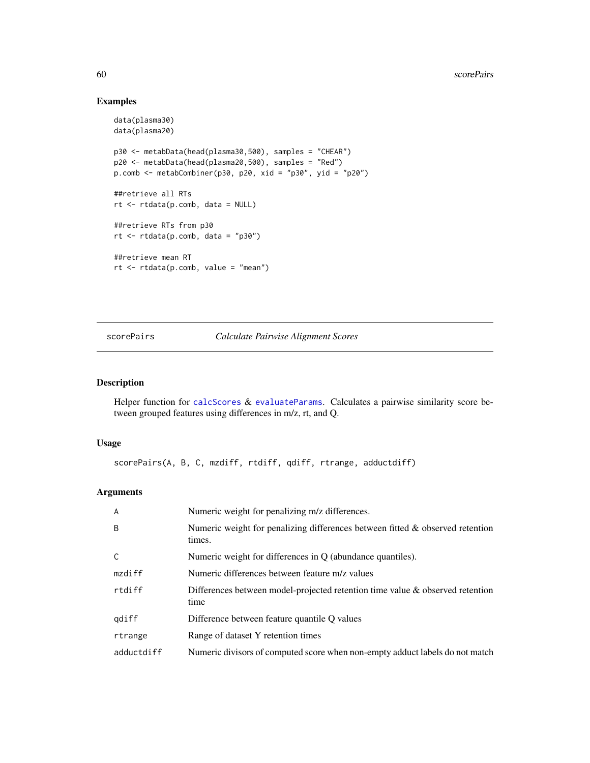### Examples

```
data(plasma30)
data(plasma20)
p30 <- metabData(head(plasma30,500), samples = "CHEAR")
p20 <- metabData(head(plasma20,500), samples = "Red")
p.comb <- metabCombiner(p30, p20, xid = "p30", yid = "p20")
##retrieve all RTs
rt <- rtdata(p.comb, data = NULL)
##retrieve RTs from p30
rt < -rtdata(p.comb, data = "p30")##retrieve mean RT
rt <- rtdata(p.comb, value = "mean")
```
### <span id="page-59-1"></span>scorePairs *Calculate Pairwise Alignment Scores*

### Description

Helper function for [calcScores](#page-6-1) & [evaluateParams](#page-15-1). Calculates a pairwise similarity score between grouped features using differences in m/z, rt, and Q.

#### Usage

```
scorePairs(A, B, C, mzdiff, rtdiff, qdiff, rtrange, adductdiff)
```
### Arguments

| $\overline{A}$ | Numeric weight for penalizing m/z differences.                                             |
|----------------|--------------------------------------------------------------------------------------------|
| B              | Numeric weight for penalizing differences between fitted $\&$ observed retention<br>times. |
| $\mathsf{C}$   | Numeric weight for differences in $Q$ (abundance quantiles).                               |
| mzdiff         | Numeric differences between feature m/z values                                             |
| rtdiff         | Differences between model-projected retention time value $\&$ observed retention<br>time   |
| qdiff          | Difference between feature quantile O values                                               |
| rtrange        | Range of dataset Y retention times                                                         |
| adductdiff     | Numeric divisors of computed score when non-empty adduct labels do not match               |

<span id="page-59-0"></span>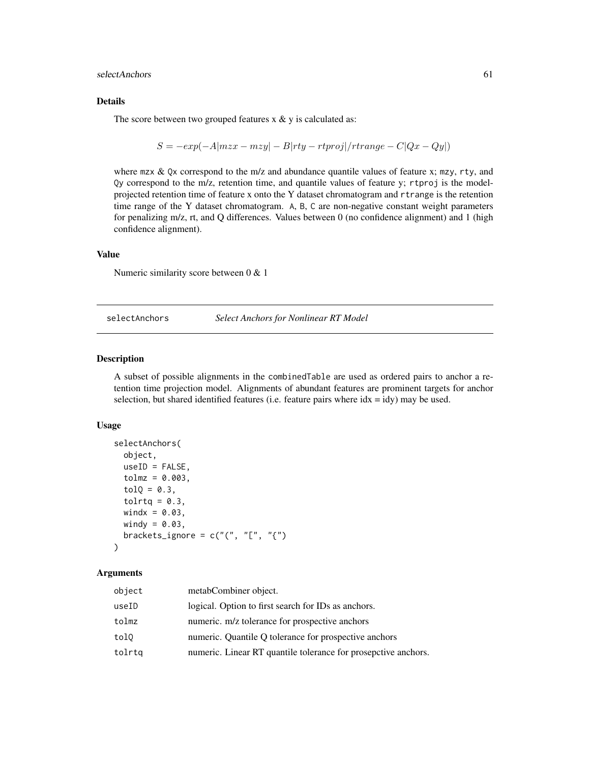<span id="page-60-0"></span>selectAnchors 61

#### Details

The score between two grouped features  $x \& y$  is calculated as:

$$
S = -exp(-A|mzx - mzy| - B|rty - rtproj|/triangle - C|Qx - Qy|)
$$

where  $mz \& Qx$  correspond to the m/z and abundance quantile values of feature x; mzy, rty, and Qy correspond to the m/z, retention time, and quantile values of feature y; rtproj is the modelprojected retention time of feature x onto the Y dataset chromatogram and rtrange is the retention time range of the Y dataset chromatogram. A, B, C are non-negative constant weight parameters for penalizing m/z, rt, and Q differences. Values between 0 (no confidence alignment) and 1 (high confidence alignment).

### Value

Numeric similarity score between 0 & 1

<span id="page-60-1"></span>selectAnchors *Select Anchors for Nonlinear RT Model*

#### Description

A subset of possible alignments in the combinedTable are used as ordered pairs to anchor a retention time projection model. Alignments of abundant features are prominent targets for anchor selection, but shared identified features (i.e. feature pairs where  $idx = idy$ ) may be used.

#### Usage

```
selectAnchors(
  object,
  useID = FALSE,tolmz = 0.003,
  tolQ = 0.3,tolrtq = 0.3,
 windx = 0.03,
 windy = 0.03,
 brackets_ignore = c("("", "["", "{'''})\lambda
```
### Arguments

| object | metabCombiner object.                                          |
|--------|----------------------------------------------------------------|
| useID  | logical. Option to first search for IDs as anchors.            |
| tolmz  | numeric. m/z tolerance for prospective anchors                 |
| tol0   | numeric. Quantile Q tolerance for prospective anchors          |
| tolrtq | numeric. Linear RT quantile tolerance for prosepctive anchors. |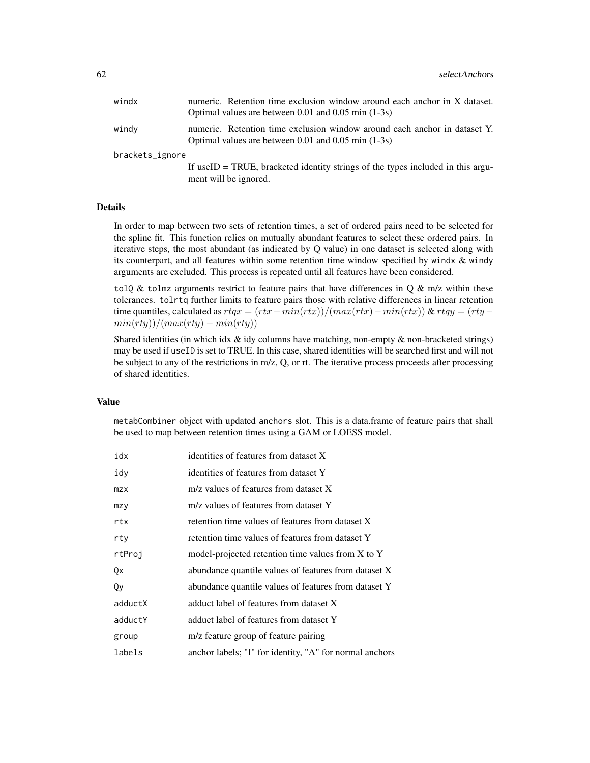| windx           | numeric. Retention time exclusion window around each anchor in X dataset.<br>Optimal values are between $0.01$ and $0.05$ min $(1-3s)$ |  |
|-----------------|----------------------------------------------------------------------------------------------------------------------------------------|--|
| windy           | numeric. Retention time exclusion window around each anchor in dataset Y.<br>Optimal values are between $0.01$ and $0.05$ min $(1-3s)$ |  |
| brackets_ignore |                                                                                                                                        |  |
|                 | If useID = TRUE, bracketed identity strings of the types included in this argu-<br>ment will be ignored.                               |  |

### Details

In order to map between two sets of retention times, a set of ordered pairs need to be selected for the spline fit. This function relies on mutually abundant features to select these ordered pairs. In iterative steps, the most abundant (as indicated by Q value) in one dataset is selected along with its counterpart, and all features within some retention time window specified by windx  $\&$  windy arguments are excluded. This process is repeated until all features have been considered.

tolQ & tolmz arguments restrict to feature pairs that have differences in Q & m/z within these tolerances. tolrtq further limits to feature pairs those with relative differences in linear retention time quantiles, calculated as  $rtqx = (rtx - min(rtx))/(max(rtx) - min(rtx))$  &  $rtqy = (rty$  $min(rty)/(max(rty) - min(rty)$ 

Shared identities (in which idx  $\&$  idy columns have matching, non-empty  $\&$  non-bracketed strings) may be used if useID is set to TRUE. In this case, shared identities will be searched first and will not be subject to any of the restrictions in m/z, Q, or rt. The iterative process proceeds after processing of shared identities.

#### Value

metabCombiner object with updated anchors slot. This is a data.frame of feature pairs that shall be used to map between retention times using a GAM or LOESS model.

| idx     | identities of features from dataset X                   |
|---------|---------------------------------------------------------|
| idy     | identities of features from dataset Y                   |
| mzx     | m/z values of features from dataset X                   |
| mzy     | m/z values of features from dataset Y                   |
| rtx     | retention time values of features from dataset X        |
| rty     | retention time values of features from dataset Y        |
| rtProj  | model-projected retention time values from X to Y       |
| Qx      | abundance quantile values of features from dataset X    |
| Qy      | abundance quantile values of features from dataset Y    |
| adductX | adduct label of features from dataset X                 |
| adductY | adduct label of features from dataset Y                 |
| group   | m/z feature group of feature pairing                    |
| labels  | anchor labels; "I" for identity, "A" for normal anchors |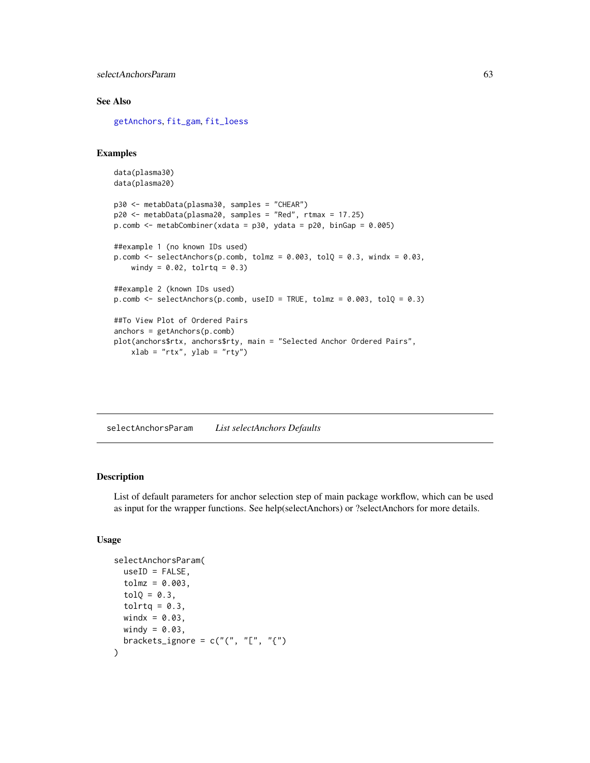<span id="page-62-0"></span>selectAnchorsParam 63

### See Also

[getAnchors](#page-28-1), [fit\\_gam](#page-23-1), [fit\\_loess](#page-26-1)

### Examples

```
data(plasma30)
data(plasma20)
p30 <- metabData(plasma30, samples = "CHEAR")
p20 <- metabData(plasma20, samples = "Red", rtmax = 17.25)
p.comb \leq metabCombiner(xdata = p30, ydata = p20, binGap = 0.005)
##example 1 (no known IDs used)
p.comb <- selectAnchors(p.comb, tolmz = 0.003, tolQ = 0.3, windx = 0.03,
   windy = 0.02, tolrtq = 0.3)
##example 2 (known IDs used)
p.comb <- selectAnchors(p.comb, useID = TRUE, tolmz = 0.003, tolQ = 0.3)
##To View Plot of Ordered Pairs
anchors = getAnchors(p.comb)
plot(anchors$rtx, anchors$rty, main = "Selected Anchor Ordered Pairs",
   xlab = "rtx", ylab = "rty")
```
<span id="page-62-1"></span>selectAnchorsParam *List selectAnchors Defaults*

### Description

List of default parameters for anchor selection step of main package workflow, which can be used as input for the wrapper functions. See help(selectAnchors) or ?selectAnchors for more details.

#### Usage

```
selectAnchorsParam(
 useID = FALSE,tolmz = 0.003,tol0 = 0.3,
  tolrtq = 0.3,
 windx = 0.03,
 windy = 0.03,
 brackets_ignore = c("("", "["", "(""))
```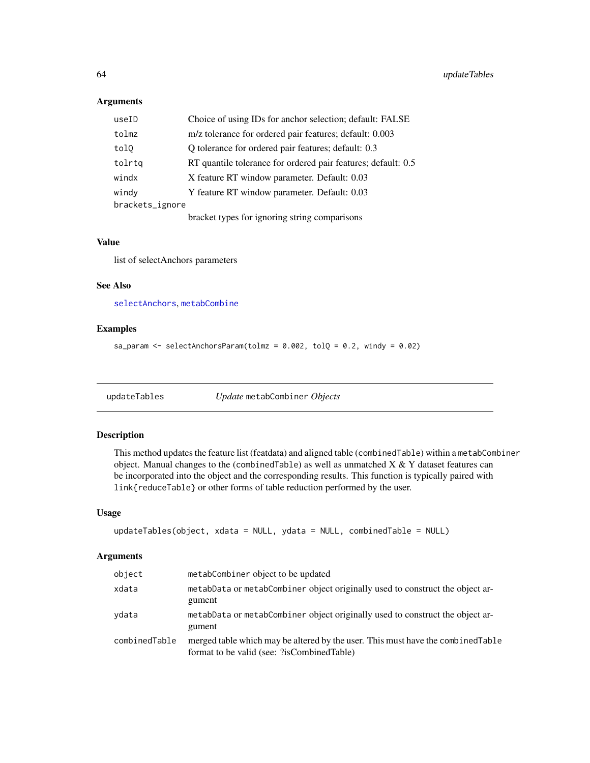### <span id="page-63-0"></span>Arguments

| useID           | Choice of using IDs for anchor selection; default: FALSE      |
|-----------------|---------------------------------------------------------------|
| tolmz           | m/z tolerance for ordered pair features; default: 0.003       |
| tol0            | Q tolerance for ordered pair features; default: 0.3           |
| tolrta          | RT quantile tolerance for ordered pair features; default: 0.5 |
| windx           | X feature RT window parameter. Default: 0.03                  |
| windy           | Y feature RT window parameter. Default: 0.03                  |
| brackets_ignore |                                                               |
|                 | bracket types for ignoring string comparisons                 |

### Value

list of selectAnchors parameters

#### See Also

[selectAnchors](#page-60-1), [metabCombine](#page-43-1)

### Examples

sa\_param <- selectAnchorsParam(tolmz =  $0.002$ , tolQ =  $0.2$ , windy =  $0.02$ )

updateTables *Update* metabCombiner *Objects*

### Description

This method updates the feature list (featdata) and aligned table (combinedTable) within a metabCombiner object. Manual changes to the (combinedTable) as well as unmatched  $X & Y$  dataset features can be incorporated into the object and the corresponding results. This function is typically paired with link{reduceTable} or other forms of table reduction performed by the user.

#### Usage

```
updateTables(object, xdata = NULL, ydata = NULL, combinedTable = NULL)
```
### Arguments

| object        | metabCombiner object to be updated                                                                                             |
|---------------|--------------------------------------------------------------------------------------------------------------------------------|
| xdata         | metabData or metabCombiner object originally used to construct the object ar-<br>gument                                        |
| vdata         | metabData or metabCombiner object originally used to construct the object ar-<br>gument                                        |
| combinedTable | merged table which may be altered by the user. This must have the combined Table<br>format to be valid (see: ?isCombinedTable) |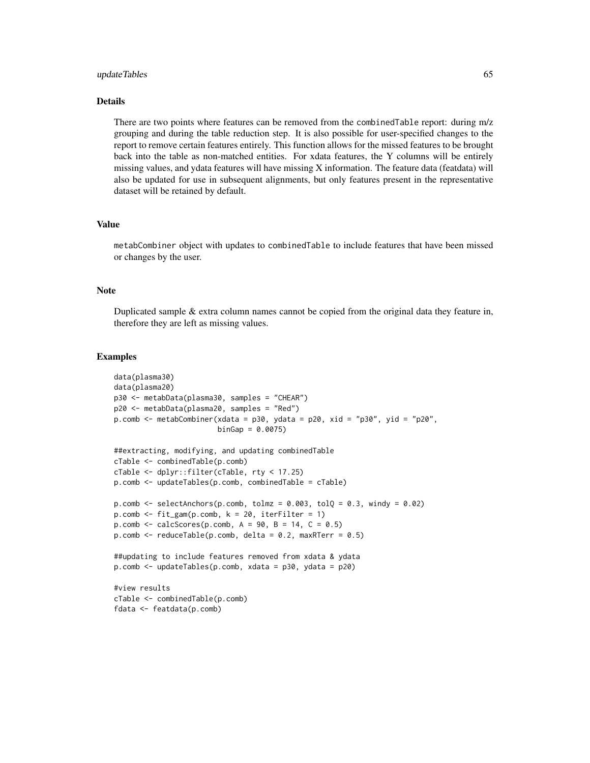#### updateTables 65

#### Details

There are two points where features can be removed from the combinedTable report: during m/z grouping and during the table reduction step. It is also possible for user-specified changes to the report to remove certain features entirely. This function allows for the missed features to be brought back into the table as non-matched entities. For xdata features, the Y columns will be entirely missing values, and ydata features will have missing X information. The feature data (featdata) will also be updated for use in subsequent alignments, but only features present in the representative dataset will be retained by default.

#### Value

metabCombiner object with updates to combinedTable to include features that have been missed or changes by the user.

### **Note**

Duplicated sample  $&$  extra column names cannot be copied from the original data they feature in, therefore they are left as missing values.

```
data(plasma30)
data(plasma20)
p30 <- metabData(plasma30, samples = "CHEAR")
p20 <- metabData(plasma20, samples = "Red")
p.comb <- metabCombiner(xdata = p30, ydata = p20, xid = "p30", yid = "p20",
                        binGap = 0.0075)##extracting, modifying, and updating combinedTable
cTable <- combinedTable(p.comb)
cTable <- dplyr::filter(cTable, rty < 17.25)
p.comb <- updateTables(p.comb, combinedTable = cTable)
p.comb <- selectAnchors(p.comb, tolmz = 0.003, tolQ = 0.3, windy = 0.02)
p.comb \leq fit\_gam(p.comb, k = 20, iterFilter = 1)p.comb \leftarrow calcScores(p.comb, A = 90, B = 14, C = 0.5)p.comb \leq reduceTable(p.comb, delta = 0.2, maxRTerr = 0.5)
##updating to include features removed from xdata & ydata
p.comb <- updateTables(p.comb, xdata = p30, ydata = p20)
#view results
cTable <- combinedTable(p.comb)
fdata <- featdata(p.comb)
```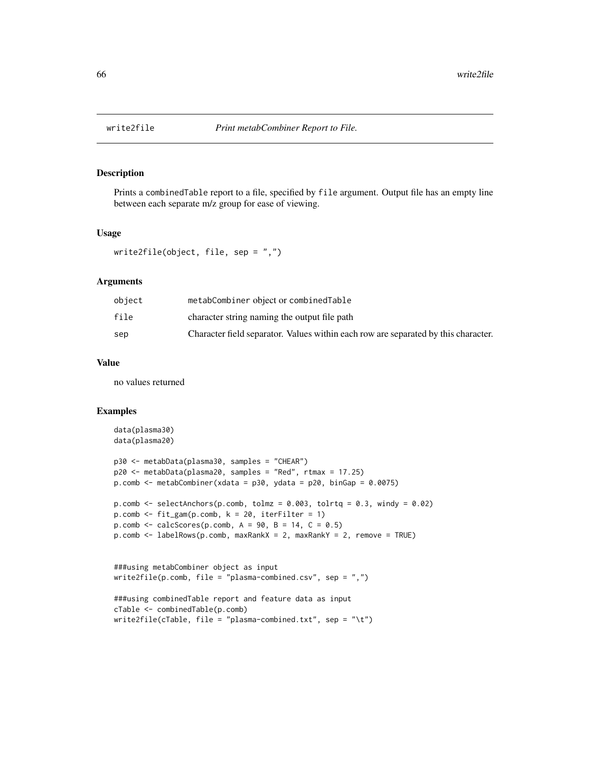<span id="page-65-0"></span>

Prints a combinedTable report to a file, specified by file argument. Output file has an empty line between each separate m/z group for ease of viewing.

#### Usage

```
write2file(object, file, sep = ",")
```
#### Arguments

| object | metabCombiner object or combinedTable                                              |
|--------|------------------------------------------------------------------------------------|
| file   | character string naming the output file path                                       |
| sep    | Character field separator. Values within each row are separated by this character. |

#### Value

no values returned

```
data(plasma30)
data(plasma20)
p30 <- metabData(plasma30, samples = "CHEAR")
p20 <- metabData(plasma20, samples = "Red", rtmax = 17.25)
p.comb <- metabCombiner(xdata = p30, ydata = p20, binGap = 0.0075)
p.comb \leq selectAnchors(p.comb, tolmz = 0.003, tolrtq = 0.3, windy = 0.02)
p.comb <- fit_gam(p.comb, k = 20, iterFilter = 1)
p.comb \leftarrow calcScores(p.comb, A = 90, B = 14, C = 0.5)p.comb <- labelRows(p.comb, maxRankX = 2, maxRankY = 2, remove = TRUE)
###using metabCombiner object as input
write2file(p.comb, file = "plasma-combined.csv", sep = ",")
```

```
###using combinedTable report and feature data as input
cTable <- combinedTable(p.comb)
write2file(cTable, file = "plasma-combined.txt", sep = "\t")
```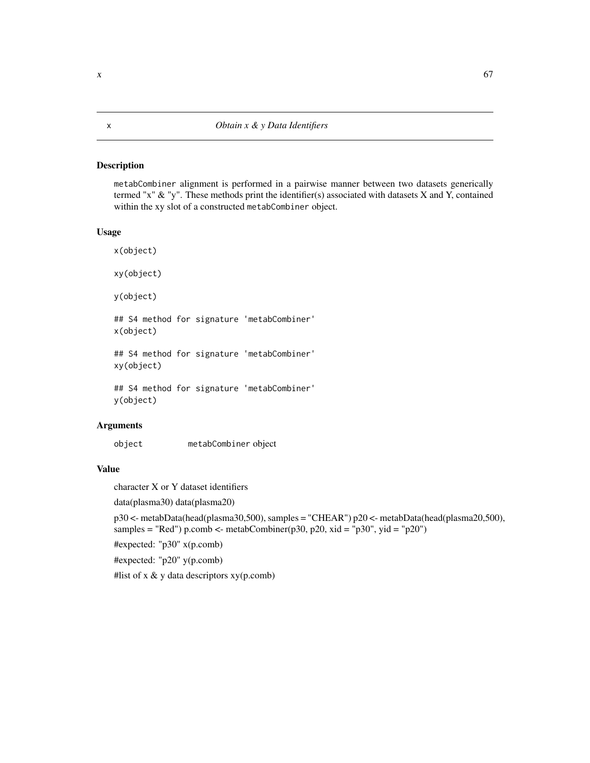<span id="page-66-0"></span>metabCombiner alignment is performed in a pairwise manner between two datasets generically termed "x" & "y". These methods print the identifier(s) associated with datasets X and Y, contained within the xy slot of a constructed metabCombiner object.

### Usage

```
x(object)
xy(object)
y(object)
## S4 method for signature 'metabCombiner'
x(object)
## S4 method for signature 'metabCombiner'
xy(object)
## S4 method for signature 'metabCombiner'
y(object)
```
### Arguments

object metabCombiner object

### Value

character X or Y dataset identifiers

data(plasma30) data(plasma20)

p30 <- metabData(head(plasma30,500), samples = "CHEAR") p20 <- metabData(head(plasma20,500), samples = "Red") p.comb <- metabCombiner(p30, p20, xid = "p30", yid = "p20")

#expected: "p30" x(p.comb)

#expected: "p20" y(p.comb)

#list of x & y data descriptors xy(p.comb)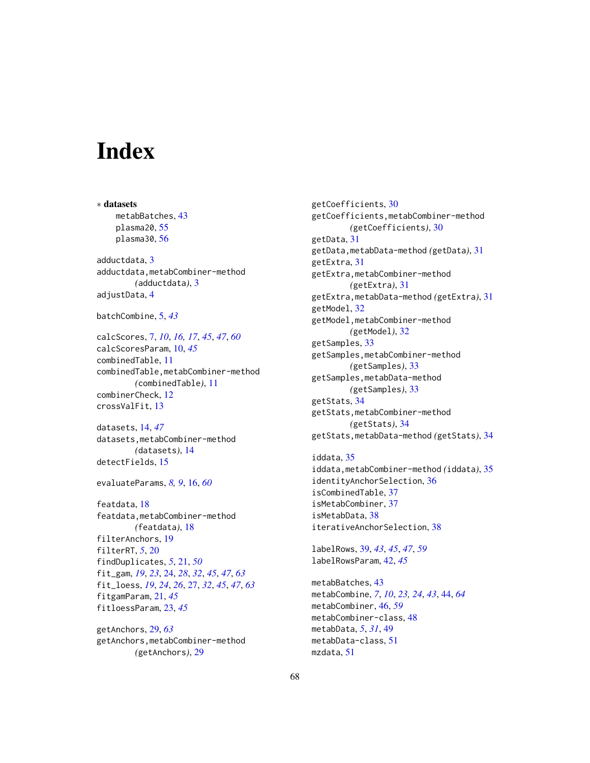# <span id="page-67-0"></span>**Index**

∗ datasets metabBatches, [43](#page-42-0) plasma20, [55](#page-54-0) plasma30, [56](#page-55-0) adductdata, [3](#page-2-0) adductdata,metabCombiner-method *(*adductdata*)*, [3](#page-2-0) adjustData, [4](#page-3-0) batchCombine, [5,](#page-4-0) *[43](#page-42-0)* calcScores, [7,](#page-6-0) *[10](#page-9-0)*, *[16,](#page-15-0) [17](#page-16-0)*, *[45](#page-44-0)*, *[47](#page-46-0)*, *[60](#page-59-0)*

calcScoresParam, [10,](#page-9-0) *[45](#page-44-0)* combinedTable, [11](#page-10-0) combinedTable,metabCombiner-method *(*combinedTable*)*, [11](#page-10-0) combinerCheck, [12](#page-11-0) crossValFit, [13](#page-12-0)

datasets, [14,](#page-13-0) *[47](#page-46-0)* datasets,metabCombiner-method *(*datasets*)*, [14](#page-13-0) detectFields, [15](#page-14-0)

evaluateParams, *[8,](#page-7-0) [9](#page-8-0)*, [16,](#page-15-0) *[60](#page-59-0)*

featdata, [18](#page-17-0) featdata,metabCombiner-method *(*featdata*)*, [18](#page-17-0) filterAnchors, [19](#page-18-0) filterRT, *[5](#page-4-0)*, [20](#page-19-0) findDuplicates, *[5](#page-4-0)*, [21,](#page-20-0) *[50](#page-49-0)* fit\_gam, *[19](#page-18-0)*, *[23](#page-22-0)*, [24,](#page-23-0) *[28](#page-27-0)*, *[32](#page-31-0)*, *[45](#page-44-0)*, *[47](#page-46-0)*, *[63](#page-62-0)* fit\_loess, *[19](#page-18-0)*, *[24](#page-23-0)*, *[26](#page-25-0)*, [27,](#page-26-0) *[32](#page-31-0)*, *[45](#page-44-0)*, *[47](#page-46-0)*, *[63](#page-62-0)* fitgamParam, [21,](#page-20-0) *[45](#page-44-0)* fitloessParam, [23,](#page-22-0) *[45](#page-44-0)*

getAnchors, [29,](#page-28-0) *[63](#page-62-0)* getAnchors,metabCombiner-method *(*getAnchors*)*, [29](#page-28-0)

getCoefficients, [30](#page-29-0) getCoefficients,metabCombiner-method *(*getCoefficients*)*, [30](#page-29-0) getData, [31](#page-30-0) getData,metabData-method *(*getData*)*, [31](#page-30-0) getExtra, [31](#page-30-0) getExtra,metabCombiner-method *(*getExtra*)*, [31](#page-30-0) getExtra,metabData-method *(*getExtra*)*, [31](#page-30-0) getModel, [32](#page-31-0) getModel,metabCombiner-method *(*getModel*)*, [32](#page-31-0) getSamples, [33](#page-32-0) getSamples,metabCombiner-method *(*getSamples*)*, [33](#page-32-0) getSamples,metabData-method *(*getSamples*)*, [33](#page-32-0) getStats, [34](#page-33-0) getStats,metabCombiner-method *(*getStats*)*, [34](#page-33-0) getStats,metabData-method *(*getStats*)*, [34](#page-33-0) iddata, [35](#page-34-0)

iddata,metabCombiner-method *(*iddata*)*, [35](#page-34-0) identityAnchorSelection, [36](#page-35-0) isCombinedTable, [37](#page-36-0) isMetabCombiner, [37](#page-36-0) isMetabData, [38](#page-37-0) iterativeAnchorSelection, [38](#page-37-0)

labelRows, [39,](#page-38-0) *[43](#page-42-0)*, *[45](#page-44-0)*, *[47](#page-46-0)*, *[59](#page-58-0)* labelRowsParam, [42,](#page-41-0) *[45](#page-44-0)*

metabBatches, [43](#page-42-0) metabCombine, *[7](#page-6-0)*, *[10](#page-9-0)*, *[23,](#page-22-0) [24](#page-23-0)*, *[43](#page-42-0)*, [44,](#page-43-0) *[64](#page-63-0)* metabCombiner, [46,](#page-45-0) *[59](#page-58-0)* metabCombiner-class, [48](#page-47-0) metabData, *[5](#page-4-0)*, *[31](#page-30-0)*, [49](#page-48-0) metabData-class, [51](#page-50-0) mzdata, [51](#page-50-0)